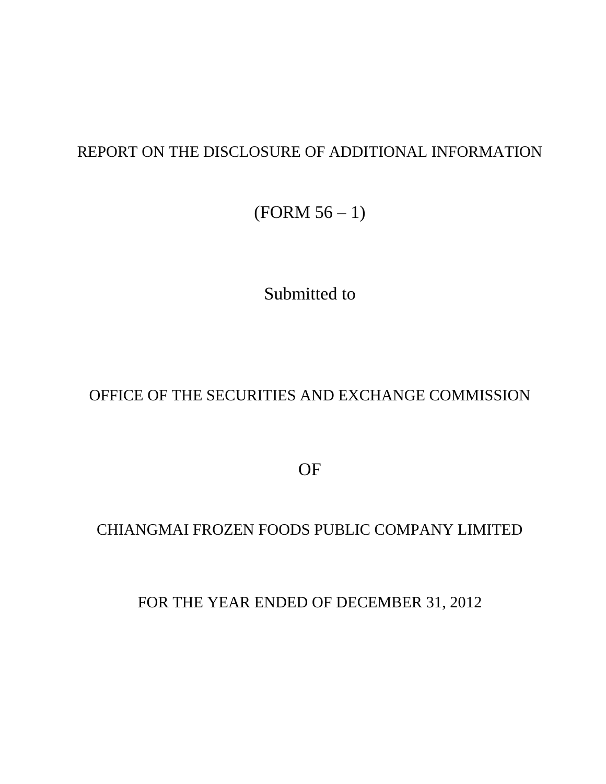#### REPORT ON THE DISCLOSURE OF ADDITIONAL INFORMATION

(FORM 56 – 1)

Submitted to

### OFFICE OF THE SECURITIES AND EXCHANGE COMMISSION

OF

#### CHIANGMAI FROZEN FOODS PUBLIC COMPANY LIMITED

FOR THE YEAR ENDED OF DECEMBER 31, 2012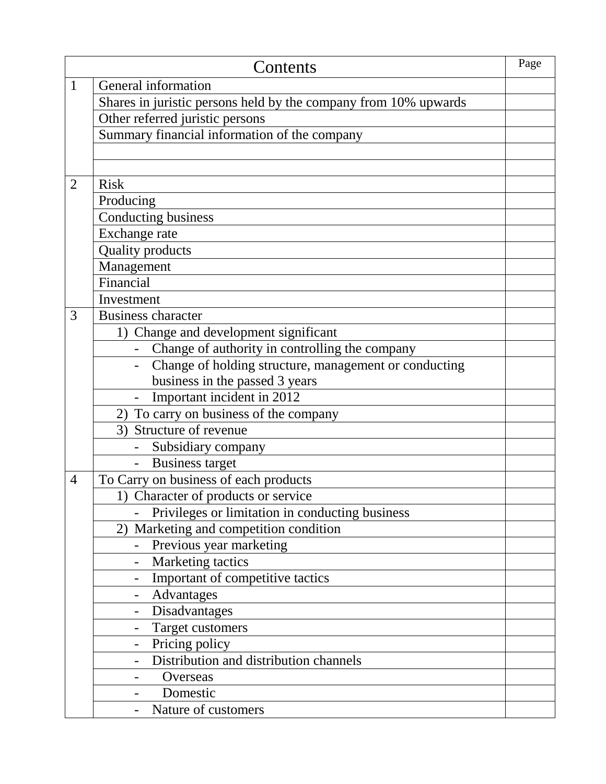|                | Contents                                                        | Page |
|----------------|-----------------------------------------------------------------|------|
| $\mathbf{1}$   | General information                                             |      |
|                | Shares in juristic persons held by the company from 10% upwards |      |
|                | Other referred juristic persons                                 |      |
|                | Summary financial information of the company                    |      |
|                |                                                                 |      |
|                |                                                                 |      |
| $\overline{2}$ | <b>Risk</b>                                                     |      |
|                | Producing                                                       |      |
|                | Conducting business                                             |      |
|                | Exchange rate                                                   |      |
|                | <b>Quality products</b>                                         |      |
|                | Management                                                      |      |
|                | Financial                                                       |      |
|                | Investment                                                      |      |
| 3              | <b>Business character</b>                                       |      |
|                | 1) Change and development significant                           |      |
|                | Change of authority in controlling the company                  |      |
|                | Change of holding structure, management or conducting           |      |
|                | business in the passed 3 years                                  |      |
|                | - Important incident in 2012                                    |      |
|                | 2) To carry on business of the company                          |      |
|                | 3) Structure of revenue                                         |      |
|                | Subsidiary company                                              |      |
|                | <b>Business target</b>                                          |      |
| $\overline{4}$ | To Carry on business of each products                           |      |
|                | 1) Character of products or service                             |      |
|                | Privileges or limitation in conducting business                 |      |
|                | Marketing and competition condition<br>2)                       |      |
|                | Previous year marketing                                         |      |
|                | Marketing tactics                                               |      |
|                | Important of competitive tactics                                |      |
|                | Advantages                                                      |      |
|                | Disadvantages                                                   |      |
|                | Target customers                                                |      |
|                | Pricing policy<br>$\overline{\phantom{a}}$                      |      |
|                | Distribution and distribution channels                          |      |
|                | Overseas                                                        |      |
|                | Domestic                                                        |      |
|                | Nature of customers                                             |      |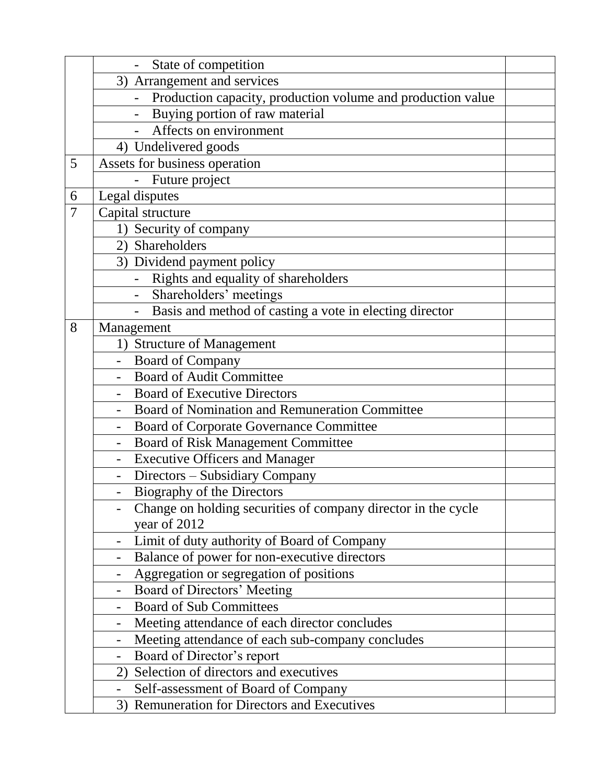|                | State of competition                                                         |  |
|----------------|------------------------------------------------------------------------------|--|
|                | 3) Arrangement and services                                                  |  |
|                | Production capacity, production volume and production value                  |  |
|                | Buying portion of raw material                                               |  |
|                | Affects on environment                                                       |  |
|                | 4) Undelivered goods                                                         |  |
| 5              | Assets for business operation                                                |  |
|                | Future project                                                               |  |
| 6              | Legal disputes                                                               |  |
| $\overline{7}$ | Capital structure                                                            |  |
|                | 1) Security of company                                                       |  |
|                | 2) Shareholders                                                              |  |
|                | 3) Dividend payment policy                                                   |  |
|                | Rights and equality of shareholders                                          |  |
|                | Shareholders' meetings                                                       |  |
|                | Basis and method of casting a vote in electing director                      |  |
| 8              | Management                                                                   |  |
|                | 1) Structure of Management                                                   |  |
|                | <b>Board of Company</b>                                                      |  |
|                | <b>Board of Audit Committee</b>                                              |  |
|                | <b>Board of Executive Directors</b>                                          |  |
|                | Board of Nomination and Remuneration Committee                               |  |
|                | Board of Corporate Governance Committee<br>$\overline{\phantom{a}}$          |  |
|                | <b>Board of Risk Management Committee</b>                                    |  |
|                | <b>Executive Officers and Manager</b>                                        |  |
|                | Directors - Subsidiary Company                                               |  |
|                | Biography of the Directors                                                   |  |
|                | Change on holding securities of company director in the cycle                |  |
|                | year of 2012                                                                 |  |
|                | Limit of duty authority of Board of Company                                  |  |
|                | Balance of power for non-executive directors<br>-                            |  |
|                | Aggregation or segregation of positions<br>-                                 |  |
|                | Board of Directors' Meeting                                                  |  |
|                | <b>Board of Sub Committees</b>                                               |  |
|                | Meeting attendance of each director concludes<br>$\overline{\phantom{0}}$    |  |
|                | Meeting attendance of each sub-company concludes<br>$\overline{\phantom{0}}$ |  |
|                | Board of Director's report                                                   |  |
|                | Selection of directors and executives<br>2)                                  |  |
|                | Self-assessment of Board of Company                                          |  |
|                | 3) Remuneration for Directors and Executives                                 |  |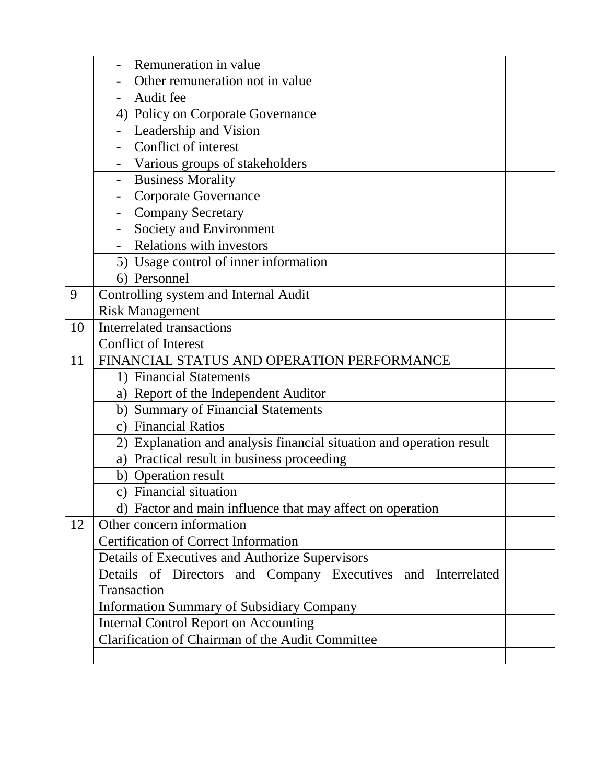|    | Remuneration in value                                                |  |  |  |  |  |  |  |
|----|----------------------------------------------------------------------|--|--|--|--|--|--|--|
|    | Other remuneration not in value                                      |  |  |  |  |  |  |  |
|    | Audit fee                                                            |  |  |  |  |  |  |  |
|    | 4) Policy on Corporate Governance                                    |  |  |  |  |  |  |  |
|    | Leadership and Vision                                                |  |  |  |  |  |  |  |
|    | Conflict of interest                                                 |  |  |  |  |  |  |  |
|    | Various groups of stakeholders                                       |  |  |  |  |  |  |  |
|    | <b>Business Morality</b>                                             |  |  |  |  |  |  |  |
|    | <b>Corporate Governance</b>                                          |  |  |  |  |  |  |  |
|    | <b>Company Secretary</b><br>$\overline{\phantom{a}}$                 |  |  |  |  |  |  |  |
|    | Society and Environment                                              |  |  |  |  |  |  |  |
|    | <b>Relations with investors</b>                                      |  |  |  |  |  |  |  |
|    | 5) Usage control of inner information                                |  |  |  |  |  |  |  |
|    | 6) Personnel                                                         |  |  |  |  |  |  |  |
| 9  | Controlling system and Internal Audit                                |  |  |  |  |  |  |  |
|    | <b>Risk Management</b>                                               |  |  |  |  |  |  |  |
| 10 | <b>Interrelated transactions</b>                                     |  |  |  |  |  |  |  |
|    | <b>Conflict of Interest</b>                                          |  |  |  |  |  |  |  |
| 11 | FINANCIAL STATUS AND OPERATION PERFORMANCE                           |  |  |  |  |  |  |  |
|    | 1) Financial Statements                                              |  |  |  |  |  |  |  |
|    | a) Report of the Independent Auditor                                 |  |  |  |  |  |  |  |
|    | b) Summary of Financial Statements                                   |  |  |  |  |  |  |  |
|    | c) Financial Ratios                                                  |  |  |  |  |  |  |  |
|    | 2) Explanation and analysis financial situation and operation result |  |  |  |  |  |  |  |
|    | a) Practical result in business proceeding                           |  |  |  |  |  |  |  |
|    | b) Operation result                                                  |  |  |  |  |  |  |  |
|    | c) Financial situation                                               |  |  |  |  |  |  |  |
|    | d) Factor and main influence that may affect on operation            |  |  |  |  |  |  |  |
| 12 | Other concern information                                            |  |  |  |  |  |  |  |
|    | <b>Certification of Correct Information</b>                          |  |  |  |  |  |  |  |
|    | Details of Executives and Authorize Supervisors                      |  |  |  |  |  |  |  |
|    | Details of Directors and Company Executives and Interrelated         |  |  |  |  |  |  |  |
|    | Transaction                                                          |  |  |  |  |  |  |  |
|    | <b>Information Summary of Subsidiary Company</b>                     |  |  |  |  |  |  |  |
|    | <b>Internal Control Report on Accounting</b>                         |  |  |  |  |  |  |  |
|    | Clarification of Chairman of the Audit Committee                     |  |  |  |  |  |  |  |
|    |                                                                      |  |  |  |  |  |  |  |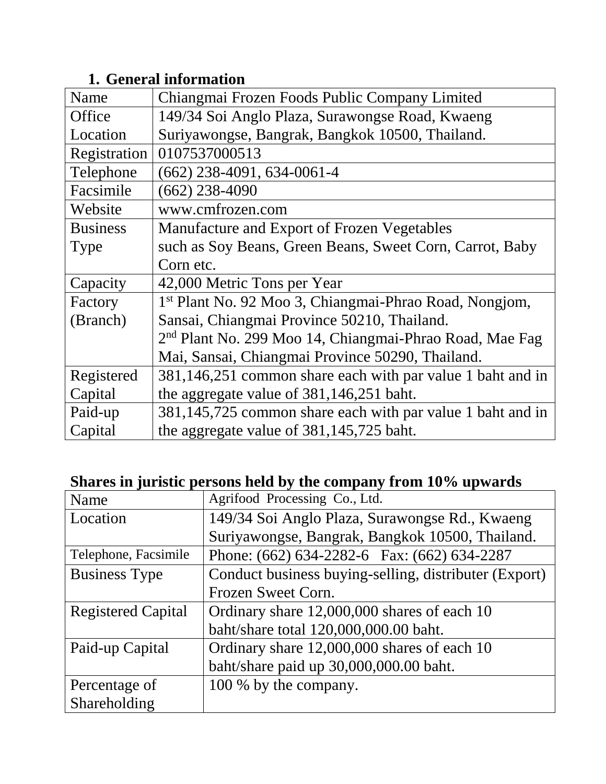### **1. General information**

| Name            | Chiangmai Frozen Foods Public Company Limited                       |
|-----------------|---------------------------------------------------------------------|
| Office          | 149/34 Soi Anglo Plaza, Surawongse Road, Kwaeng                     |
| Location        | Suriyawongse, Bangrak, Bangkok 10500, Thailand.                     |
| Registration    | 0107537000513                                                       |
| Telephone       | $(662)$ 238-4091, 634-0061-4                                        |
| Facsimile       | $(662)$ 238-4090                                                    |
| Website         | www.cmfrozen.com                                                    |
| <b>Business</b> | Manufacture and Export of Frozen Vegetables                         |
| <b>Type</b>     | such as Soy Beans, Green Beans, Sweet Corn, Carrot, Baby            |
|                 | Corn etc.                                                           |
| Capacity        | 42,000 Metric Tons per Year                                         |
| Factory         | 1 <sup>st</sup> Plant No. 92 Moo 3, Chiangmai-Phrao Road, Nongjom,  |
| (Branch)        | Sansai, Chiangmai Province 50210, Thailand.                         |
|                 | 2 <sup>nd</sup> Plant No. 299 Moo 14, Chiangmai-Phrao Road, Mae Fag |
|                 | Mai, Sansai, Chiangmai Province 50290, Thailand.                    |
| Registered      | 381,146,251 common share each with par value 1 baht and in          |
| Capital         | the aggregate value of 381,146,251 baht.                            |
| Paid-up         | 381,145,725 common share each with par value 1 baht and in          |
| Capital         | the aggregate value of 381,145,725 baht.                            |

#### **Shares in juristic persons held by the company from 10% upwards**

| Name                      | Agrifood Processing Co., Ltd.                         |
|---------------------------|-------------------------------------------------------|
| Location                  | 149/34 Soi Anglo Plaza, Surawongse Rd., Kwaeng        |
|                           | Suriyawongse, Bangrak, Bangkok 10500, Thailand.       |
| Telephone, Facsimile      | Phone: (662) 634-2282-6 Fax: (662) 634-2287           |
| <b>Business Type</b>      | Conduct business buying-selling, distributer (Export) |
|                           | Frozen Sweet Corn.                                    |
| <b>Registered Capital</b> | Ordinary share 12,000,000 shares of each 10           |
|                           | baht/share total 120,000,000.00 baht.                 |
| Paid-up Capital           | Ordinary share 12,000,000 shares of each 10           |
|                           | baht/share paid up 30,000,000.00 baht.                |
| Percentage of             | 100 % by the company.                                 |
| Shareholding              |                                                       |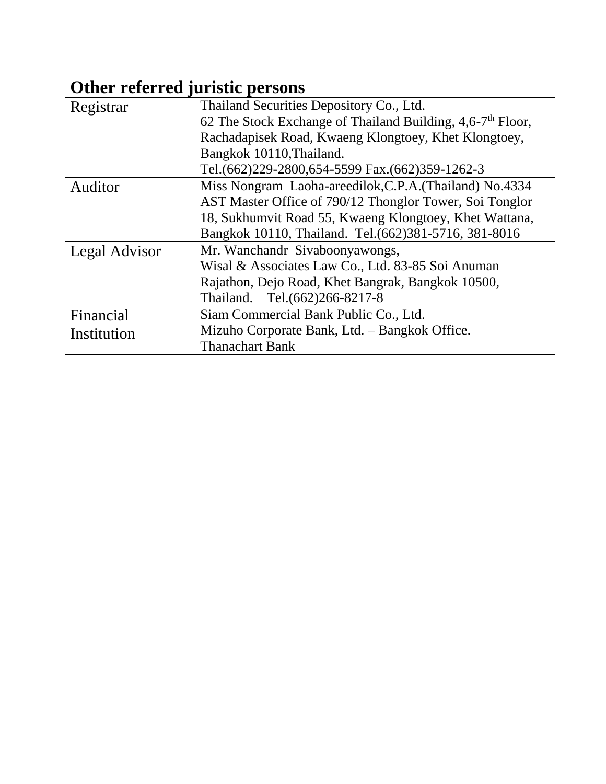# **Other referred juristic persons**

| Registrar     | Thailand Securities Depository Co., Ltd.                     |  |  |  |  |  |  |
|---------------|--------------------------------------------------------------|--|--|--|--|--|--|
|               | 62 The Stock Exchange of Thailand Building, $4.6-7th$ Floor, |  |  |  |  |  |  |
|               | Rachadapisek Road, Kwaeng Klongtoey, Khet Klongtoey,         |  |  |  |  |  |  |
|               | Bangkok 10110, Thailand.                                     |  |  |  |  |  |  |
|               | Tel.(662)229-2800,654-5599 Fax.(662)359-1262-3               |  |  |  |  |  |  |
| Auditor       | Miss Nongram Laoha-areedilok, C.P.A. (Thailand) No.4334      |  |  |  |  |  |  |
|               | AST Master Office of 790/12 Thonglor Tower, Soi Tonglor      |  |  |  |  |  |  |
|               | 18, Sukhumvit Road 55, Kwaeng Klongtoey, Khet Wattana,       |  |  |  |  |  |  |
|               | Bangkok 10110, Thailand. Tel. (662) 381-5716, 381-8016       |  |  |  |  |  |  |
| Legal Advisor | Mr. Wanchandr Sivaboonyawongs,                               |  |  |  |  |  |  |
|               | Wisal & Associates Law Co., Ltd. 83-85 Soi Anuman            |  |  |  |  |  |  |
|               | Rajathon, Dejo Road, Khet Bangrak, Bangkok 10500,            |  |  |  |  |  |  |
|               | Tel.(662)266-8217-8<br>Thailand.                             |  |  |  |  |  |  |
| Financial     | Siam Commercial Bank Public Co., Ltd.                        |  |  |  |  |  |  |
| Institution   | Mizuho Corporate Bank, Ltd. - Bangkok Office.                |  |  |  |  |  |  |
|               | <b>Thanachart Bank</b>                                       |  |  |  |  |  |  |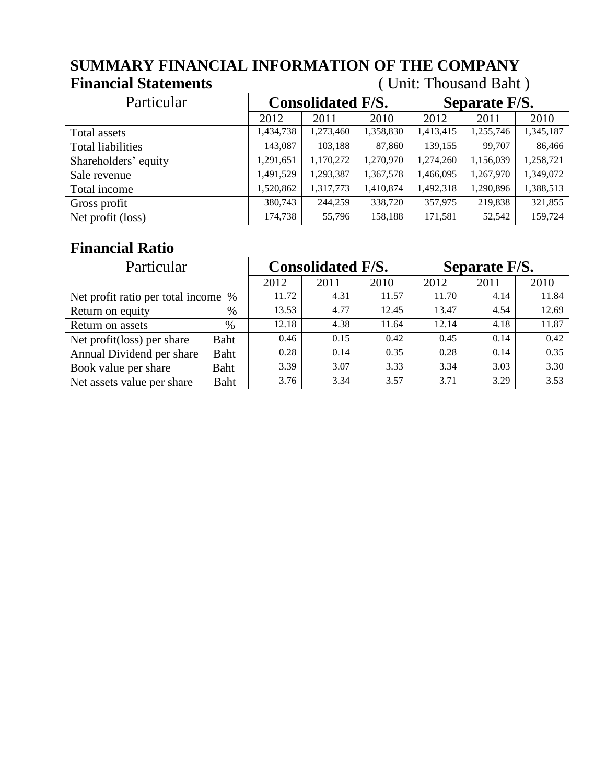# **SUMMARY FINANCIAL INFORMATION OF THE COMPANY**

#### **Financial Statements** ( Unit: Thousand Baht )

| Particular               | <b>Consolidated F/S.</b> |           |           | Separate F/S. |           |           |  |
|--------------------------|--------------------------|-----------|-----------|---------------|-----------|-----------|--|
|                          | 2012                     | 2011      | 2010      | 2012          | 2011      | 2010      |  |
| Total assets             | 1,434,738                | 1,273,460 | 1,358,830 | 1,413,415     | 1,255,746 | 1,345,187 |  |
| <b>Total liabilities</b> | 143,087                  | 103,188   | 87,860    | 139,155       | 99,707    | 86,466    |  |
| Shareholders' equity     | 1,291,651                | 1,170,272 | 1,270,970 | 1,274,260     | 1,156,039 | 1,258,721 |  |
| Sale revenue             | 1,491,529                | 1,293,387 | 1,367,578 | 1,466,095     | 1,267,970 | 1,349,072 |  |
| Total income             | 1,520,862                | 1,317,773 | 1,410,874 | 1,492,318     | 1,290,896 | 1,388,513 |  |
| Gross profit             | 380,743                  | 244,259   | 338,720   | 357,975       | 219,838   | 321,855   |  |
| Net profit (loss)        | 174,738                  | 55,796    | 158,188   | 171,581       | 52,542    | 159,724   |  |

#### **Financial Ratio**

| Particular                          |      |       | <b>Consolidated F/S.</b> |       | Separate F/S. |      |       |
|-------------------------------------|------|-------|--------------------------|-------|---------------|------|-------|
|                                     |      | 2012  | 2011                     | 2010  | 2012          | 2011 | 2010  |
| Net profit ratio per total income % |      | 11.72 | 4.31                     | 11.57 | 11.70         | 4.14 | 11.84 |
| Return on equity                    | $\%$ | 13.53 | 4.77                     | 12.45 | 13.47         | 4.54 | 12.69 |
| Return on assets                    | $\%$ | 12.18 | 4.38                     | 11.64 | 12.14         | 4.18 | 11.87 |
| Net profit(loss) per share          | Baht | 0.46  | 0.15                     | 0.42  | 0.45          | 0.14 | 0.42  |
| Annual Dividend per share           | Baht | 0.28  | 0.14                     | 0.35  | 0.28          | 0.14 | 0.35  |
| Book value per share                | Baht | 3.39  | 3.07                     | 3.33  | 3.34          | 3.03 | 3.30  |
| Net assets value per share          | Baht | 3.76  | 3.34                     | 3.57  | 3.71          | 3.29 | 3.53  |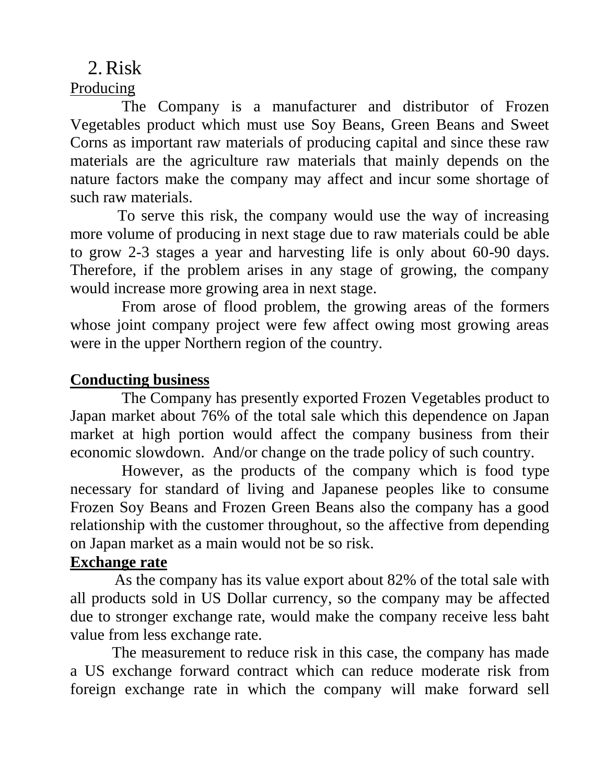# 2.Risk

### Producing

 The Company is a manufacturer and distributor of Frozen Vegetables product which must use Soy Beans, Green Beans and Sweet Corns as important raw materials of producing capital and since these raw materials are the agriculture raw materials that mainly depends on the nature factors make the company may affect and incur some shortage of such raw materials.

 To serve this risk, the company would use the way of increasing more volume of producing in next stage due to raw materials could be able to grow 2-3 stages a year and harvesting life is only about 60-90 days. Therefore, if the problem arises in any stage of growing, the company would increase more growing area in next stage.

 From arose of flood problem, the growing areas of the formers whose joint company project were few affect owing most growing areas were in the upper Northern region of the country.

#### **Conducting business**

 The Company has presently exported Frozen Vegetables product to Japan market about 76% of the total sale which this dependence on Japan market at high portion would affect the company business from their economic slowdown. And/or change on the trade policy of such country.

 However, as the products of the company which is food type necessary for standard of living and Japanese peoples like to consume Frozen Soy Beans and Frozen Green Beans also the company has a good relationship with the customer throughout, so the affective from depending on Japan market as a main would not be so risk.

#### **Exchange rate**

 As the company has its value export about 82% of the total sale with all products sold in US Dollar currency, so the company may be affected due to stronger exchange rate, would make the company receive less baht value from less exchange rate.

 The measurement to reduce risk in this case, the company has made a US exchange forward contract which can reduce moderate risk from foreign exchange rate in which the company will make forward sell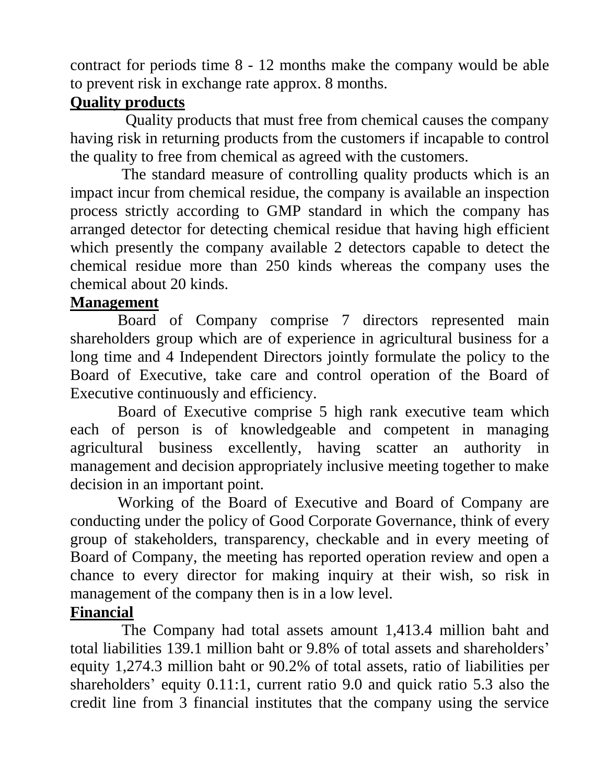contract for periods time 8 - 12 months make the company would be able to prevent risk in exchange rate approx. 8 months.

#### **Quality products**

 Quality products that must free from chemical causes the company having risk in returning products from the customers if incapable to control the quality to free from chemical as agreed with the customers.

 The standard measure of controlling quality products which is an impact incur from chemical residue, the company is available an inspection process strictly according to GMP standard in which the company has arranged detector for detecting chemical residue that having high efficient which presently the company available 2 detectors capable to detect the chemical residue more than 250 kinds whereas the company uses the chemical about 20 kinds.

### **Management**

 Board of Company comprise 7 directors represented main shareholders group which are of experience in agricultural business for a long time and 4 Independent Directors jointly formulate the policy to the Board of Executive, take care and control operation of the Board of Executive continuously and efficiency.

 Board of Executive comprise 5 high rank executive team which each of person is of knowledgeable and competent in managing agricultural business excellently, having scatter an authority in management and decision appropriately inclusive meeting together to make decision in an important point.

 Working of the Board of Executive and Board of Company are conducting under the policy of Good Corporate Governance, think of every group of stakeholders, transparency, checkable and in every meeting of Board of Company, the meeting has reported operation review and open a chance to every director for making inquiry at their wish, so risk in management of the company then is in a low level.

### **Financial**

 The Company had total assets amount 1,413.4 million baht and total liabilities 139.1 million baht or 9.8% of total assets and shareholders' equity 1,274.3 million baht or 90.2% of total assets, ratio of liabilities per shareholders' equity 0.11:1, current ratio 9.0 and quick ratio 5.3 also the credit line from 3 financial institutes that the company using the service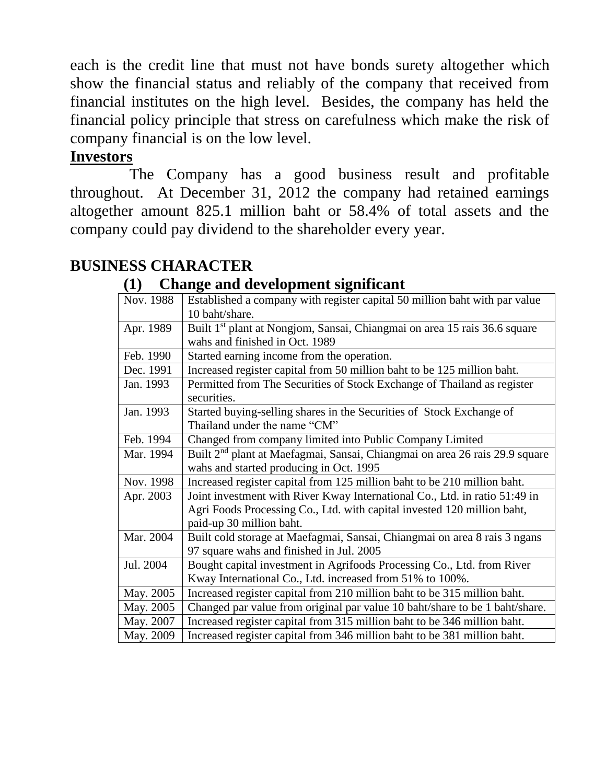each is the credit line that must not have bonds surety altogether which show the financial status and reliably of the company that received from financial institutes on the high level. Besides, the company has held the financial policy principle that stress on carefulness which make the risk of company financial is on the low level.

#### **Investors**

 The Company has a good business result and profitable throughout. At December 31, 2012 the company had retained earnings altogether amount 825.1 million baht or 58.4% of total assets and the company could pay dividend to the shareholder every year.

#### **BUSINESS CHARACTER**

#### **(1) Change and development significant**

| $\mathbf{\sigma}$                                                                       |
|-----------------------------------------------------------------------------------------|
| Established a company with register capital 50 million baht with par value              |
| 10 baht/share.                                                                          |
| Built 1 <sup>st</sup> plant at Nongjom, Sansai, Chiangmai on area 15 rais 36.6 square   |
| wahs and finished in Oct. 1989                                                          |
| Started earning income from the operation.                                              |
| Increased register capital from 50 million baht to be 125 million baht.                 |
| Permitted from The Securities of Stock Exchange of Thailand as register                 |
| securities.                                                                             |
| Started buying-selling shares in the Securities of Stock Exchange of                    |
| Thailand under the name "CM"                                                            |
| Changed from company limited into Public Company Limited                                |
| Built 2 <sup>nd</sup> plant at Maefagmai, Sansai, Chiangmai on area 26 rais 29.9 square |
| wahs and started producing in Oct. 1995                                                 |
| Increased register capital from 125 million baht to be 210 million baht.                |
| Joint investment with River Kway International Co., Ltd. in ratio 51:49 in              |
| Agri Foods Processing Co., Ltd. with capital invested 120 million baht,                 |
| paid-up 30 million baht.                                                                |
| Built cold storage at Maefagmai, Sansai, Chiangmai on area 8 rais 3 ngans               |
| 97 square wahs and finished in Jul. 2005                                                |
| Bought capital investment in Agrifoods Processing Co., Ltd. from River                  |
| Kway International Co., Ltd. increased from 51% to 100%.                                |
| Increased register capital from 210 million baht to be 315 million baht.                |
| Changed par value from original par value 10 baht/share to be 1 baht/share.             |
| Increased register capital from 315 million baht to be 346 million baht.                |
| Increased register capital from 346 million baht to be 381 million baht.                |
|                                                                                         |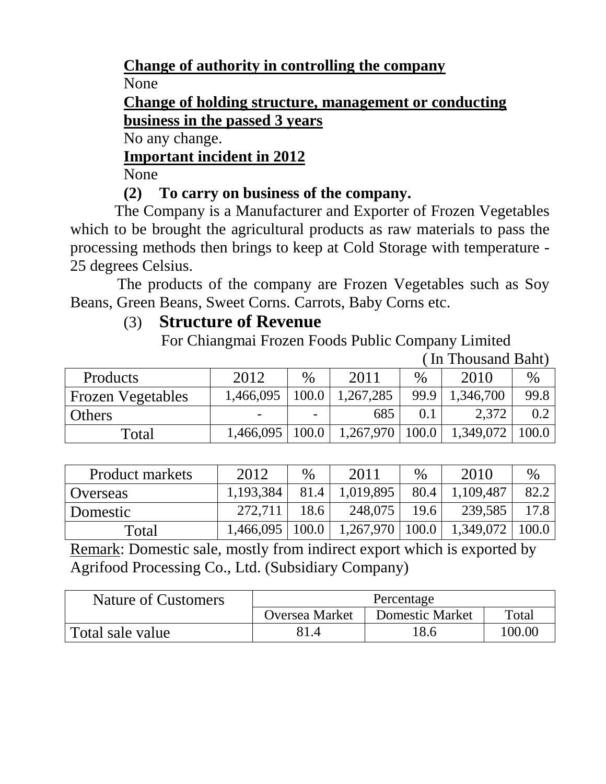#### **Change of authority in controlling the company**

None

**Change of holding structure, management or conducting business in the passed 3 years**

No any change.

### **Important incident in 2012**

None

### **(2) To carry on business of the company.**

 The Company is a Manufacturer and Exporter of Frozen Vegetables which to be brought the agricultural products as raw materials to pass the processing methods then brings to keep at Cold Storage with temperature - 25 degrees Celsius.

 The products of the company are Frozen Vegetables such as Soy Beans, Green Beans, Sweet Corns. Carrots, Baby Corns etc.

### (3) **Structure of Revenue**

For Chiangmai Frozen Foods Public Company Limited

( In Thousand Baht)

| <b>Products</b>          | 2012 | $\%$                     | 2011                                                  | $\%$ | 2010                | $\%$ |
|--------------------------|------|--------------------------|-------------------------------------------------------|------|---------------------|------|
| <b>Frozen Vegetables</b> |      |                          | $1,466,095$   100.0   1,267,285                       | 99.9 | 1,346,700           | 99.8 |
| <b>Others</b>            |      | $\overline{\phantom{0}}$ | 685                                                   | 0.1  | 2,372               |      |
| Total                    |      |                          | $1,466,095 \mid 100.0 \mid 1,267,970 \mid 100.0 \mid$ |      | $1,349,072$   100.0 |      |

| <b>Product markets</b> | 2012      | $\%$ | 2011      | $\%$ | 2010                                                                       | $\%$ |
|------------------------|-----------|------|-----------|------|----------------------------------------------------------------------------|------|
| <b>Overseas</b>        | 1,193,384 | 81.4 | 1,019,895 | 80.4 | 1,109,487                                                                  | 82.2 |
| Domestic               | 272,711   | 18.6 | 248,075   | 19.6 | 239,585                                                                    | 17.8 |
| Total                  |           |      |           |      | $1,466,095 \mid 100.0 \mid 1,267,970 \mid 100.0 \mid 1,349,072 \mid 100.0$ |      |

Remark: Domestic sale, mostly from indirect export which is exported by Agrifood Processing Co., Ltd. (Subsidiary Company)

| Nature of Customers | Percentage                                               |      |        |  |  |
|---------------------|----------------------------------------------------------|------|--------|--|--|
|                     | <b>Domestic Market</b><br>Total<br><b>Oversea Market</b> |      |        |  |  |
| Total sale value    | 81.4                                                     | 18.6 | 100.00 |  |  |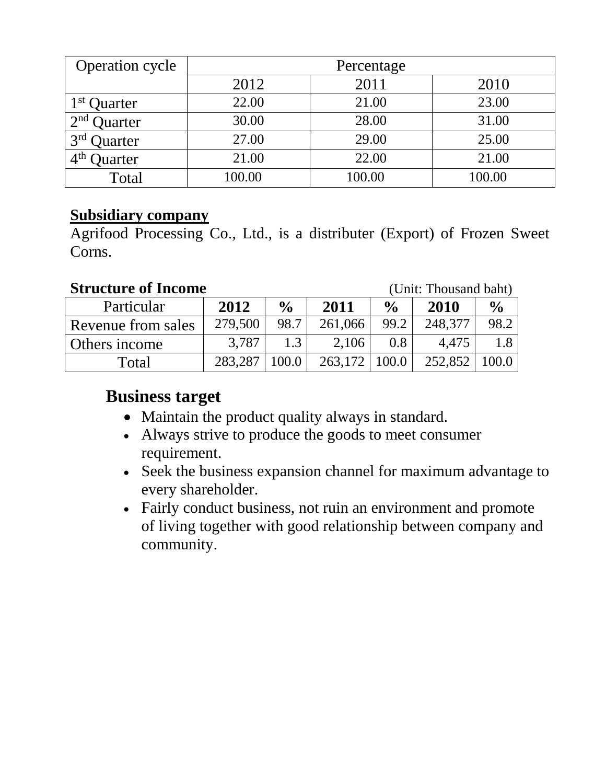| Operation cycle            | Percentage |        |        |  |  |
|----------------------------|------------|--------|--------|--|--|
|                            | 2012       | 2011   | 2010   |  |  |
| 1 <sup>st</sup> Quarter    | 22.00      | 21.00  | 23.00  |  |  |
| 2 <sup>nd</sup><br>Quarter | 30.00      | 28.00  | 31.00  |  |  |
| 3 <sup>rd</sup><br>Quarter | 27.00      | 29.00  | 25.00  |  |  |
| 4 <sup>th</sup><br>)uarter | 21.00      | 22.00  | 21.00  |  |  |
| Total                      | 100.00     | 100.00 | 100.00 |  |  |

#### **Subsidiary company**

Agrifood Processing Co., Ltd., is a distributer (Export) of Frozen Sweet Corns.

#### **Structure of Income** (Unit: Thousand baht)

| Particular         | 2012    | $\frac{0}{0}$ | 2011              | $\frac{6}{6}$ | 2010    | $\frac{0}{0}$ |
|--------------------|---------|---------------|-------------------|---------------|---------|---------------|
| Revenue from sales | 279,500 | 98.7          | 261,066           | 99.2          | 248,377 | 98.2          |
| Others income      | 3,787   | 1.3           | 2,106             | 0.8           | 4.475   |               |
| Total              | 283,287 | 100.0         | $263,172$   100.0 |               | 252,852 | 100.0         |

### **Business target**

- Maintain the product quality always in standard.
- Always strive to produce the goods to meet consumer requirement.
- Seek the business expansion channel for maximum advantage to every shareholder.
- Fairly conduct business, not ruin an environment and promote of living together with good relationship between company and community.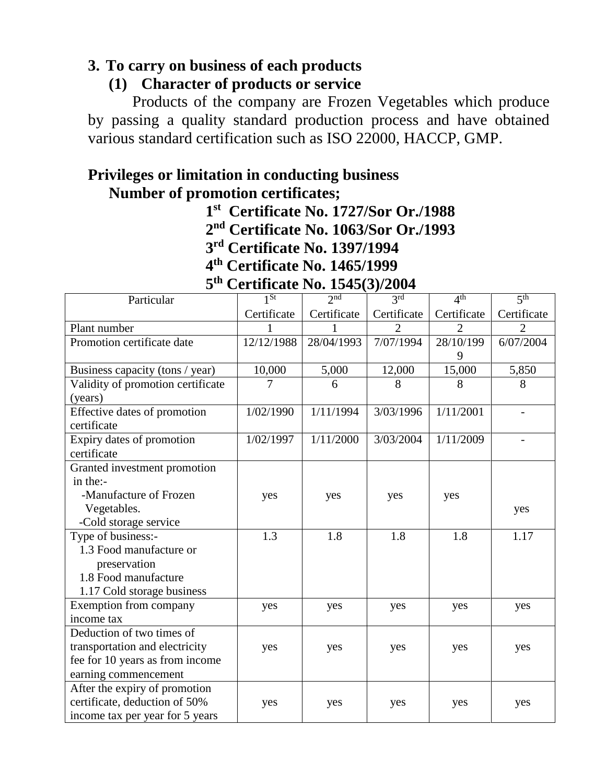#### **3. To carry on business of each products**

#### **(1) Character of products or service**

Products of the company are Frozen Vegetables which produce by passing a quality standard production process and have obtained various standard certification such as ISO 22000, HACCP, GMP.

#### **Privileges or limitation in conducting business Number of promotion certificates;**

 **1**

**st Certificate No. 1727/Sor Or./1988 nd Certificate No. 1063/Sor Or./1993**

 **2 3 rd Certificate No. 1397/1994**

*4* **th Certificate No. 1465/1999**

|  | 5 <sup>th</sup> Certificate No. 1545(3)/2004 |  |
|--|----------------------------------------------|--|
|--|----------------------------------------------|--|

| 5 <sup>th</sup><br><b>Certificate No. 1545(3)/2004</b> |             |             |                   |                 |                 |  |  |  |
|--------------------------------------------------------|-------------|-------------|-------------------|-----------------|-----------------|--|--|--|
| Particular                                             | $1^{St}$    | 2nd         | $\overline{3}$ rd | 4 <sup>th</sup> | 5 <sup>th</sup> |  |  |  |
|                                                        | Certificate | Certificate | Certificate       | Certificate     | Certificate     |  |  |  |
| Plant number                                           | 1           |             | $\overline{2}$    | $\overline{2}$  | $\overline{2}$  |  |  |  |
| Promotion certificate date                             | 12/12/1988  | 28/04/1993  | 7/07/1994         | 28/10/199       | 6/07/2004       |  |  |  |
|                                                        |             |             |                   | 9               |                 |  |  |  |
| Business capacity (tons / year)                        | 10,000      | 5,000       | 12,000            | 15,000          | 5,850           |  |  |  |
| Validity of promotion certificate                      |             | 6           | 8                 | 8               | 8               |  |  |  |
| (years)                                                |             |             |                   |                 |                 |  |  |  |
| Effective dates of promotion                           | 1/02/1990   | 1/11/1994   | 3/03/1996         | 1/11/2001       |                 |  |  |  |
| certificate                                            |             |             |                   |                 |                 |  |  |  |
| Expiry dates of promotion                              | 1/02/1997   | 1/11/2000   | 3/03/2004         | 1/11/2009       |                 |  |  |  |
| certificate                                            |             |             |                   |                 |                 |  |  |  |
| Granted investment promotion                           |             |             |                   |                 |                 |  |  |  |
| in the:-                                               |             |             |                   |                 |                 |  |  |  |
| -Manufacture of Frozen                                 | yes         | yes         | yes               | yes             |                 |  |  |  |
| Vegetables.                                            |             |             |                   |                 | yes             |  |  |  |
| -Cold storage service                                  |             |             |                   |                 |                 |  |  |  |
| Type of business:-                                     | 1.3         | 1.8         | 1.8               | 1.8             | 1.17            |  |  |  |
| 1.3 Food manufacture or                                |             |             |                   |                 |                 |  |  |  |
| preservation                                           |             |             |                   |                 |                 |  |  |  |
| 1.8 Food manufacture                                   |             |             |                   |                 |                 |  |  |  |
| 1.17 Cold storage business                             |             |             |                   |                 |                 |  |  |  |
| Exemption from company                                 | yes         | yes         | yes               | yes             | yes             |  |  |  |
| income tax                                             |             |             |                   |                 |                 |  |  |  |
| Deduction of two times of                              |             |             |                   |                 |                 |  |  |  |
| transportation and electricity                         | yes         | yes         | yes               | yes             | yes             |  |  |  |
| fee for 10 years as from income                        |             |             |                   |                 |                 |  |  |  |
| earning commencement                                   |             |             |                   |                 |                 |  |  |  |
| After the expiry of promotion                          |             |             |                   |                 |                 |  |  |  |
| certificate, deduction of 50%                          | yes         | yes         | yes               | yes             | yes             |  |  |  |
| income tax per year for 5 years                        |             |             |                   |                 |                 |  |  |  |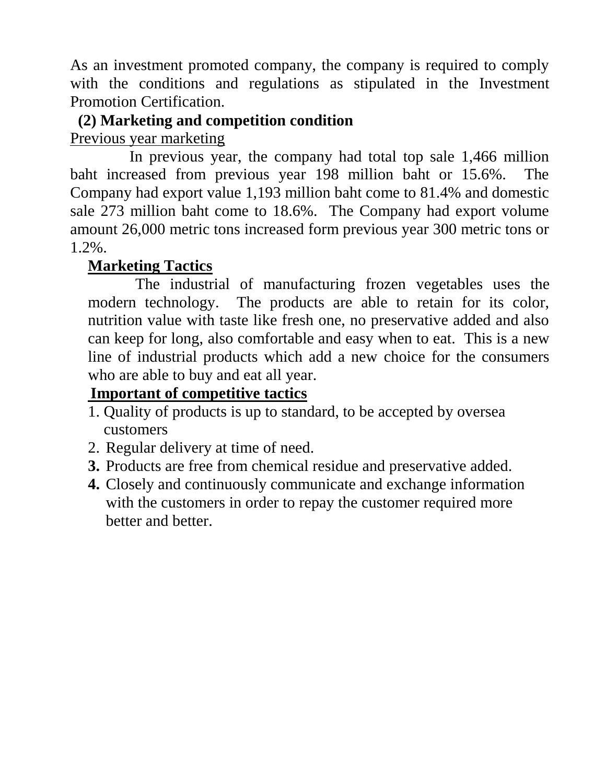As an investment promoted company, the company is required to comply with the conditions and regulations as stipulated in the Investment Promotion Certification.

#### **(2) Marketing and competition condition** Previous year marketing

 In previous year, the company had total top sale 1,466 million baht increased from previous year 198 million baht or 15.6%. The Company had export value 1,193 million baht come to 81.4% and domestic sale 273 million baht come to 18.6%. The Company had export volume amount 26,000 metric tons increased form previous year 300 metric tons or 1.2%.

### **Marketing Tactics**

 The industrial of manufacturing frozen vegetables uses the modern technology. The products are able to retain for its color, nutrition value with taste like fresh one, no preservative added and also can keep for long, also comfortable and easy when to eat. This is a new line of industrial products which add a new choice for the consumers who are able to buy and eat all year.

### **Important of competitive tactics**

- 1. Quality of products is up to standard, to be accepted by oversea customers
- 2. Regular delivery at time of need.
- **3.** Products are free from chemical residue and preservative added.
- **4.** Closely and continuously communicate and exchange information with the customers in order to repay the customer required more better and better.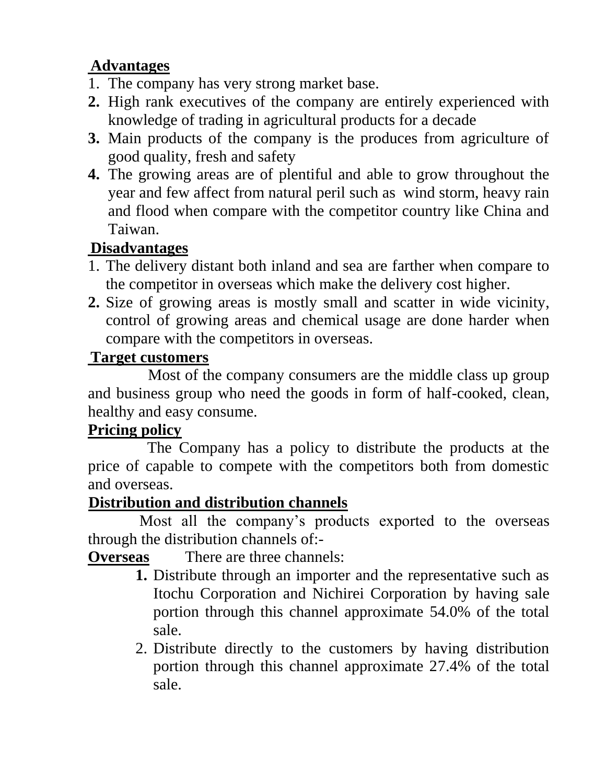### **Advantages**

- 1. The company has very strong market base.
- **2.** High rank executives of the company are entirely experienced with knowledge of trading in agricultural products for a decade
- **3.** Main products of the company is the produces from agriculture of good quality, fresh and safety
- **4.** The growing areas are of plentiful and able to grow throughout the year and few affect from natural peril such as wind storm, heavy rain and flood when compare with the competitor country like China and Taiwan.

### **Disadvantages**

- 1. The delivery distant both inland and sea are farther when compare to the competitor in overseas which make the delivery cost higher.
- **2.** Size of growing areas is mostly small and scatter in wide vicinity, control of growing areas and chemical usage are done harder when compare with the competitors in overseas.

### **Target customers**

Most of the company consumers are the middle class up group and business group who need the goods in form of half-cooked, clean, healthy and easy consume.

### **Pricing policy**

 The Company has a policy to distribute the products at the price of capable to compete with the competitors both from domestic and overseas.

### **Distribution and distribution channels**

 Most all the company's products exported to the overseas through the distribution channels of:-

**Overseas** There are three channels:

- **1.** Distribute through an importer and the representative such as Itochu Corporation and Nichirei Corporation by having sale portion through this channel approximate 54.0% of the total sale.
- 2. Distribute directly to the customers by having distribution portion through this channel approximate 27.4% of the total sale.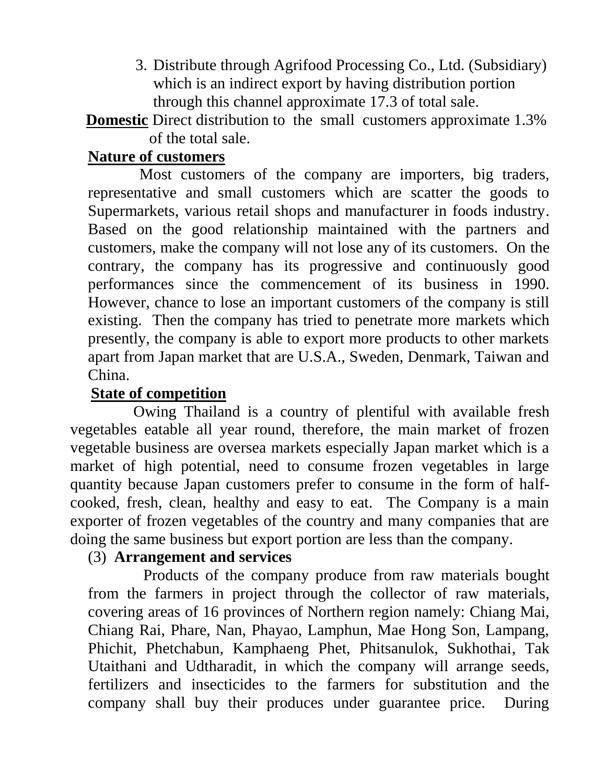3. Distribute through Agrifood Processing Co., Ltd. (Subsidiary) which is an indirect export by having distribution portion through this channel approximate 17.3 of total sale.

**Domestic** Direct distribution to the small customers approximate 1.3% of the total sale.

#### **Nature of customers**

 Most customers of the company are importers, big traders, representative and small customers which are scatter the goods to Supermarkets, various retail shops and manufacturer in foods industry. Based on the good relationship maintained with the partners and customers, make the company will not lose any of its customers. On the contrary, the company has its progressive and continuously good performances since the commencement of its business in 1990. However, chance to lose an important customers of the company is still existing. Then the company has tried to penetrate more markets which presently, the company is able to export more products to other markets apart from Japan market that are U.S.A., Sweden, Denmark, Taiwan and China.

#### **State of competition**

 Owing Thailand is a country of plentiful with available fresh vegetables eatable all year round, therefore, the main market of frozen vegetable business are oversea markets especially Japan market which is a market of high potential, need to consume frozen vegetables in large quantity because Japan customers prefer to consume in the form of halfcooked, fresh, clean, healthy and easy to eat. The Company is a main exporter of frozen vegetables of the country and many companies that are doing the same business but export portion are less than the company.

#### (3) **Arrangement and services**

 Products of the company produce from raw materials bought from the farmers in project through the collector of raw materials, covering areas of 16 provinces of Northern region namely: Chiang Mai, Chiang Rai, Phare, Nan, Phayao, Lamphun, Mae Hong Son, Lampang, Phichit, Phetchabun, Kamphaeng Phet, Phitsanulok, Sukhothai, Tak Utaithani and Udtharadit, in which the company will arrange seeds, fertilizers and insecticides to the farmers for substitution and the company shall buy their produces under guarantee price. During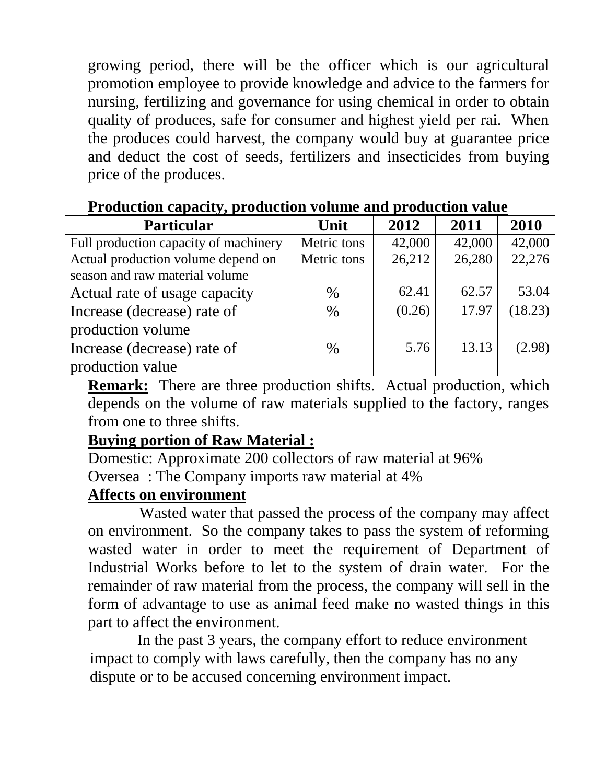growing period, there will be the officer which is our agricultural promotion employee to provide knowledge and advice to the farmers for nursing, fertilizing and governance for using chemical in order to obtain quality of produces, safe for consumer and highest yield per rai. When the produces could harvest, the company would buy at guarantee price and deduct the cost of seeds, fertilizers and insecticides from buying price of the produces.

| <b>Particular</b>                                                    | Unit        | 2012   | 2011   | 2010    |
|----------------------------------------------------------------------|-------------|--------|--------|---------|
| Full production capacity of machinery                                | Metric tons | 42,000 | 42,000 | 42,000  |
| Actual production volume depend on<br>season and raw material volume | Metric tons | 26,212 | 26,280 | 22,276  |
| Actual rate of usage capacity                                        | $\%$        | 62.41  | 62.57  | 53.04   |
| Increase (decrease) rate of                                          | $\%$        | (0.26) | 17.97  | (18.23) |
| production volume                                                    |             |        |        |         |
| Increase (decrease) rate of                                          | $\%$        | 5.76   | 13.13  | (2.98)  |
| production value                                                     |             |        |        |         |

#### **Production capacity, production volume and production value**

**Remark:** There are three production shifts. Actual production, which depends on the volume of raw materials supplied to the factory, ranges from one to three shifts.

#### **Buying portion of Raw Material :**

Domestic: Approximate 200 collectors of raw material at 96% Oversea : The Company imports raw material at 4%

#### **Affects on environment**

 Wasted water that passed the process of the company may affect on environment. So the company takes to pass the system of reforming wasted water in order to meet the requirement of Department of Industrial Works before to let to the system of drain water. For the remainder of raw material from the process, the company will sell in the form of advantage to use as animal feed make no wasted things in this part to affect the environment.

 In the past 3 years, the company effort to reduce environment impact to comply with laws carefully, then the company has no any dispute or to be accused concerning environment impact.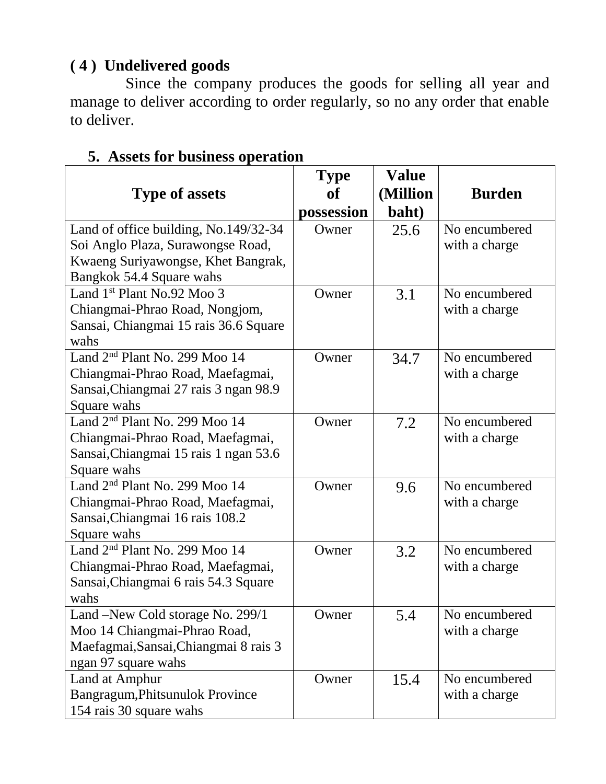#### **( 4 ) Undelivered goods**

 Since the company produces the goods for selling all year and manage to deliver according to order regularly, so no any order that enable to deliver.

|                                           | <b>Type</b> | <b>Value</b> |               |
|-------------------------------------------|-------------|--------------|---------------|
| <b>Type of assets</b>                     | of          | (Million     | <b>Burden</b> |
|                                           | possession  | baht)        |               |
| Land of office building, No.149/32-34     | Owner       | 25.6         | No encumbered |
| Soi Anglo Plaza, Surawongse Road,         |             |              | with a charge |
| Kwaeng Suriyawongse, Khet Bangrak,        |             |              |               |
| Bangkok 54.4 Square wahs                  |             |              |               |
| Land $1st$ Plant No.92 Moo 3              | Owner       | 3.1          | No encumbered |
| Chiangmai-Phrao Road, Nongjom,            |             |              | with a charge |
| Sansai, Chiangmai 15 rais 36.6 Square     |             |              |               |
| wahs                                      |             |              |               |
| Land 2 <sup>nd</sup> Plant No. 299 Moo 14 | Owner       | 34.7         | No encumbered |
| Chiangmai-Phrao Road, Maefagmai,          |             |              | with a charge |
| Sansai, Chiangmai 27 rais 3 ngan 98.9     |             |              |               |
| Square wahs                               |             |              |               |
| Land 2 <sup>nd</sup> Plant No. 299 Moo 14 | Owner       | 7.2          | No encumbered |
| Chiangmai-Phrao Road, Maefagmai,          |             |              | with a charge |
| Sansai, Chiangmai 15 rais 1 ngan 53.6     |             |              |               |
| Square wahs                               |             |              |               |
| Land 2 <sup>nd</sup> Plant No. 299 Moo 14 | Owner       | 9.6          | No encumbered |
| Chiangmai-Phrao Road, Maefagmai,          |             |              | with a charge |
| Sansai, Chiangmai 16 rais 108.2           |             |              |               |
| Square wahs                               |             |              |               |
| Land 2 <sup>nd</sup> Plant No. 299 Moo 14 | Owner       | 3.2          | No encumbered |
| Chiangmai-Phrao Road, Maefagmai,          |             |              | with a charge |
| Sansai, Chiangmai 6 rais 54.3 Square      |             |              |               |
| wahs                                      |             |              |               |
| Land -New Cold storage No. 299/1          | Owner       | 5.4          | No encumbered |
| Moo 14 Chiangmai-Phrao Road,              |             |              | with a charge |
| Maefagmai, Sansai, Chiangmai 8 rais 3     |             |              |               |
| ngan 97 square wahs                       |             |              |               |
| Land at Amphur                            | Owner       | 15.4         | No encumbered |
| Bangragum, Phitsunulok Province           |             |              | with a charge |
| 154 rais 30 square wahs                   |             |              |               |

#### **5. Assets for business operation**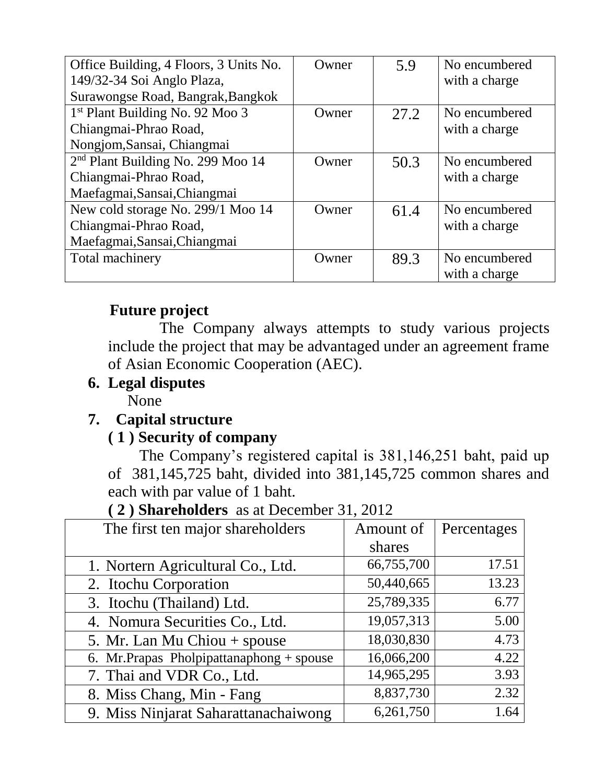| Office Building, 4 Floors, 3 Units No.      | Owner | 5.9  | No encumbered |
|---------------------------------------------|-------|------|---------------|
| 149/32-34 Soi Anglo Plaza,                  |       |      | with a charge |
| Surawongse Road, Bangrak, Bangkok           |       |      |               |
| 1 <sup>st</sup> Plant Building No. 92 Moo 3 | Owner | 27.2 | No encumbered |
| Chiangmai-Phrao Road,                       |       |      | with a charge |
| Nongjom, Sansai, Chiangmai                  |       |      |               |
| $2nd$ Plant Building No. 299 Moo 14         | Owner | 50.3 | No encumbered |
| Chiangmai-Phrao Road,                       |       |      | with a charge |
| Maefagmai, Sansai, Chiangmai                |       |      |               |
| New cold storage No. 299/1 Moo 14           | Owner | 61.4 | No encumbered |
| Chiangmai-Phrao Road,                       |       |      | with a charge |
| Maefagmai, Sansai, Chiangmai                |       |      |               |
| Total machinery                             | Owner | 89.3 | No encumbered |
|                                             |       |      | with a charge |

#### **Future project**

 The Company always attempts to study various projects include the project that may be advantaged under an agreement frame of Asian Economic Cooperation (AEC).

#### **6. Legal disputes**

None

### **7. Capital structure**

#### **( 1 ) Security of company**

 The Company's registered capital is 381,146,251 baht, paid up of 381,145,725 baht, divided into 381,145,725 common shares and each with par value of 1 baht.

| The first ten major shareholders         | Amount of  | Percentages |
|------------------------------------------|------------|-------------|
|                                          | shares     |             |
| 1. Nortern Agricultural Co., Ltd.        | 66,755,700 | 17.51       |
| 2. Itochu Corporation                    | 50,440,665 | 13.23       |
| 3. Itochu (Thailand) Ltd.                | 25,789,335 | 6.77        |
| 4. Nomura Securities Co., Ltd.           | 19,057,313 | 5.00        |
| 5. Mr. Lan Mu Chiou + spouse             | 18,030,830 | 4.73        |
| 6. Mr.Prapas Pholpipattanaphong + spouse | 16,066,200 | 4.22        |
| 7. Thai and VDR Co., Ltd.                | 14,965,295 | 3.93        |
| 8. Miss Chang, Min - Fang                | 8,837,730  | 2.32        |
| 9. Miss Ninjarat Saharattanachaiwong     | 6,261,750  | 1.64        |

**( 2 ) Shareholders** as at December 31, 2012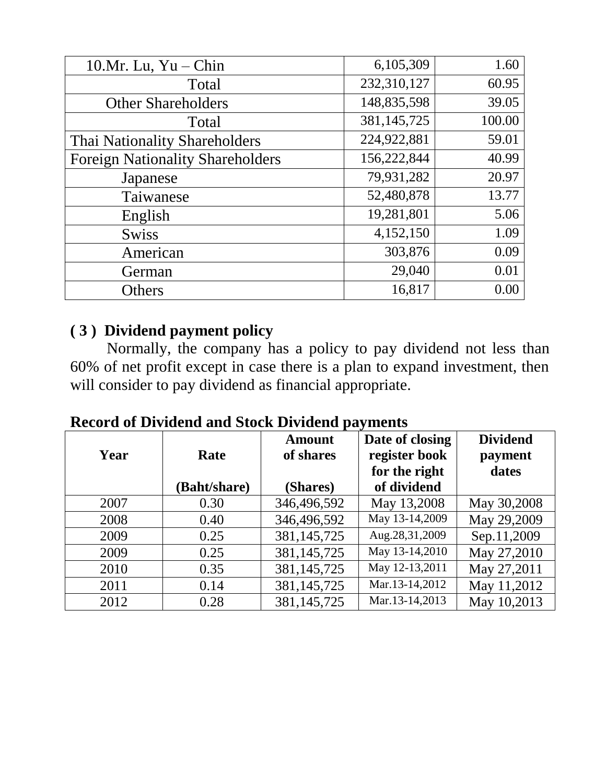| 10. $Mr. Lu, Yu - Chin$                 | 6,105,309   | 1.60   |
|-----------------------------------------|-------------|--------|
| Total                                   | 232,310,127 | 60.95  |
| <b>Other Shareholders</b>               | 148,835,598 | 39.05  |
| Total                                   | 381,145,725 | 100.00 |
| Thai Nationality Shareholders           | 224,922,881 | 59.01  |
| <b>Foreign Nationality Shareholders</b> | 156,222,844 | 40.99  |
| Japanese                                | 79,931,282  | 20.97  |
| Taiwanese                               | 52,480,878  | 13.77  |
| English                                 | 19,281,801  | 5.06   |
| <b>Swiss</b>                            | 4,152,150   | 1.09   |
| American                                | 303,876     | 0.09   |
| German                                  | 29,040      | 0.01   |
| Others                                  | 16,817      | 0.00   |

#### **( 3 ) Dividend payment policy**

 Normally, the company has a policy to pay dividend not less than 60% of net profit except in case there is a plan to expand investment, then will consider to pay dividend as financial appropriate.

| Year | Rate         | <b>Amount</b><br>of shares | Date of closing<br>register book<br>for the right | <b>Dividend</b><br>payment<br>dates |
|------|--------------|----------------------------|---------------------------------------------------|-------------------------------------|
|      | (Baht/share) | (Shares)                   | of dividend                                       |                                     |
| 2007 | 0.30         | 346,496,592                | May 13,2008                                       | May 30,2008                         |
| 2008 | 0.40         | 346,496,592                | May 13-14,2009                                    | May 29,2009                         |
| 2009 | 0.25         | 381, 145, 725              | Aug.28,31,2009                                    | Sep.11,2009                         |
| 2009 | 0.25         | 381, 145, 725              | May 13-14,2010                                    | May 27,2010                         |
| 2010 | 0.35         | 381, 145, 725              | May 12-13,2011                                    | May 27,2011                         |
| 2011 | 0.14         | 381, 145, 725              | Mar.13-14,2012                                    | May 11,2012                         |
| 2012 | 0.28         | 381, 145, 725              | Mar.13-14,2013                                    | May 10,2013                         |

**Record of Dividend and Stock Dividend payments**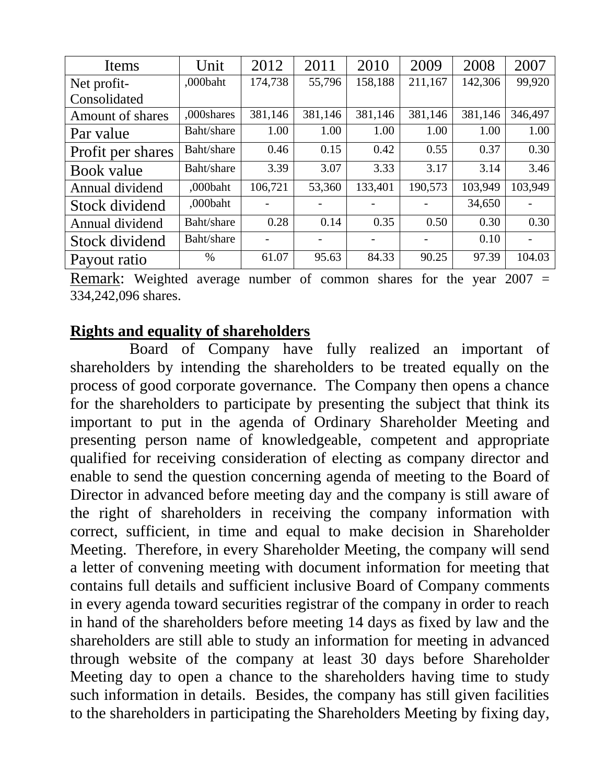| Items             | Unit       | 2012    | 2011    | 2010    | 2009    | 2008    | 2007    |
|-------------------|------------|---------|---------|---------|---------|---------|---------|
| Net profit-       | ,000baht   | 174,738 | 55,796  | 158,188 | 211,167 | 142,306 | 99,920  |
| Consolidated      |            |         |         |         |         |         |         |
| Amount of shares  | ,000shares | 381,146 | 381,146 | 381,146 | 381,146 | 381,146 | 346,497 |
| Par value         | Baht/share | 1.00    | 1.00    | 1.00    | 1.00    | 1.00    | 1.00    |
| Profit per shares | Baht/share | 0.46    | 0.15    | 0.42    | 0.55    | 0.37    | 0.30    |
| Book value        | Baht/share | 3.39    | 3.07    | 3.33    | 3.17    | 3.14    | 3.46    |
| Annual dividend   | .000baht   | 106,721 | 53,360  | 133,401 | 190,573 | 103,949 | 103,949 |
| Stock dividend    | ,000baht   |         |         |         |         | 34,650  |         |
| Annual dividend   | Baht/share | 0.28    | 0.14    | 0.35    | 0.50    | 0.30    | 0.30    |
| Stock dividend    | Baht/share |         |         |         |         | 0.10    |         |
| Payout ratio      | $\%$       | 61.07   | 95.63   | 84.33   | 90.25   | 97.39   | 104.03  |

Remark: Weighted average number of common shares for the year 2007 = 334,242,096 shares.

#### **Rights and equality of shareholders**

 Board of Company have fully realized an important of shareholders by intending the shareholders to be treated equally on the process of good corporate governance. The Company then opens a chance for the shareholders to participate by presenting the subject that think its important to put in the agenda of Ordinary Shareholder Meeting and presenting person name of knowledgeable, competent and appropriate qualified for receiving consideration of electing as company director and enable to send the question concerning agenda of meeting to the Board of Director in advanced before meeting day and the company is still aware of the right of shareholders in receiving the company information with correct, sufficient, in time and equal to make decision in Shareholder Meeting. Therefore, in every Shareholder Meeting, the company will send a letter of convening meeting with document information for meeting that contains full details and sufficient inclusive Board of Company comments in every agenda toward securities registrar of the company in order to reach in hand of the shareholders before meeting 14 days as fixed by law and the shareholders are still able to study an information for meeting in advanced through website of the company at least 30 days before Shareholder Meeting day to open a chance to the shareholders having time to study such information in details. Besides, the company has still given facilities to the shareholders in participating the Shareholders Meeting by fixing day,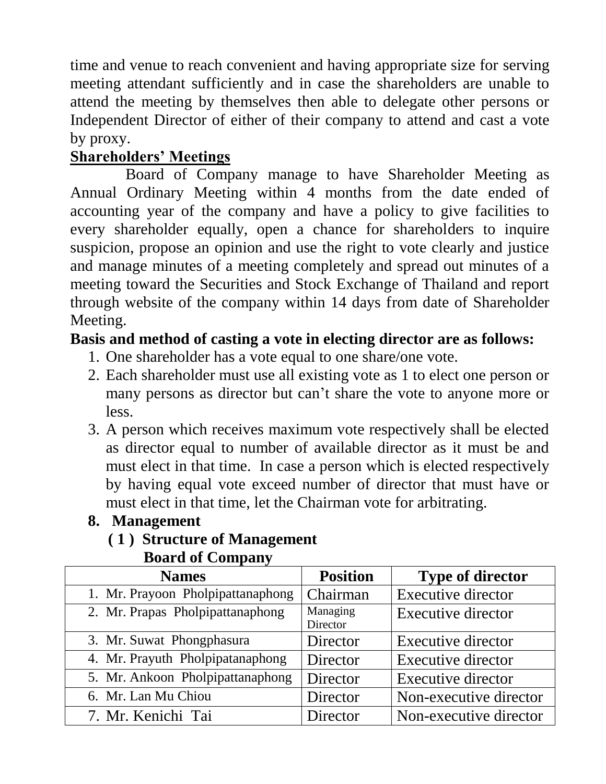time and venue to reach convenient and having appropriate size for serving meeting attendant sufficiently and in case the shareholders are unable to attend the meeting by themselves then able to delegate other persons or Independent Director of either of their company to attend and cast a vote by proxy.

### **Shareholders' Meetings**

 Board of Company manage to have Shareholder Meeting as Annual Ordinary Meeting within 4 months from the date ended of accounting year of the company and have a policy to give facilities to every shareholder equally, open a chance for shareholders to inquire suspicion, propose an opinion and use the right to vote clearly and justice and manage minutes of a meeting completely and spread out minutes of a meeting toward the Securities and Stock Exchange of Thailand and report through website of the company within 14 days from date of Shareholder Meeting.

#### **Basis and method of casting a vote in electing director are as follows:**

- 1. One shareholder has a vote equal to one share/one vote.
- 2. Each shareholder must use all existing vote as 1 to elect one person or many persons as director but can't share the vote to anyone more or less.
- 3. A person which receives maximum vote respectively shall be elected as director equal to number of available director as it must be and must elect in that time. In case a person which is elected respectively by having equal vote exceed number of director that must have or must elect in that time, let the Chairman vote for arbitrating.
- **8. Management**

#### **( 1 ) Structure of Management**

 **Board of Company**

| <b>Names</b>                      | <b>Position</b>      | <b>Type of director</b>   |
|-----------------------------------|----------------------|---------------------------|
| 1. Mr. Prayoon Pholpipattanaphong | Chairman             | <b>Executive director</b> |
| 2. Mr. Prapas Pholpipattanaphong  | Managing<br>Director | <b>Executive director</b> |
| 3. Mr. Suwat Phongphasura         | Director             | <b>Executive director</b> |
| 4. Mr. Prayuth Pholpipatanaphong  | Director             | <b>Executive director</b> |
| 5. Mr. Ankoon Pholpipattanaphong  | Director             | <b>Executive director</b> |
| 6. Mr. Lan Mu Chiou               | Director             | Non-executive director    |
| 7. Mr. Kenichi Tai                | Director             | Non-executive director    |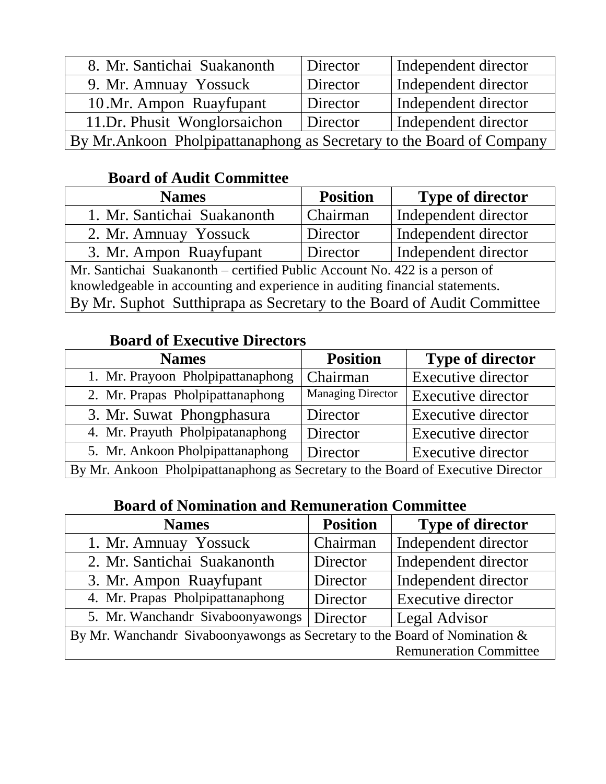| 8. Mr. Santichai Suakanonth                                           | Director | Independent director |
|-----------------------------------------------------------------------|----------|----------------------|
| 9. Mr. Amnuay Yossuck                                                 | Director | Independent director |
| 10.Mr. Ampon Ruayfupant                                               | Director | Independent director |
| 11.Dr. Phusit Wonglorsaichon                                          | Director | Independent director |
| By Mr. Ankoon Pholpipattanaphong as Secretary to the Board of Company |          |                      |

### **Board of Audit Committee**

| <b>Names</b>                                                                 | <b>Position</b> | <b>Type of director</b> |
|------------------------------------------------------------------------------|-----------------|-------------------------|
| 1. Mr. Santichai Suakanonth                                                  | Chairman        | Independent director    |
| 2. Mr. Amnuay Yossuck                                                        | Director        | Independent director    |
| 3. Mr. Ampon Ruayfupant                                                      | Director        | Independent director    |
| Mr. Santichai Suakanonth – certified Public Account No. 422 is a person of   |                 |                         |
| knowledgeable in accounting and experience in auditing financial statements. |                 |                         |
| By Mr. Suphot Sutthiprapa as Secretary to the Board of Audit Committee       |                 |                         |

### **Board of Executive Directors**

| <b>Names</b>                                                                     | <b>Position</b>          | <b>Type of director</b>   |
|----------------------------------------------------------------------------------|--------------------------|---------------------------|
| 1. Mr. Prayoon Pholpipattanaphong                                                | Chairman                 | <b>Executive director</b> |
| 2. Mr. Prapas Pholpipattanaphong                                                 | <b>Managing Director</b> | <b>Executive director</b> |
| 3. Mr. Suwat Phongphasura                                                        | Director                 | <b>Executive director</b> |
| 4. Mr. Prayuth Pholpipatanaphong                                                 | Director                 | Executive director        |
| 5. Mr. Ankoon Pholpipattanaphong<br>Director<br>Executive director               |                          |                           |
| By Mr. Ankoon Pholpipattanaphong as Secretary to the Board of Executive Director |                          |                           |

### **Board of Nomination and Remuneration Committee**

| <b>Names</b>                                                               | <b>Position</b> | <b>Type of director</b>       |
|----------------------------------------------------------------------------|-----------------|-------------------------------|
| 1. Mr. Amnuay Yossuck                                                      | Chairman        | Independent director          |
| 2. Mr. Santichai Suakanonth                                                | Director        | Independent director          |
| 3. Mr. Ampon Ruayfupant                                                    | Director        | Independent director          |
| 4. Mr. Prapas Pholpipattanaphong                                           | Director        | <b>Executive director</b>     |
| 5. Mr. Wanchandr Sivaboonyawongs                                           | Director        | Legal Advisor                 |
| By Mr. Wanchandr Sivaboonyawongs as Secretary to the Board of Nomination & |                 |                               |
|                                                                            |                 | <b>Remuneration Committee</b> |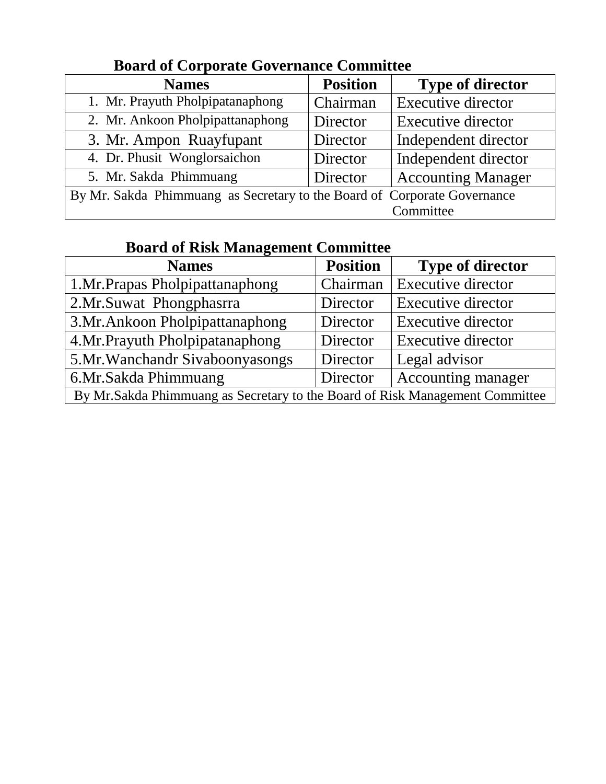| <b>Names</b>                                                             | <b>Position</b> | <b>Type of director</b>   |
|--------------------------------------------------------------------------|-----------------|---------------------------|
| 1. Mr. Prayuth Pholpipatanaphong                                         | Chairman        | <b>Executive director</b> |
| 2. Mr. Ankoon Pholpipattanaphong                                         | Director        | <b>Executive director</b> |
| 3. Mr. Ampon Ruayfupant                                                  | Director        | Independent director      |
| 4. Dr. Phusit Wonglorsaichon                                             | Director        | Independent director      |
| 5. Mr. Sakda Phimmuang                                                   | Director        | <b>Accounting Manager</b> |
| By Mr. Sakda Phimmuang as Secretary to the Board of Corporate Governance |                 |                           |
|                                                                          |                 | Committee                 |

#### **Board of Corporate Governance Committee**

### **Board of Risk Management Committee**

| <b>Names</b>                                                                  | <b>Position</b> | <b>Type of director</b>   |
|-------------------------------------------------------------------------------|-----------------|---------------------------|
| 1.Mr.Prapas Pholpipattanaphong                                                | Chairman        | <b>Executive director</b> |
| 2. Mr. Suwat Phongphasma                                                      | Director        | <b>Executive director</b> |
| 3.Mr.Ankoon Pholpipattanaphong                                                | Director        | <b>Executive director</b> |
| 4. Mr. Prayuth Pholpipatanaphong                                              | Director        | <b>Executive director</b> |
| 5. Mr. Wanchandr Sivaboonyasongs                                              | Director        | Legal advisor             |
| 6.Mr.Sakda Phimmuang                                                          | Director        | Accounting manager        |
| By Mr. Sakda Phimmuang as Secretary to the Board of Risk Management Committee |                 |                           |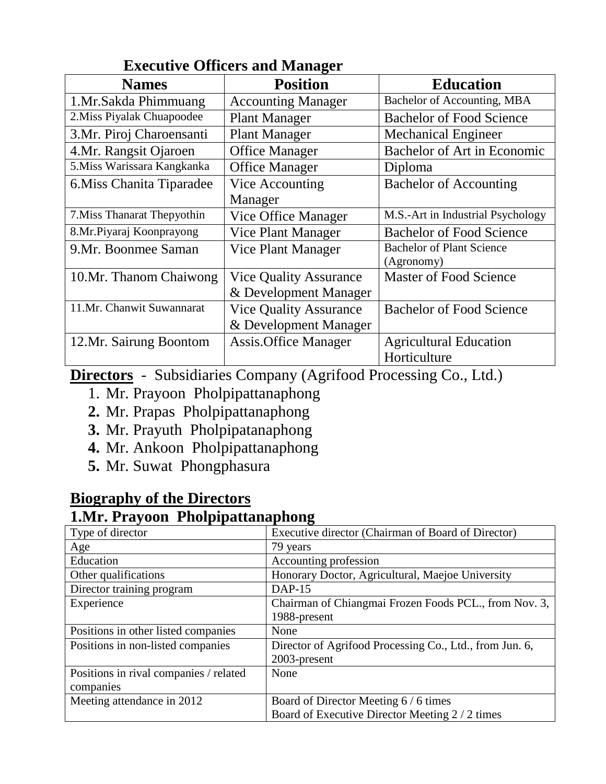| <b>Names</b>                | <b>Position</b>               | <b>Education</b>                  |
|-----------------------------|-------------------------------|-----------------------------------|
| 1.Mr.Sakda Phimmuang        | <b>Accounting Manager</b>     | Bachelor of Accounting, MBA       |
| 2. Miss Piyalak Chuapoodee  | <b>Plant Manager</b>          | <b>Bachelor of Food Science</b>   |
| 3.Mr. Piroj Charoensanti    | <b>Plant Manager</b>          | <b>Mechanical Engineer</b>        |
| 4.Mr. Rangsit Ojaroen       | <b>Office Manager</b>         | Bachelor of Art in Economic       |
| 5. Miss Warissara Kangkanka | <b>Office Manager</b>         | Diploma                           |
| 6. Miss Chanita Tiparadee   | Vice Accounting               | <b>Bachelor of Accounting</b>     |
|                             | Manager                       |                                   |
| 7. Miss Thanarat Thepyothin | Vice Office Manager           | M.S.-Art in Industrial Psychology |
| 8.Mr.Piyaraj Koonprayong    | <b>Vice Plant Manager</b>     | <b>Bachelor of Food Science</b>   |
| 9. Mr. Boonmee Saman        | Vice Plant Manager            | <b>Bachelor of Plant Science</b>  |
|                             |                               | (Agronomy)                        |
| 10.Mr. Thanom Chaiwong      | <b>Vice Quality Assurance</b> | <b>Master of Food Science</b>     |
|                             | & Development Manager         |                                   |
| 11.Mr. Chanwit Suwannarat   | <b>Vice Quality Assurance</b> | <b>Bachelor of Food Science</b>   |
|                             | & Development Manager         |                                   |
| 12.Mr. Sairung Boontom      | Assis. Office Manager         | <b>Agricultural Education</b>     |
|                             |                               | Horticulture                      |

#### **Executive Officers and Manager**

**Directors** - Subsidiaries Company (Agrifood Processing Co., Ltd.)

- 1. Mr. Prayoon Pholpipattanaphong
- **2.** Mr. Prapas Pholpipattanaphong
- **3.** Mr. Prayuth Pholpipatanaphong
- **4.** Mr. Ankoon Pholpipattanaphong
- **5.** Mr. Suwat Phongphasura

#### **Biography of the Directors**

#### **1.Mr. Prayoon Pholpipattanaphong**

| o                                                       |
|---------------------------------------------------------|
| Executive director (Chairman of Board of Director)      |
| 79 years                                                |
| Accounting profession                                   |
| Honorary Doctor, Agricultural, Maejoe University        |
| $DAP-15$                                                |
| Chairman of Chiangmai Frozen Foods PCL., from Nov. 3,   |
| 1988-present                                            |
| None                                                    |
| Director of Agrifood Processing Co., Ltd., from Jun. 6, |
| 2003-present                                            |
| None                                                    |
|                                                         |
| Board of Director Meeting 6/6 times                     |
| Board of Executive Director Meeting 2 / 2 times         |
|                                                         |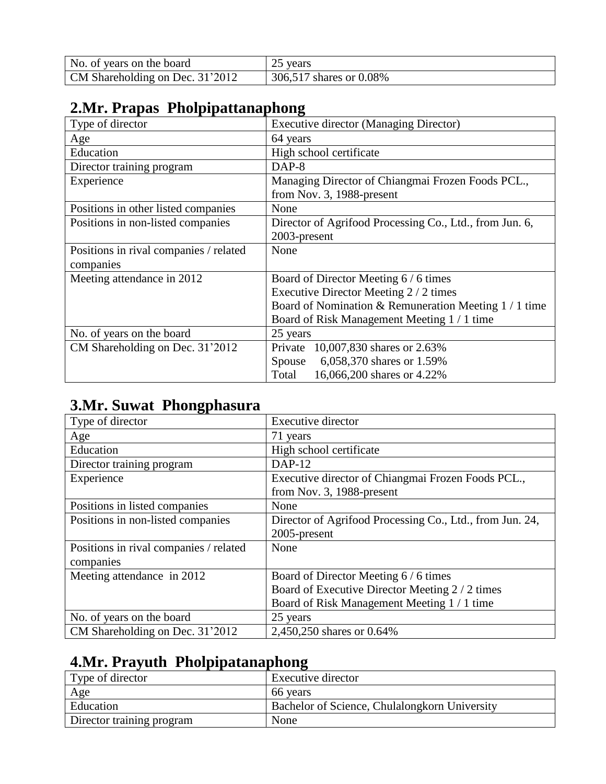| No. of years on the board       | 25 years                |
|---------------------------------|-------------------------|
| CM Shareholding on Dec. 31'2012 | 306,517 shares or 0.08% |

### **2.Mr. Prapas Pholpipattanaphong**

| Type of director                       | <b>Executive director (Managing Director)</b>           |
|----------------------------------------|---------------------------------------------------------|
| Age                                    | 64 years                                                |
| Education                              | High school certificate                                 |
| Director training program              | DAP-8                                                   |
| Experience                             | Managing Director of Chiangmai Frozen Foods PCL.,       |
|                                        | from Nov. 3, 1988-present                               |
| Positions in other listed companies    | None                                                    |
| Positions in non-listed companies      | Director of Agrifood Processing Co., Ltd., from Jun. 6, |
|                                        | 2003-present                                            |
| Positions in rival companies / related | None                                                    |
| companies                              |                                                         |
| Meeting attendance in 2012             | Board of Director Meeting 6/6 times                     |
|                                        | Executive Director Meeting 2 / 2 times                  |
|                                        | Board of Nomination & Remuneration Meeting 1 / 1 time   |
|                                        | Board of Risk Management Meeting 1/1 time               |
| No. of years on the board              | 25 years                                                |
| CM Shareholding on Dec. 31'2012        | Private 10,007,830 shares or 2.63%                      |
|                                        | 6,058,370 shares or 1.59%<br>Spouse                     |
|                                        | 16,066,200 shares or 4.22%<br>Total                     |

### **3.Mr. Suwat Phongphasura**

| Type of director                       | <b>Executive director</b>                                |
|----------------------------------------|----------------------------------------------------------|
| Age                                    | 71 years                                                 |
| Education                              | High school certificate                                  |
| Director training program              | $DAP-12$                                                 |
| Experience                             | Executive director of Chiangmai Frozen Foods PCL.,       |
|                                        | from Nov. 3, 1988-present                                |
| Positions in listed companies          | None                                                     |
| Positions in non-listed companies      | Director of Agrifood Processing Co., Ltd., from Jun. 24, |
|                                        | 2005-present                                             |
| Positions in rival companies / related | None                                                     |
| companies                              |                                                          |
| Meeting attendance in 2012             | Board of Director Meeting 6 / 6 times                    |
|                                        | Board of Executive Director Meeting 2 / 2 times          |
|                                        | Board of Risk Management Meeting 1 / 1 time              |
| No. of years on the board              | 25 years                                                 |
| CM Shareholding on Dec. 31'2012        | 2,450,250 shares or 0.64%                                |

### **4.Mr. Prayuth Pholpipatanaphong**

| Type of director          | Executive director                            |
|---------------------------|-----------------------------------------------|
| Age                       | 66 years                                      |
| Education                 | Bachelor of Science, Chulalongkorn University |
| Director training program | None                                          |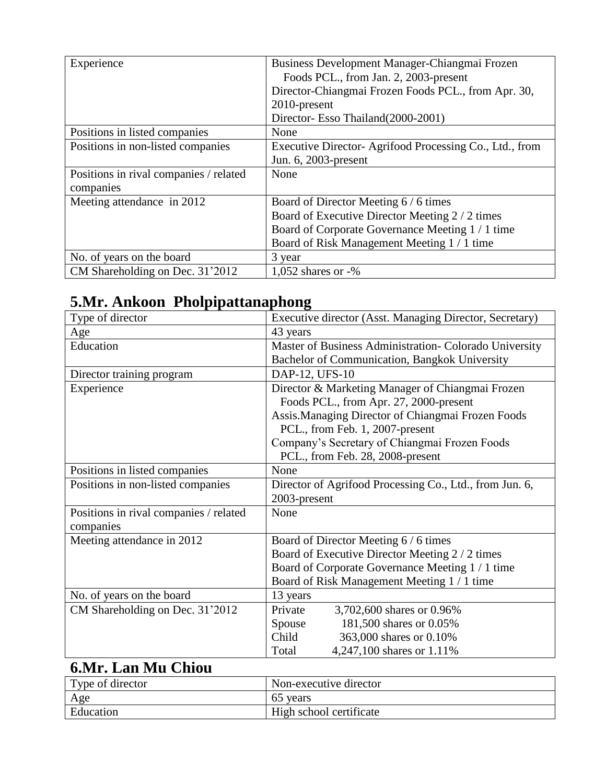| Experience                             | Business Development Manager-Chiangmai Frozen          |
|----------------------------------------|--------------------------------------------------------|
|                                        | Foods PCL., from Jan. 2, 2003-present                  |
|                                        | Director-Chiangmai Frozen Foods PCL., from Apr. 30,    |
|                                        | 2010-present                                           |
|                                        | Director- Esso Thailand (2000-2001)                    |
| Positions in listed companies          | None                                                   |
| Positions in non-listed companies      | Executive Director-Agrifood Processing Co., Ltd., from |
|                                        | Jun. 6, 2003-present                                   |
| Positions in rival companies / related | None                                                   |
| companies                              |                                                        |
| Meeting attendance in 2012             | Board of Director Meeting 6/6 times                    |
|                                        | Board of Executive Director Meeting 2 / 2 times        |
|                                        | Board of Corporate Governance Meeting 1 / 1 time       |
|                                        | Board of Risk Management Meeting 1/1 time              |
| No. of years on the board              | 3 year                                                 |
| CM Shareholding on Dec. 31'2012        | 1,052 shares or $-$ %                                  |

# **5.Mr. Ankoon Pholpipattanaphong**

| Type of director                       | Executive director (Asst. Managing Director, Secretary) |
|----------------------------------------|---------------------------------------------------------|
| Age                                    | 43 years                                                |
| Education                              | Master of Business Administration- Colorado University  |
|                                        | Bachelor of Communication, Bangkok University           |
| Director training program              | DAP-12, UFS-10                                          |
| Experience                             | Director & Marketing Manager of Chiangmai Frozen        |
|                                        | Foods PCL., from Apr. 27, 2000-present                  |
|                                        | Assis. Managing Director of Chiangmai Frozen Foods      |
|                                        | PCL., from Feb. 1, 2007-present                         |
|                                        | Company's Secretary of Chiangmai Frozen Foods           |
|                                        | PCL., from Feb. 28, 2008-present                        |
| Positions in listed companies          | None                                                    |
| Positions in non-listed companies      | Director of Agrifood Processing Co., Ltd., from Jun. 6, |
|                                        | 2003-present                                            |
| Positions in rival companies / related | None                                                    |
| companies                              |                                                         |
| Meeting attendance in 2012             | Board of Director Meeting 6 / 6 times                   |
|                                        | Board of Executive Director Meeting 2 / 2 times         |
|                                        | Board of Corporate Governance Meeting 1 / 1 time        |
|                                        | Board of Risk Management Meeting 1 / 1 time             |
| No. of years on the board              | 13 years                                                |
| CM Shareholding on Dec. 31'2012        | 3,702,600 shares or 0.96%<br>Private                    |
|                                        | 181,500 shares or 0.05%<br>Spouse                       |
|                                        | Child<br>363,000 shares or 0.10%                        |
|                                        | 4,247,100 shares or 1.11%<br>Total                      |

### **6.Mr. Lan Mu Chiou**

| Type of director | Non-executive director  |
|------------------|-------------------------|
| Age              | 65 years                |
| Education        | High school certificate |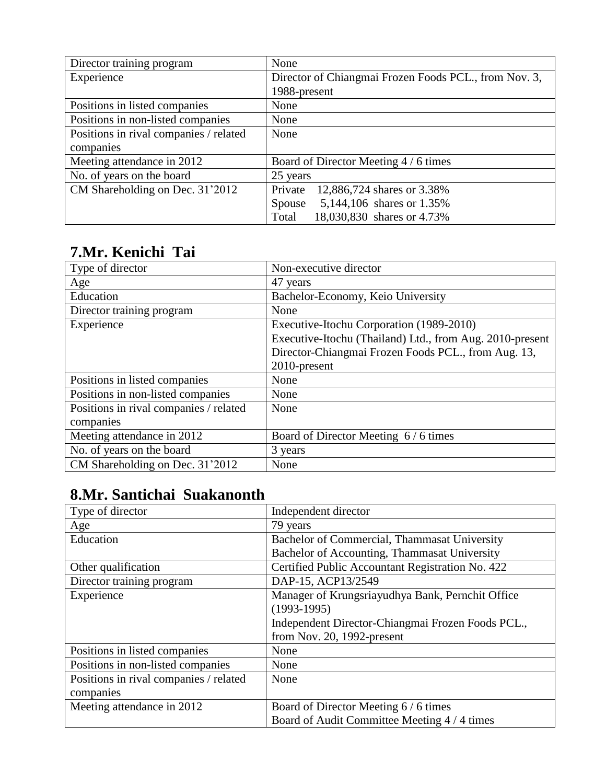| Director training program              | None                                                  |
|----------------------------------------|-------------------------------------------------------|
| Experience                             | Director of Chiangmai Frozen Foods PCL., from Nov. 3, |
|                                        | 1988-present                                          |
| Positions in listed companies          | None                                                  |
| Positions in non-listed companies      | None                                                  |
| Positions in rival companies / related | None                                                  |
| companies                              |                                                       |
| Meeting attendance in 2012             | Board of Director Meeting 4 / 6 times                 |
| No. of years on the board              | 25 years                                              |
| CM Shareholding on Dec. 31'2012        | Private<br>12,886,724 shares or 3.38%                 |
|                                        | 5,144,106 shares or 1.35%<br>Spouse                   |
|                                        | 18,030,830 shares or 4.73%<br>Total                   |

#### **7.Mr. Kenichi Tai**

| Type of director                       | Non-executive director                                   |
|----------------------------------------|----------------------------------------------------------|
| Age                                    | 47 years                                                 |
| Education                              | Bachelor-Economy, Keio University                        |
| Director training program              | None                                                     |
| Experience                             | Executive-Itochu Corporation (1989-2010)                 |
|                                        | Executive-Itochu (Thailand) Ltd., from Aug. 2010-present |
|                                        | Director-Chiangmai Frozen Foods PCL., from Aug. 13,      |
|                                        | 2010-present                                             |
| Positions in listed companies          | None                                                     |
| Positions in non-listed companies      | None                                                     |
| Positions in rival companies / related | None                                                     |
| companies                              |                                                          |
| Meeting attendance in 2012             | Board of Director Meeting 6/6 times                      |
| No. of years on the board              | 3 years                                                  |
| CM Shareholding on Dec. 31'2012        | None                                                     |
|                                        |                                                          |

# **8.Mr. Santichai Suakanonth**

| Type of director                       | Independent director                              |
|----------------------------------------|---------------------------------------------------|
| Age                                    | 79 years                                          |
| Education                              | Bachelor of Commercial, Thammasat University      |
|                                        | Bachelor of Accounting, Thammasat University      |
| Other qualification                    | Certified Public Accountant Registration No. 422  |
| Director training program              | DAP-15, ACP13/2549                                |
| Experience                             | Manager of Krungsriayudhya Bank, Pernchit Office  |
|                                        | $(1993-1995)$                                     |
|                                        | Independent Director-Chiangmai Frozen Foods PCL., |
|                                        | from Nov. $20$ , 1992-present                     |
| Positions in listed companies          | None                                              |
| Positions in non-listed companies      | None                                              |
| Positions in rival companies / related | None                                              |
| companies                              |                                                   |
| Meeting attendance in 2012             | Board of Director Meeting 6/6 times               |
|                                        | Board of Audit Committee Meeting 4 / 4 times      |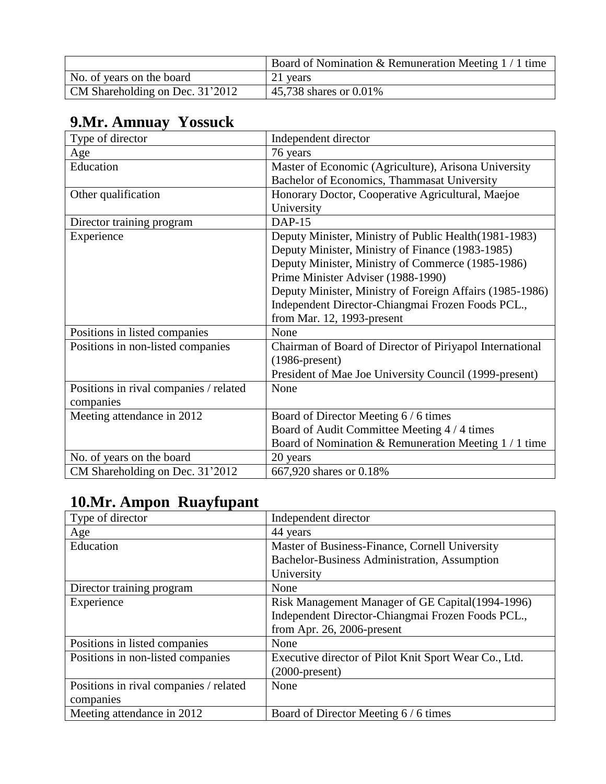|                                 | Board of Nomination & Remuneration Meeting $1/1$ time |
|---------------------------------|-------------------------------------------------------|
| No. of years on the board       | 21 years                                              |
| CM Shareholding on Dec. 31'2012 | 45,738 shares or 0.01%                                |

# **9.Mr. Amnuay Yossuck**

| Type of director                       | Independent director                                     |
|----------------------------------------|----------------------------------------------------------|
| Age                                    | 76 years                                                 |
| Education                              | Master of Economic (Agriculture), Arisona University     |
|                                        | Bachelor of Economics, Thammasat University              |
| Other qualification                    | Honorary Doctor, Cooperative Agricultural, Maejoe        |
|                                        | University                                               |
| Director training program              | <b>DAP-15</b>                                            |
| Experience                             | Deputy Minister, Ministry of Public Health (1981-1983)   |
|                                        | Deputy Minister, Ministry of Finance (1983-1985)         |
|                                        | Deputy Minister, Ministry of Commerce (1985-1986)        |
|                                        | Prime Minister Adviser (1988-1990)                       |
|                                        | Deputy Minister, Ministry of Foreign Affairs (1985-1986) |
|                                        | Independent Director-Chiangmai Frozen Foods PCL.,        |
|                                        | from Mar. 12, 1993-present                               |
| Positions in listed companies          | None                                                     |
| Positions in non-listed companies      | Chairman of Board of Director of Piriyapol International |
|                                        | $(1986$ -present)                                        |
|                                        | President of Mae Joe University Council (1999-present)   |
| Positions in rival companies / related | None                                                     |
| companies                              |                                                          |
| Meeting attendance in 2012             | Board of Director Meeting 6 / 6 times                    |
|                                        | Board of Audit Committee Meeting 4 / 4 times             |
|                                        | Board of Nomination & Remuneration Meeting 1 / 1 time    |
| No. of years on the board              | 20 years                                                 |
| CM Shareholding on Dec. 31'2012        | 667,920 shares or 0.18%                                  |

# **10.Mr. Ampon Ruayfupant**

| Type of director                       | Independent director                                  |
|----------------------------------------|-------------------------------------------------------|
| Age                                    | 44 years                                              |
| Education                              | Master of Business-Finance, Cornell University        |
|                                        | Bachelor-Business Administration, Assumption          |
|                                        | University                                            |
| Director training program              | None                                                  |
| Experience                             | Risk Management Manager of GE Capital (1994-1996)     |
|                                        | Independent Director-Chiangmai Frozen Foods PCL.,     |
|                                        | from Apr. $26$ , 2006-present                         |
| Positions in listed companies          | None                                                  |
| Positions in non-listed companies      | Executive director of Pilot Knit Sport Wear Co., Ltd. |
|                                        | $(2000\text{-}present)$                               |
| Positions in rival companies / related | None                                                  |
| companies                              |                                                       |
| Meeting attendance in 2012             | Board of Director Meeting 6/6 times                   |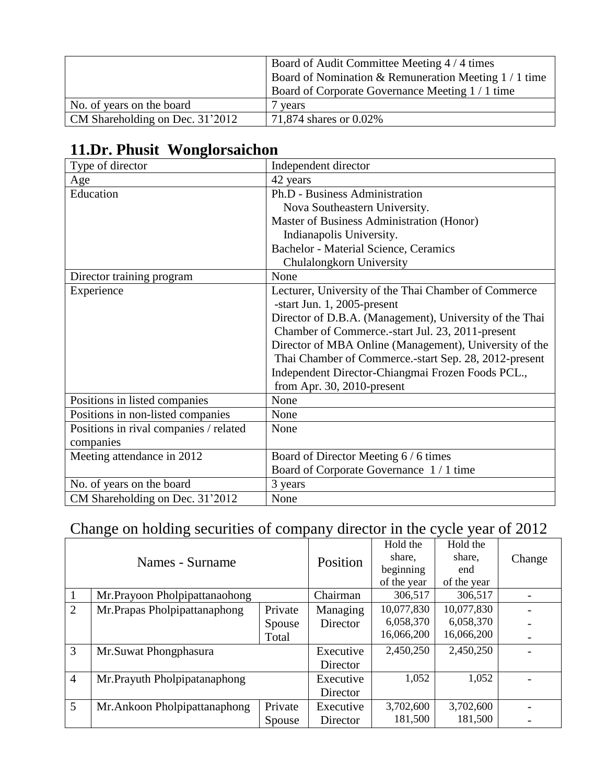|                                 | Board of Audit Committee Meeting 4/4 times<br>Board of Nomination & Remuneration Meeting $1/1$ time<br>Board of Corporate Governance Meeting 1/1 time |
|---------------------------------|-------------------------------------------------------------------------------------------------------------------------------------------------------|
| No. of years on the board       | / vears                                                                                                                                               |
| CM Shareholding on Dec. 31'2012 | 71,874 shares or 0.02%                                                                                                                                |

#### **11.Dr. Phusit Wonglorsaichon**

| Type of director                       | Independent director                                    |
|----------------------------------------|---------------------------------------------------------|
| Age                                    | 42 years                                                |
| Education                              | Ph.D - Business Administration                          |
|                                        | Nova Southeastern University.                           |
|                                        | Master of Business Administration (Honor)               |
|                                        | Indianapolis University.                                |
|                                        | Bachelor - Material Science, Ceramics                   |
|                                        | Chulalongkorn University                                |
| Director training program              | None                                                    |
| Experience                             | Lecturer, University of the Thai Chamber of Commerce    |
|                                        | -start Jun. 1, 2005-present                             |
|                                        | Director of D.B.A. (Management), University of the Thai |
|                                        | Chamber of Commerce.-start Jul. 23, 2011-present        |
|                                        | Director of MBA Online (Management), University of the  |
|                                        | Thai Chamber of Commerce.-start Sep. 28, 2012-present   |
|                                        | Independent Director-Chiangmai Frozen Foods PCL.,       |
|                                        | from Apr. 30, 2010-present                              |
| Positions in listed companies          | None                                                    |
| Positions in non-listed companies      | None                                                    |
| Positions in rival companies / related | None                                                    |
| companies                              |                                                         |
| Meeting attendance in 2012             | Board of Director Meeting 6 / 6 times                   |
|                                        | Board of Corporate Governance 1/1 time                  |
| No. of years on the board              | 3 years                                                 |
| CM Shareholding on Dec. 31'2012        | None                                                    |

# Change on holding securities of company director in the cycle year of 2012

|                 |                               |         | Hold the    | Hold the    |            |        |
|-----------------|-------------------------------|---------|-------------|-------------|------------|--------|
| Names - Surname |                               |         | Position    | share,      | share,     | Change |
|                 |                               |         |             | beginning   | end        |        |
|                 |                               |         | of the year | of the year |            |        |
|                 | Mr.Prayoon Pholpipattanaohong |         | Chairman    | 306,517     | 306,517    |        |
| $\overline{2}$  | Mr.Prapas Pholpipattanaphong  | Private | Managing    | 10,077,830  | 10,077,830 |        |
|                 |                               | Spouse  | Director    | 6,058,370   | 6,058,370  |        |
|                 |                               | Total   |             | 16,066,200  | 16,066,200 |        |
| $\overline{3}$  | Mr.Suwat Phongphasura         |         | Executive   | 2,450,250   | 2,450,250  |        |
|                 |                               |         | Director    |             |            |        |
| $\overline{4}$  | Mr. Prayuth Pholpipatanaphong |         | Executive   | 1,052       | 1,052      |        |
|                 |                               |         | Director    |             |            |        |
| $\mathfrak{S}$  | Mr. Ankoon Pholpipattanaphong | Private | Executive   | 3,702,600   | 3,702,600  |        |
|                 |                               | Spouse  | Director    | 181,500     | 181,500    |        |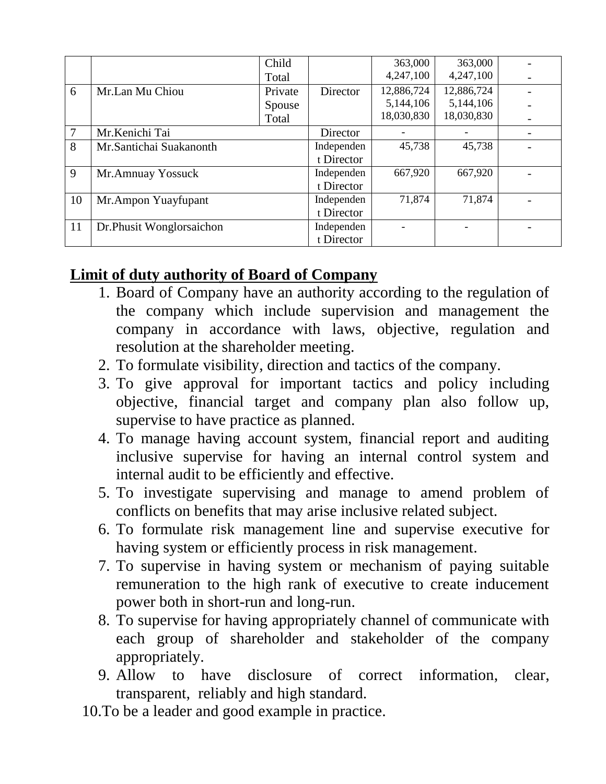|        |                          | Child   |            | 363,000    | 363,000    |  |
|--------|--------------------------|---------|------------|------------|------------|--|
|        |                          | Total   |            | 4,247,100  | 4,247,100  |  |
| 6      | Mr.Lan Mu Chiou          | Private | Director   | 12,886,724 | 12,886,724 |  |
|        |                          | Spouse  |            | 5,144,106  | 5,144,106  |  |
|        |                          | Total   |            | 18,030,830 | 18,030,830 |  |
| $\tau$ | Mr.Kenichi Tai           |         | Director   |            |            |  |
| 8      | Mr.Santichai Suakanonth  |         | Independen | 45,738     | 45,738     |  |
|        |                          |         | t Director |            |            |  |
| 9      | Mr.Amnuay Yossuck        |         | Independen | 667,920    | 667,920    |  |
|        |                          |         | t Director |            |            |  |
| 10     | Mr.Ampon Yuayfupant      |         | Independen | 71,874     | 71,874     |  |
|        |                          |         | t Director |            |            |  |
| 11     | Dr.Phusit Wonglorsaichon |         | Independen |            |            |  |
|        |                          |         | t Director |            |            |  |

### **Limit of duty authority of Board of Company**

- 1. Board of Company have an authority according to the regulation of the company which include supervision and management the company in accordance with laws, objective, regulation and resolution at the shareholder meeting.
- 2. To formulate visibility, direction and tactics of the company.
- 3. To give approval for important tactics and policy including objective, financial target and company plan also follow up, supervise to have practice as planned.
- 4. To manage having account system, financial report and auditing inclusive supervise for having an internal control system and internal audit to be efficiently and effective.
- 5. To investigate supervising and manage to amend problem of conflicts on benefits that may arise inclusive related subject.
- 6. To formulate risk management line and supervise executive for having system or efficiently process in risk management.
- 7. To supervise in having system or mechanism of paying suitable remuneration to the high rank of executive to create inducement power both in short-run and long-run.
- 8. To supervise for having appropriately channel of communicate with each group of shareholder and stakeholder of the company appropriately.
- 9. Allow to have disclosure of correct information, clear, transparent, reliably and high standard.
- 10.To be a leader and good example in practice.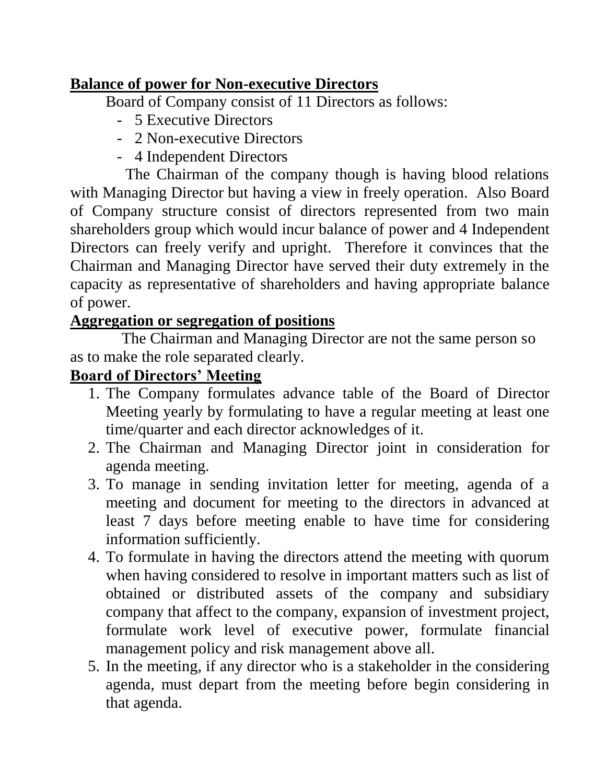### **Balance of power for Non-executive Directors**

Board of Company consist of 11 Directors as follows:

- 5 Executive Directors
- 2 Non-executive Directors
- 4 Independent Directors

 The Chairman of the company though is having blood relations with Managing Director but having a view in freely operation. Also Board of Company structure consist of directors represented from two main shareholders group which would incur balance of power and 4 Independent Directors can freely verify and upright. Therefore it convinces that the Chairman and Managing Director have served their duty extremely in the capacity as representative of shareholders and having appropriate balance of power.

### **Aggregation or segregation of positions**

 The Chairman and Managing Director are not the same person so as to make the role separated clearly.

#### **Board of Directors' Meeting**

- 1. The Company formulates advance table of the Board of Director Meeting yearly by formulating to have a regular meeting at least one time/quarter and each director acknowledges of it.
- 2. The Chairman and Managing Director joint in consideration for agenda meeting.
- 3. To manage in sending invitation letter for meeting, agenda of a meeting and document for meeting to the directors in advanced at least 7 days before meeting enable to have time for considering information sufficiently.
- 4. To formulate in having the directors attend the meeting with quorum when having considered to resolve in important matters such as list of obtained or distributed assets of the company and subsidiary company that affect to the company, expansion of investment project, formulate work level of executive power, formulate financial management policy and risk management above all.
- 5. In the meeting, if any director who is a stakeholder in the considering agenda, must depart from the meeting before begin considering in that agenda.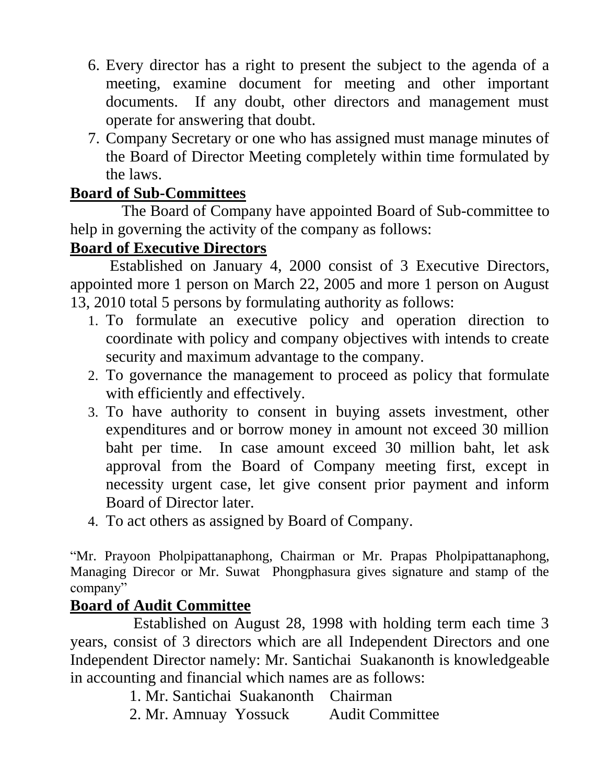- 6. Every director has a right to present the subject to the agenda of a meeting, examine document for meeting and other important documents. If any doubt, other directors and management must operate for answering that doubt.
- 7. Company Secretary or one who has assigned must manage minutes of the Board of Director Meeting completely within time formulated by the laws.

#### **Board of Sub-Committees**

 The Board of Company have appointed Board of Sub-committee to help in governing the activity of the company as follows:

#### **Board of Executive Directors**

 Established on January 4, 2000 consist of 3 Executive Directors, appointed more 1 person on March 22, 2005 and more 1 person on August 13, 2010 total 5 persons by formulating authority as follows:

- 1. To formulate an executive policy and operation direction to coordinate with policy and company objectives with intends to create security and maximum advantage to the company.
- 2. To governance the management to proceed as policy that formulate with efficiently and effectively.
- 3. To have authority to consent in buying assets investment, other expenditures and or borrow money in amount not exceed 30 million baht per time. In case amount exceed 30 million baht, let ask approval from the Board of Company meeting first, except in necessity urgent case, let give consent prior payment and inform Board of Director later.
- 4. To act others as assigned by Board of Company.

"Mr. Prayoon Pholpipattanaphong, Chairman or Mr. Prapas Pholpipattanaphong, Managing Direcor or Mr. Suwat Phongphasura gives signature and stamp of the company"

#### **Board of Audit Committee**

 Established on August 28, 1998 with holding term each time 3 years, consist of 3 directors which are all Independent Directors and one Independent Director namely: Mr. Santichai Suakanonth is knowledgeable in accounting and financial which names are as follows:

1. Mr. Santichai Suakanonth Chairman

2. Mr. Amnuay Yossuck Audit Committee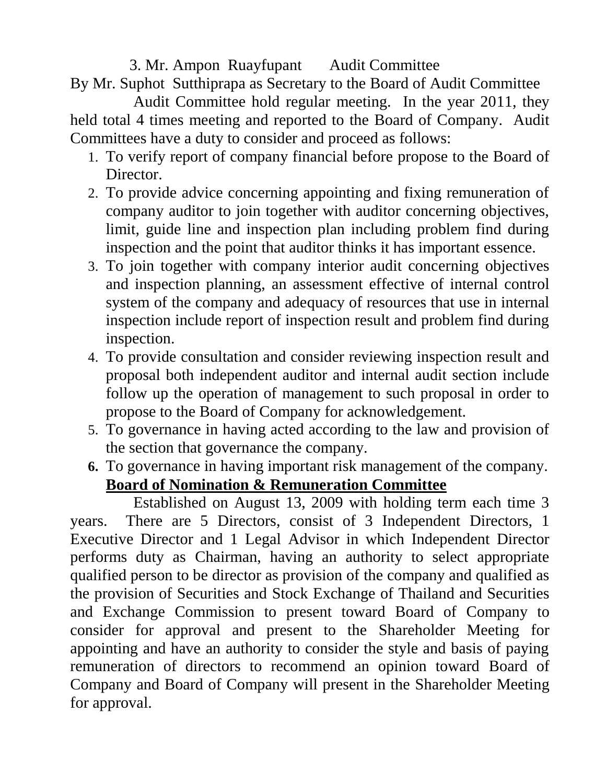#### 3. Mr. Ampon Ruayfupant Audit Committee

By Mr. Suphot Sutthiprapa as Secretary to the Board of Audit Committee

 Audit Committee hold regular meeting. In the year 2011, they held total 4 times meeting and reported to the Board of Company. Audit Committees have a duty to consider and proceed as follows:

- 1. To verify report of company financial before propose to the Board of Director.
- 2. To provide advice concerning appointing and fixing remuneration of company auditor to join together with auditor concerning objectives, limit, guide line and inspection plan including problem find during inspection and the point that auditor thinks it has important essence.
- 3. To join together with company interior audit concerning objectives and inspection planning, an assessment effective of internal control system of the company and adequacy of resources that use in internal inspection include report of inspection result and problem find during inspection.
- 4. To provide consultation and consider reviewing inspection result and proposal both independent auditor and internal audit section include follow up the operation of management to such proposal in order to propose to the Board of Company for acknowledgement.
- 5. To governance in having acted according to the law and provision of the section that governance the company.
- **6.** To governance in having important risk management of the company. **Board of Nomination & Remuneration Committee**

 Established on August 13, 2009 with holding term each time 3 years. There are 5 Directors, consist of 3 Independent Directors, 1 Executive Director and 1 Legal Advisor in which Independent Director performs duty as Chairman, having an authority to select appropriate qualified person to be director as provision of the company and qualified as the provision of Securities and Stock Exchange of Thailand and Securities and Exchange Commission to present toward Board of Company to consider for approval and present to the Shareholder Meeting for appointing and have an authority to consider the style and basis of paying remuneration of directors to recommend an opinion toward Board of Company and Board of Company will present in the Shareholder Meeting for approval.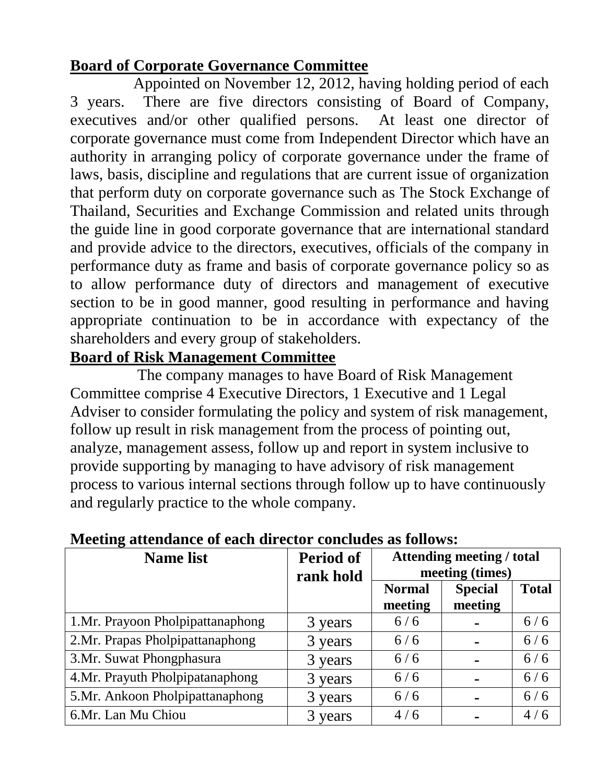### **Board of Corporate Governance Committee**

 Appointed on November 12, 2012, having holding period of each 3 years. There are five directors consisting of Board of Company, executives and/or other qualified persons. At least one director of corporate governance must come from Independent Director which have an authority in arranging policy of corporate governance under the frame of laws, basis, discipline and regulations that are current issue of organization that perform duty on corporate governance such as The Stock Exchange of Thailand, Securities and Exchange Commission and related units through the guide line in good corporate governance that are international standard and provide advice to the directors, executives, officials of the company in performance duty as frame and basis of corporate governance policy so as to allow performance duty of directors and management of executive section to be in good manner, good resulting in performance and having appropriate continuation to be in accordance with expectancy of the shareholders and every group of stakeholders.

#### **Board of Risk Management Committee**

 The company manages to have Board of Risk Management Committee comprise 4 Executive Directors, 1 Executive and 1 Legal Adviser to consider formulating the policy and system of risk management, follow up result in risk management from the process of pointing out, analyze, management assess, follow up and report in system inclusive to provide supporting by managing to have advisory of risk management process to various internal sections through follow up to have continuously and regularly practice to the whole company.

| Ð<br><b>Name list</b>            | <b>Period of</b><br>rank hold | <b>Attending meeting / total</b><br>meeting (times) |                           |              |  |
|----------------------------------|-------------------------------|-----------------------------------------------------|---------------------------|--------------|--|
|                                  |                               | <b>Normal</b><br>meeting                            | <b>Special</b><br>meeting | <b>Total</b> |  |
| 1.Mr. Prayoon Pholpipattanaphong | 3 years                       | 6/6                                                 |                           | 6/6          |  |
| 2.Mr. Prapas Pholpipattanaphong  | 3 years                       | 6/6                                                 |                           | 6/6          |  |
| 3. Mr. Suwat Phongphasura        | 3 years                       | 6/6                                                 |                           | 6/6          |  |
| 4.Mr. Prayuth Pholpipatanaphong  | 3 years                       | 6/6                                                 |                           | 6/6          |  |
| 5.Mr. Ankoon Pholpipattanaphong  | 3 years                       | 6/6                                                 |                           | 6/6          |  |
| 6.Mr. Lan Mu Chiou               | 3 years                       | 4/6                                                 |                           | 4/6          |  |

#### **Meeting attendance of each director concludes as follows:**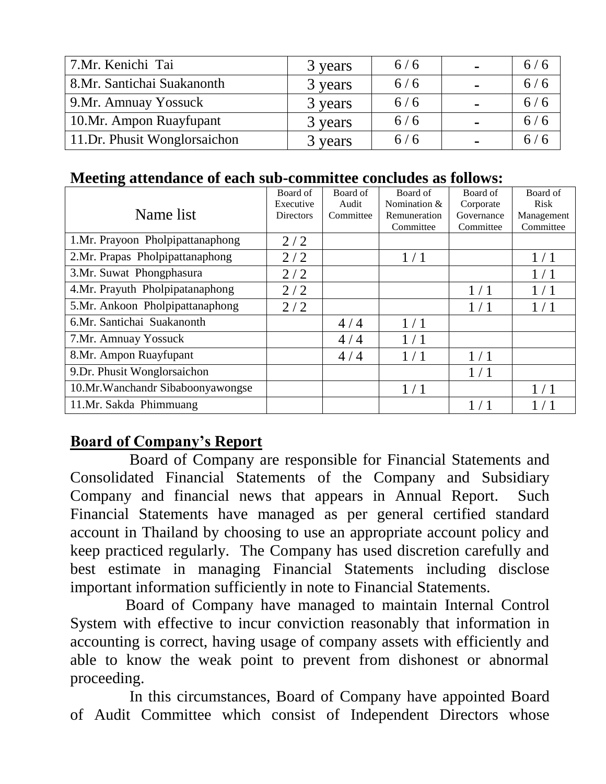| 7.Mr. Kenichi Tai            | 3 years | 6/6 | $\blacksquare$ | 6/6 |
|------------------------------|---------|-----|----------------|-----|
| 8.Mr. Santichai Suakanonth   | 3 years | 6/6 |                | 6/6 |
| 9. Mr. Amnuay Yossuck        | 3 years | 6/6 | $\blacksquare$ | 6/6 |
| 10.Mr. Ampon Ruayfupant      | 3 years | 6/6 |                | 6/6 |
| 11.Dr. Phusit Wonglorsaichon | 3 years | 6/6 |                | 6/6 |

#### **Meeting attendance of each sub-committee concludes as follows:**

| Name list                         | Board of<br>Executive | Board of<br>Audit | Board of<br>Nomination $&$ | Board of<br>Corporate   | Board of<br>Risk        |
|-----------------------------------|-----------------------|-------------------|----------------------------|-------------------------|-------------------------|
|                                   | <b>Directors</b>      | Committee         | Remuneration<br>Committee  | Governance<br>Committee | Management<br>Committee |
| 1.Mr. Prayoon Pholpipattanaphong  | 2/2                   |                   |                            |                         |                         |
| 2.Mr. Prapas Pholpipattanaphong   | 2/2                   |                   | 1/1                        |                         | 1/1                     |
| 3.Mr. Suwat Phongphasura          | 2/2                   |                   |                            |                         | 1/1                     |
| 4.Mr. Prayuth Pholpipatanaphong   | 2/2                   |                   |                            | 1/1                     | 1/1                     |
| 5.Mr. Ankoon Pholpipattanaphong   | 2/2                   |                   |                            | 1/1                     | 1/1                     |
| 6.Mr. Santichai Suakanonth        |                       | 4/4               | 1/1                        |                         |                         |
| 7. Mr. Amnuay Yossuck             |                       | 4/4               | 1/1                        |                         |                         |
| 8.Mr. Ampon Ruayfupant            |                       | 4/4               | 1/1                        | 1/1                     |                         |
| 9. Dr. Phusit Wonglorsaichon      |                       |                   |                            | 1/1                     |                         |
| 10.Mr. Wanchandr Sibaboonyawongse |                       |                   | 1/1                        |                         | 1/1                     |
| 11.Mr. Sakda Phimmuang            |                       |                   |                            |                         |                         |

#### **Board of Company's Report**

 Board of Company are responsible for Financial Statements and Consolidated Financial Statements of the Company and Subsidiary Company and financial news that appears in Annual Report. Such Financial Statements have managed as per general certified standard account in Thailand by choosing to use an appropriate account policy and keep practiced regularly. The Company has used discretion carefully and best estimate in managing Financial Statements including disclose important information sufficiently in note to Financial Statements.

 Board of Company have managed to maintain Internal Control System with effective to incur conviction reasonably that information in accounting is correct, having usage of company assets with efficiently and able to know the weak point to prevent from dishonest or abnormal proceeding.

 In this circumstances, Board of Company have appointed Board of Audit Committee which consist of Independent Directors whose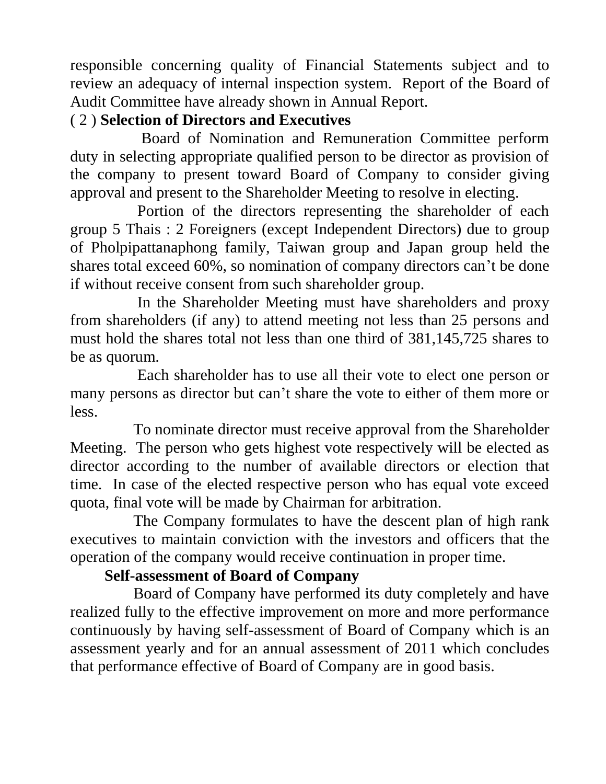responsible concerning quality of Financial Statements subject and to review an adequacy of internal inspection system. Report of the Board of Audit Committee have already shown in Annual Report.

## ( 2 ) **Selection of Directors and Executives**

 Board of Nomination and Remuneration Committee perform duty in selecting appropriate qualified person to be director as provision of the company to present toward Board of Company to consider giving approval and present to the Shareholder Meeting to resolve in electing.

 Portion of the directors representing the shareholder of each group 5 Thais : 2 Foreigners (except Independent Directors) due to group of Pholpipattanaphong family, Taiwan group and Japan group held the shares total exceed 60%, so nomination of company directors can't be done if without receive consent from such shareholder group.

 In the Shareholder Meeting must have shareholders and proxy from shareholders (if any) to attend meeting not less than 25 persons and must hold the shares total not less than one third of 381,145,725 shares to be as quorum.

 Each shareholder has to use all their vote to elect one person or many persons as director but can't share the vote to either of them more or less.

 To nominate director must receive approval from the Shareholder Meeting. The person who gets highest vote respectively will be elected as director according to the number of available directors or election that time. In case of the elected respective person who has equal vote exceed quota, final vote will be made by Chairman for arbitration.

 The Company formulates to have the descent plan of high rank executives to maintain conviction with the investors and officers that the operation of the company would receive continuation in proper time.

## **Self-assessment of Board of Company**

 Board of Company have performed its duty completely and have realized fully to the effective improvement on more and more performance continuously by having self-assessment of Board of Company which is an assessment yearly and for an annual assessment of 2011 which concludes that performance effective of Board of Company are in good basis.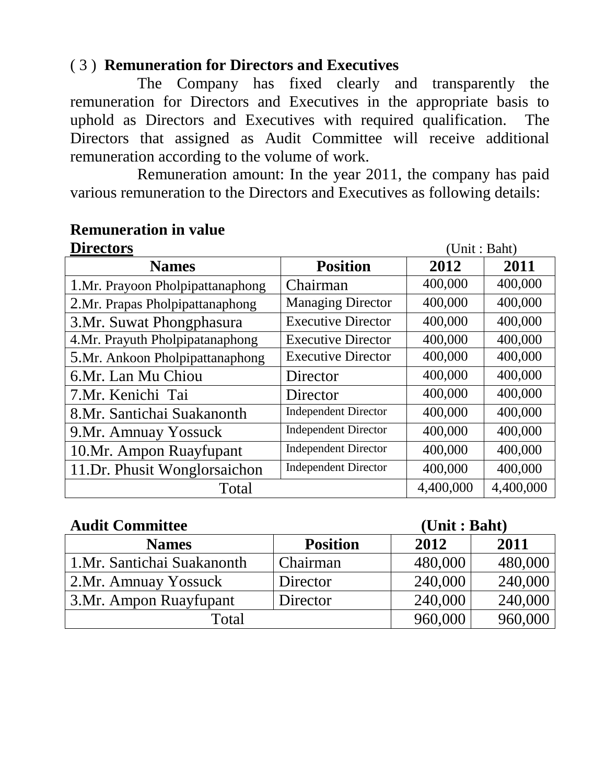#### ( 3 ) **Remuneration for Directors and Executives**

 The Company has fixed clearly and transparently the remuneration for Directors and Executives in the appropriate basis to uphold as Directors and Executives with required qualification. The Directors that assigned as Audit Committee will receive additional remuneration according to the volume of work.

 Remuneration amount: In the year 2011, the company has paid various remuneration to the Directors and Executives as following details:

## **Directors** (Unit : Baht) **Names Position 2012 2011** 1.Mr. Prayoon Pholpipattanaphong | Chairman | 400,000 | 400,000 2.Mr. Prapas Pholpipattanaphong | Managing Director | 400,000 | 400,000 3.Mr. Suwat Phongphasura Executive Director | 400,000 | 400,000 4.Mr. Prayuth Pholpipatanaphong Executive Director | 400,000 400,000 5.Mr. Ankoon Pholpipattanaphong | Executive Director | 400,000 | 400,000 6.Mr. Lan Mu Chiou  $\vert$  Director  $\vert$  400,000  $\vert$  400,000 7.Mr. Kenichi Tai  $|\text{ Director}|$  400,000 400,000 8.Mr. Santichai Suakanonth Independent Director 400,000 400,000 9.Mr. Amnuay Yossuck Independent Director | 400,000 400,000 10.Mr. Ampon Ruayfupant | Independent Director | 400,000 400,000 11.Dr. Phusit Wonglorsaichon | Independent Director | 400,000 | 400,000 Total 4,400,000 4,400,000

## **Remuneration in value**

#### **Audit Committee (Unit : Baht)**

| $\blacksquare$              | VIIIV I DUILV   |         |         |
|-----------------------------|-----------------|---------|---------|
| <b>Names</b>                | <b>Position</b> | 2012    | 2011    |
| 1. Mr. Santichai Suakanonth | Chairman        | 480,000 | 480,000 |
| 2. Mr. Amnuay Yossuck       | Director        | 240,000 | 240,000 |
| 3. Mr. Ampon Ruayfupant     | Director        | 240,000 | 240,000 |
| Total                       |                 | 960,000 | 960,000 |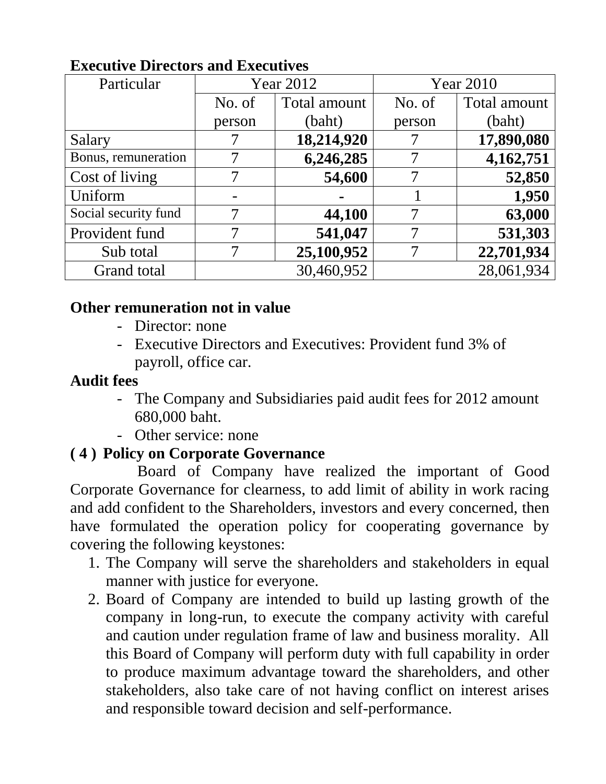| Particular           |        | <b>Year 2012</b> |        | <b>Year 2010</b> |  |
|----------------------|--------|------------------|--------|------------------|--|
|                      | No. of | Total amount     | No. of | Total amount     |  |
|                      | person | (baht)           | person | (baht)           |  |
| Salary               |        | 18,214,920       |        | 17,890,080       |  |
| Bonus, remuneration  |        | 6,246,285        |        | 4,162,751        |  |
| Cost of living       |        | 54,600           |        | 52,850           |  |
| Uniform              |        |                  |        | 1,950            |  |
| Social security fund |        | 44,100           | 7      | 63,000           |  |
| Provident fund       |        | 541,047          |        | 531,303          |  |
| Sub total            |        | 25,100,952       |        | 22,701,934       |  |
| Grand total          |        | 30,460,952       |        | 28,061,934       |  |

## **Executive Directors and Executives**

#### **Other remuneration not in value**

- Director: none
- Executive Directors and Executives: Provident fund 3% of payroll, office car.

#### **Audit fees**

- The Company and Subsidiaries paid audit fees for 2012 amount 680,000 baht.
- Other service: none

#### **( 4 ) Policy on Corporate Governance**

 Board of Company have realized the important of Good Corporate Governance for clearness, to add limit of ability in work racing and add confident to the Shareholders, investors and every concerned, then have formulated the operation policy for cooperating governance by covering the following keystones:

- 1. The Company will serve the shareholders and stakeholders in equal manner with justice for everyone.
- 2. Board of Company are intended to build up lasting growth of the company in long-run, to execute the company activity with careful and caution under regulation frame of law and business morality. All this Board of Company will perform duty with full capability in order to produce maximum advantage toward the shareholders, and other stakeholders, also take care of not having conflict on interest arises and responsible toward decision and self-performance.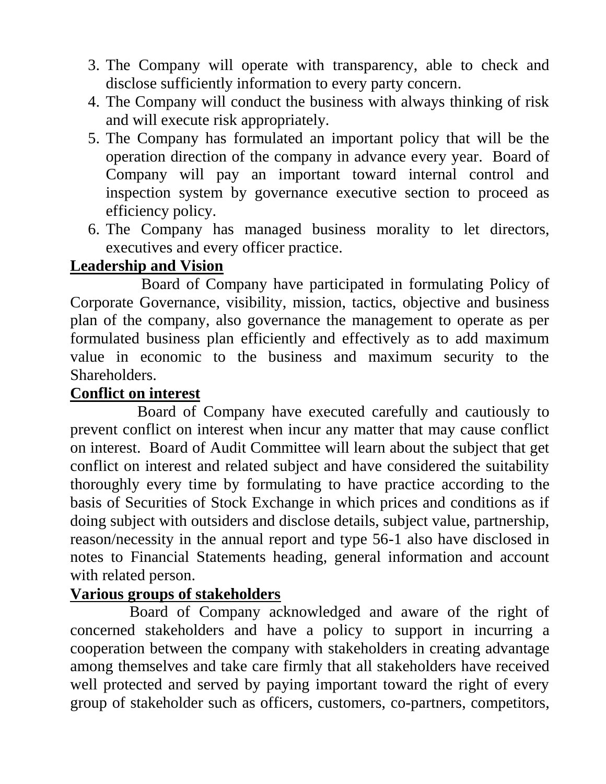- 3. The Company will operate with transparency, able to check and disclose sufficiently information to every party concern.
- 4. The Company will conduct the business with always thinking of risk and will execute risk appropriately.
- 5. The Company has formulated an important policy that will be the operation direction of the company in advance every year. Board of Company will pay an important toward internal control and inspection system by governance executive section to proceed as efficiency policy.
- 6. The Company has managed business morality to let directors, executives and every officer practice.

## **Leadership and Vision**

 Board of Company have participated in formulating Policy of Corporate Governance, visibility, mission, tactics, objective and business plan of the company, also governance the management to operate as per formulated business plan efficiently and effectively as to add maximum value in economic to the business and maximum security to the Shareholders.

## **Conflict on interest**

 Board of Company have executed carefully and cautiously to prevent conflict on interest when incur any matter that may cause conflict on interest. Board of Audit Committee will learn about the subject that get conflict on interest and related subject and have considered the suitability thoroughly every time by formulating to have practice according to the basis of Securities of Stock Exchange in which prices and conditions as if doing subject with outsiders and disclose details, subject value, partnership, reason/necessity in the annual report and type 56-1 also have disclosed in notes to Financial Statements heading, general information and account with related person.

## **Various groups of stakeholders**

 Board of Company acknowledged and aware of the right of concerned stakeholders and have a policy to support in incurring a cooperation between the company with stakeholders in creating advantage among themselves and take care firmly that all stakeholders have received well protected and served by paying important toward the right of every group of stakeholder such as officers, customers, co-partners, competitors,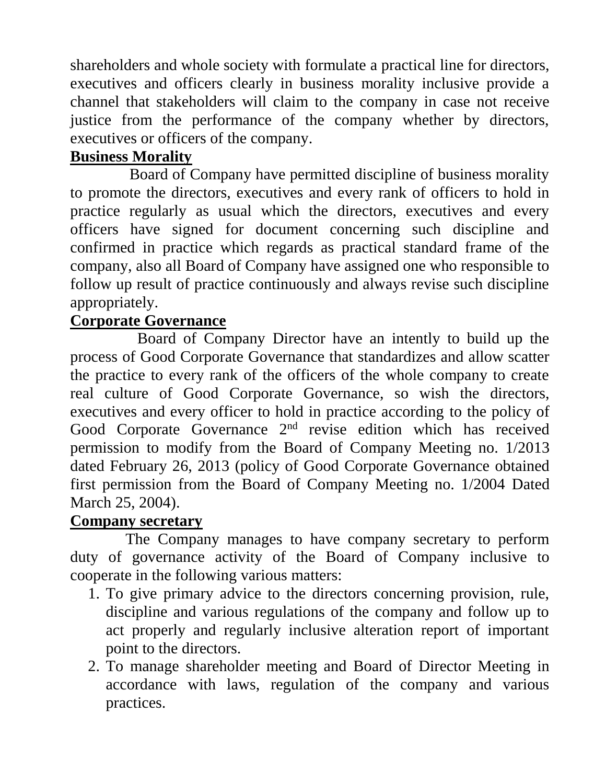shareholders and whole society with formulate a practical line for directors, executives and officers clearly in business morality inclusive provide a channel that stakeholders will claim to the company in case not receive justice from the performance of the company whether by directors, executives or officers of the company.

## **Business Morality**

 Board of Company have permitted discipline of business morality to promote the directors, executives and every rank of officers to hold in practice regularly as usual which the directors, executives and every officers have signed for document concerning such discipline and confirmed in practice which regards as practical standard frame of the company, also all Board of Company have assigned one who responsible to follow up result of practice continuously and always revise such discipline appropriately.

## **Corporate Governance**

 Board of Company Director have an intently to build up the process of Good Corporate Governance that standardizes and allow scatter the practice to every rank of the officers of the whole company to create real culture of Good Corporate Governance, so wish the directors, executives and every officer to hold in practice according to the policy of Good Corporate Governance 2<sup>nd</sup> revise edition which has received permission to modify from the Board of Company Meeting no. 1/2013 dated February 26, 2013 (policy of Good Corporate Governance obtained first permission from the Board of Company Meeting no. 1/2004 Dated March 25, 2004).

## **Company secretary**

 The Company manages to have company secretary to perform duty of governance activity of the Board of Company inclusive to cooperate in the following various matters:

- 1. To give primary advice to the directors concerning provision, rule, discipline and various regulations of the company and follow up to act properly and regularly inclusive alteration report of important point to the directors.
- 2. To manage shareholder meeting and Board of Director Meeting in accordance with laws, regulation of the company and various practices.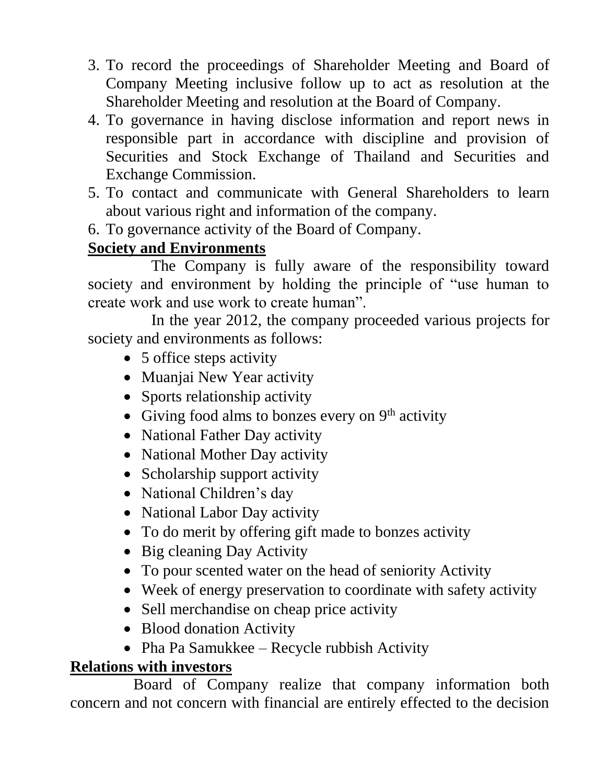- 3. To record the proceedings of Shareholder Meeting and Board of Company Meeting inclusive follow up to act as resolution at the Shareholder Meeting and resolution at the Board of Company.
- 4. To governance in having disclose information and report news in responsible part in accordance with discipline and provision of Securities and Stock Exchange of Thailand and Securities and Exchange Commission.
- 5. To contact and communicate with General Shareholders to learn about various right and information of the company.
- 6. To governance activity of the Board of Company.

## **Society and Environments**

 The Company is fully aware of the responsibility toward society and environment by holding the principle of "use human to create work and use work to create human".

 In the year 2012, the company proceeded various projects for society and environments as follows:

- 5 office steps activity
- Muanjai New Year activity
- Sports relationship activity
- Giving food alms to bonzes every on  $9<sup>th</sup>$  activity
- National Father Day activity
- National Mother Day activity
- Scholarship support activity
- National Children's day
- National Labor Day activity
- To do merit by offering gift made to bonzes activity
- Big cleaning Day Activity
- To pour scented water on the head of seniority Activity
- Week of energy preservation to coordinate with safety activity
- Sell merchandise on cheap price activity
- Blood donation Activity
- Pha Pa Samukkee Recycle rubbish Activity

## **Relations with investors**

 Board of Company realize that company information both concern and not concern with financial are entirely effected to the decision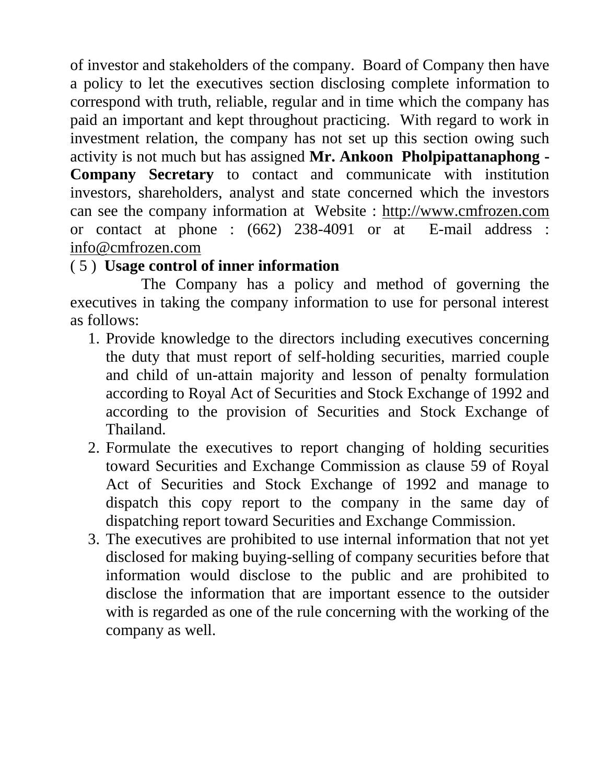of investor and stakeholders of the company. Board of Company then have a policy to let the executives section disclosing complete information to correspond with truth, reliable, regular and in time which the company has paid an important and kept throughout practicing. With regard to work in investment relation, the company has not set up this section owing such activity is not much but has assigned **Mr. Ankoon Pholpipattanaphong - Company Secretary** to contact and communicate with institution investors, shareholders, analyst and state concerned which the investors can see the company information at Website : [http://www.cmfrozen.com](http://www.cmfrozen.com/)  or contact at phone : (662) 238-4091 or at E-mail address : [info@cmfrozen.com](mailto:info@cmfrozen.com)

## ( 5 ) **Usage control of inner information**

 The Company has a policy and method of governing the executives in taking the company information to use for personal interest as follows:

- 1. Provide knowledge to the directors including executives concerning the duty that must report of self-holding securities, married couple and child of un-attain majority and lesson of penalty formulation according to Royal Act of Securities and Stock Exchange of 1992 and according to the provision of Securities and Stock Exchange of Thailand.
- 2. Formulate the executives to report changing of holding securities toward Securities and Exchange Commission as clause 59 of Royal Act of Securities and Stock Exchange of 1992 and manage to dispatch this copy report to the company in the same day of dispatching report toward Securities and Exchange Commission.
- 3. The executives are prohibited to use internal information that not yet disclosed for making buying-selling of company securities before that information would disclose to the public and are prohibited to disclose the information that are important essence to the outsider with is regarded as one of the rule concerning with the working of the company as well.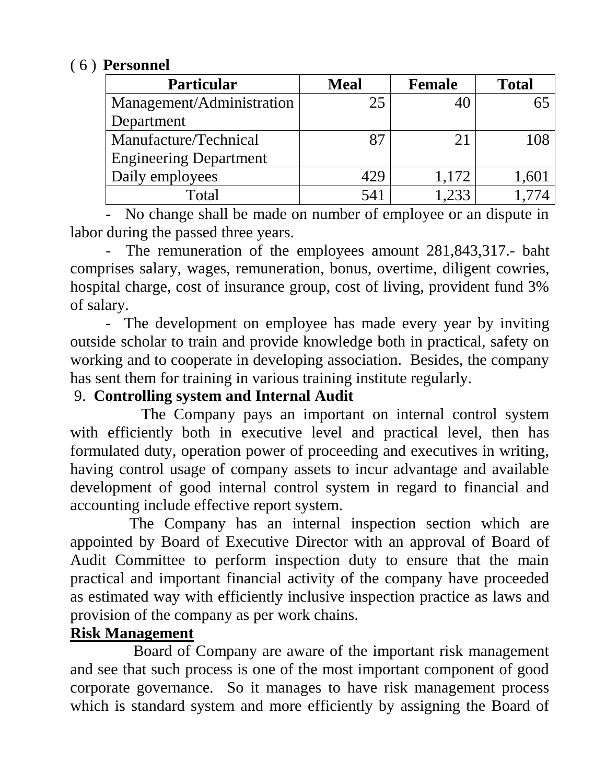#### ( 6 ) **Personnel**

| <b>Particular</b>             | <b>Meal</b> | <b>Female</b> | <b>Total</b> |
|-------------------------------|-------------|---------------|--------------|
| Management/Administration     | 25          |               |              |
| Department                    |             |               |              |
| Manufacture/Technical         |             |               |              |
| <b>Engineering Department</b> |             |               |              |
| Daily employees               | 429         | 1,172         | .60.         |
| Total                         | 541         | 1733          |              |

 - No change shall be made on number of employee or an dispute in labor during the passed three years.

 - The remuneration of the employees amount 281,843,317.- baht comprises salary, wages, remuneration, bonus, overtime, diligent cowries, hospital charge, cost of insurance group, cost of living, provident fund 3% of salary.

 - The development on employee has made every year by inviting outside scholar to train and provide knowledge both in practical, safety on working and to cooperate in developing association. Besides, the company has sent them for training in various training institute regularly.

## 9. **Controlling system and Internal Audit**

 The Company pays an important on internal control system with efficiently both in executive level and practical level, then has formulated duty, operation power of proceeding and executives in writing, having control usage of company assets to incur advantage and available development of good internal control system in regard to financial and accounting include effective report system.

 The Company has an internal inspection section which are appointed by Board of Executive Director with an approval of Board of Audit Committee to perform inspection duty to ensure that the main practical and important financial activity of the company have proceeded as estimated way with efficiently inclusive inspection practice as laws and provision of the company as per work chains.

## **Risk Management**

 Board of Company are aware of the important risk management and see that such process is one of the most important component of good corporate governance. So it manages to have risk management process which is standard system and more efficiently by assigning the Board of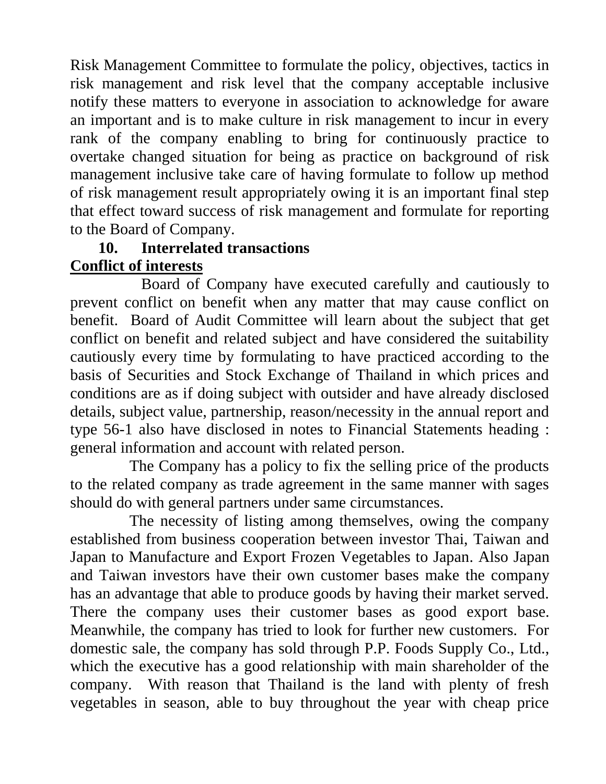Risk Management Committee to formulate the policy, objectives, tactics in risk management and risk level that the company acceptable inclusive notify these matters to everyone in association to acknowledge for aware an important and is to make culture in risk management to incur in every rank of the company enabling to bring for continuously practice to overtake changed situation for being as practice on background of risk management inclusive take care of having formulate to follow up method of risk management result appropriately owing it is an important final step that effect toward success of risk management and formulate for reporting to the Board of Company.

#### **10. Interrelated transactions Conflict of interests**

 Board of Company have executed carefully and cautiously to prevent conflict on benefit when any matter that may cause conflict on benefit. Board of Audit Committee will learn about the subject that get conflict on benefit and related subject and have considered the suitability cautiously every time by formulating to have practiced according to the basis of Securities and Stock Exchange of Thailand in which prices and conditions are as if doing subject with outsider and have already disclosed details, subject value, partnership, reason/necessity in the annual report and type 56-1 also have disclosed in notes to Financial Statements heading : general information and account with related person.

 The Company has a policy to fix the selling price of the products to the related company as trade agreement in the same manner with sages should do with general partners under same circumstances.

 The necessity of listing among themselves, owing the company established from business cooperation between investor Thai, Taiwan and Japan to Manufacture and Export Frozen Vegetables to Japan. Also Japan and Taiwan investors have their own customer bases make the company has an advantage that able to produce goods by having their market served. There the company uses their customer bases as good export base. Meanwhile, the company has tried to look for further new customers. For domestic sale, the company has sold through P.P. Foods Supply Co., Ltd., which the executive has a good relationship with main shareholder of the company. With reason that Thailand is the land with plenty of fresh vegetables in season, able to buy throughout the year with cheap price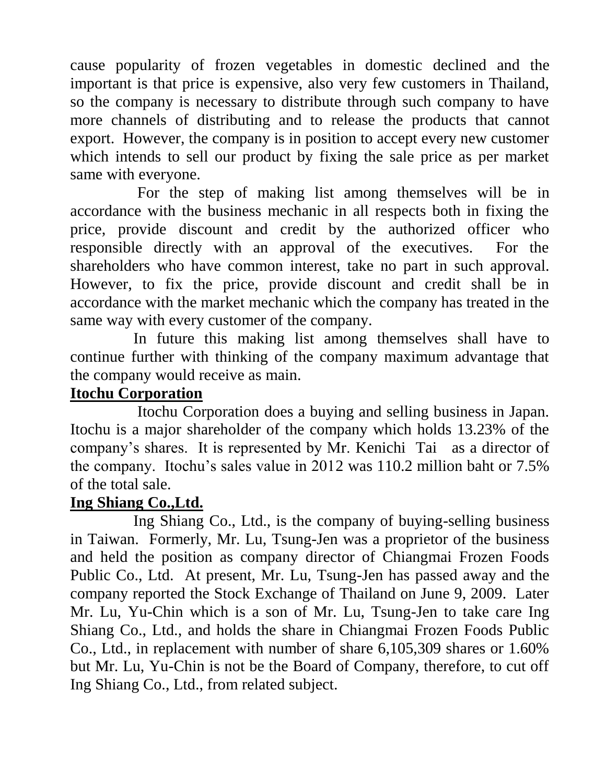cause popularity of frozen vegetables in domestic declined and the important is that price is expensive, also very few customers in Thailand, so the company is necessary to distribute through such company to have more channels of distributing and to release the products that cannot export. However, the company is in position to accept every new customer which intends to sell our product by fixing the sale price as per market same with everyone.

 For the step of making list among themselves will be in accordance with the business mechanic in all respects both in fixing the price, provide discount and credit by the authorized officer who responsible directly with an approval of the executives. For the shareholders who have common interest, take no part in such approval. However, to fix the price, provide discount and credit shall be in accordance with the market mechanic which the company has treated in the same way with every customer of the company.

 In future this making list among themselves shall have to continue further with thinking of the company maximum advantage that the company would receive as main.

### **Itochu Corporation**

 Itochu Corporation does a buying and selling business in Japan. Itochu is a major shareholder of the company which holds 13.23% of the company's shares. It is represented by Mr. Kenichi Tai as a director of the company. Itochu's sales value in 2012 was 110.2 million baht or 7.5% of the total sale.

#### **Ing Shiang Co.,Ltd.**

 Ing Shiang Co., Ltd., is the company of buying-selling business in Taiwan. Formerly, Mr. Lu, Tsung-Jen was a proprietor of the business and held the position as company director of Chiangmai Frozen Foods Public Co., Ltd. At present, Mr. Lu, Tsung-Jen has passed away and the company reported the Stock Exchange of Thailand on June 9, 2009. Later Mr. Lu, Yu-Chin which is a son of Mr. Lu, Tsung-Jen to take care Ing Shiang Co., Ltd., and holds the share in Chiangmai Frozen Foods Public Co., Ltd., in replacement with number of share 6,105,309 shares or 1.60% but Mr. Lu, Yu-Chin is not be the Board of Company, therefore, to cut off Ing Shiang Co., Ltd., from related subject.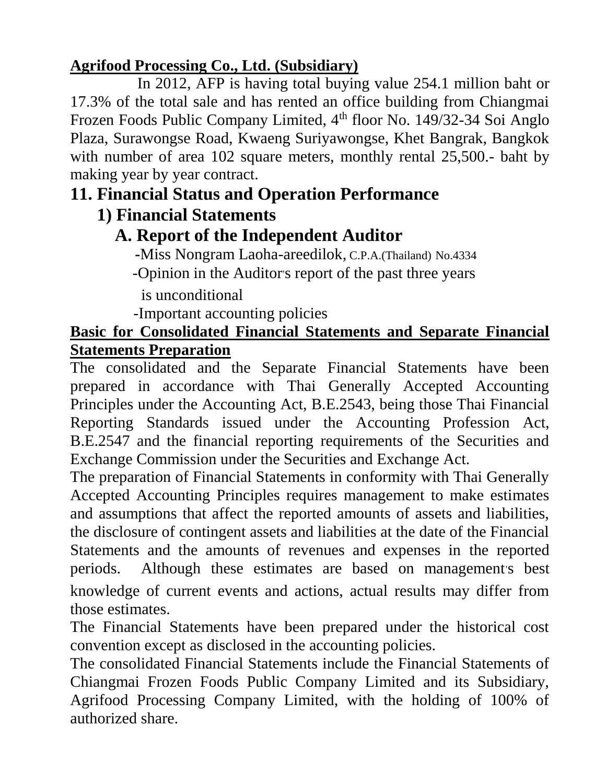## **Agrifood Processing Co., Ltd. (Subsidiary)**

 In 2012, AFP is having total buying value 254.1 million baht or 17.3% of the total sale and has rented an office building from Chiangmai Frozen Foods Public Company Limited, 4<sup>th</sup> floor No. 149/32-34 Soi Anglo Plaza, Surawongse Road, Kwaeng Suriyawongse, Khet Bangrak, Bangkok with number of area 102 square meters, monthly rental 25,500.- baht by making year by year contract.

## **11. Financial Status and Operation Performance**

## **1) Financial Statements**

## **A. Report of the Independent Auditor**

 **-**Miss Nongram Laoha-areedilok, C.P.A.(Thailand) No.4334

-Opinion in the Auditor's report of the past three years

is unconditional

-Important accounting policies

## **Basic for Consolidated Financial Statements and Separate Financial Statements Preparation**

The consolidated and the Separate Financial Statements have been prepared in accordance with Thai Generally Accepted Accounting Principles under the Accounting Act, B.E.2543, being those Thai Financial Reporting Standards issued under the Accounting Profession Act, B.E.2547 and the financial reporting requirements of the Securities and Exchange Commission under the Securities and Exchange Act.

The preparation of Financial Statements in conformity with Thai Generally Accepted Accounting Principles requires management to make estimates and assumptions that affect the reported amounts of assets and liabilities, the disclosure of contingent assets and liabilities at the date of the Financial Statements and the amounts of revenues and expenses in the reported periods. Although these estimates are based on management's best knowledge of current events and actions, actual results may differ from those estimates.

The Financial Statements have been prepared under the historical cost convention except as disclosed in the accounting policies.

The consolidated Financial Statements include the Financial Statements of Chiangmai Frozen Foods Public Company Limited and its Subsidiary, Agrifood Processing Company Limited, with the holding of 100% of authorized share.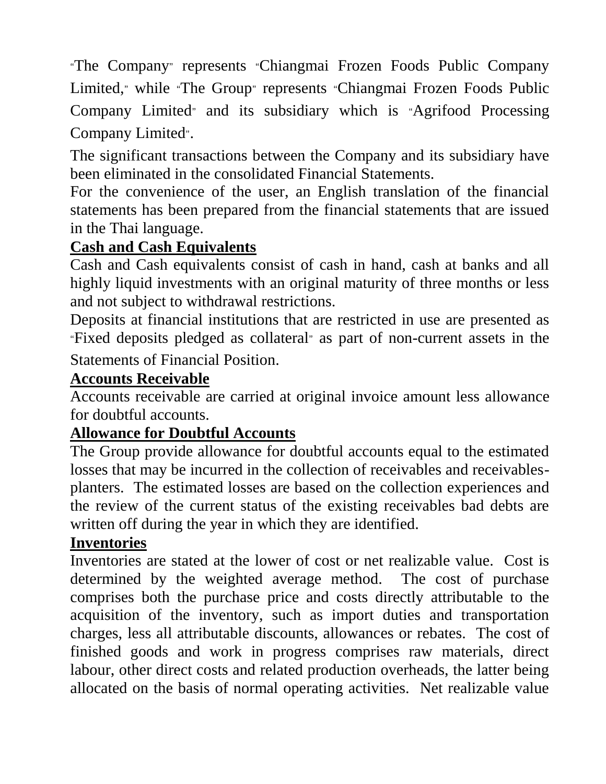"The Company" represents "Chiangmai Frozen Foods Public Company Limited," while "The Group" represents "Chiangmai Frozen Foods Public Company Limited" and its subsidiary which is "Agrifood Processing Company Limited".

The significant transactions between the Company and its subsidiary have been eliminated in the consolidated Financial Statements.

For the convenience of the user, an English translation of the financial statements has been prepared from the financial statements that are issued in the Thai language.

#### **Cash and Cash Equivalents**

Cash and Cash equivalents consist of cash in hand, cash at banks and all highly liquid investments with an original maturity of three months or less and not subject to withdrawal restrictions.

Deposits at financial institutions that are restricted in use are presented as "Fixed deposits pledged as collateral" as part of non-current assets in the

Statements of Financial Position.

#### **Accounts Receivable**

Accounts receivable are carried at original invoice amount less allowance for doubtful accounts.

## **Allowance for Doubtful Accounts**

The Group provide allowance for doubtful accounts equal to the estimated losses that may be incurred in the collection of receivables and receivablesplanters. The estimated losses are based on the collection experiences and the review of the current status of the existing receivables bad debts are written off during the year in which they are identified.

#### **Inventories**

Inventories are stated at the lower of cost or net realizable value. Cost is determined by the weighted average method. The cost of purchase comprises both the purchase price and costs directly attributable to the acquisition of the inventory, such as import duties and transportation charges, less all attributable discounts, allowances or rebates. The cost of finished goods and work in progress comprises raw materials, direct labour, other direct costs and related production overheads, the latter being allocated on the basis of normal operating activities. Net realizable value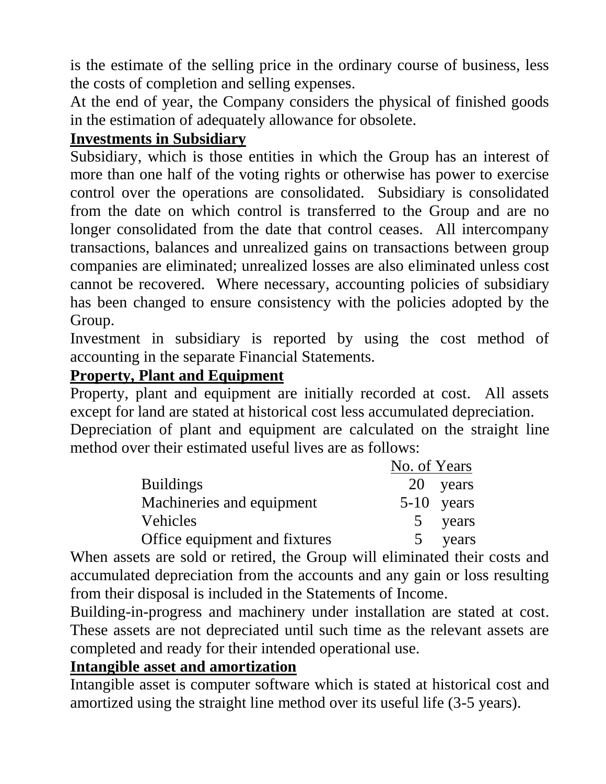is the estimate of the selling price in the ordinary course of business, less the costs of completion and selling expenses.

At the end of year, the Company considers the physical of finished goods in the estimation of adequately allowance for obsolete.

### **Investments in Subsidiary**

Subsidiary, which is those entities in which the Group has an interest of more than one half of the voting rights or otherwise has power to exercise control over the operations are consolidated. Subsidiary is consolidated from the date on which control is transferred to the Group and are no longer consolidated from the date that control ceases. All intercompany transactions, balances and unrealized gains on transactions between group companies are eliminated; unrealized losses are also eliminated unless cost cannot be recovered. Where necessary, accounting policies of subsidiary has been changed to ensure consistency with the policies adopted by the Group.

Investment in subsidiary is reported by using the cost method of accounting in the separate Financial Statements.

#### **Property, Plant and Equipment**

Property, plant and equipment are initially recorded at cost. All assets except for land are stated at historical cost less accumulated depreciation.

Depreciation of plant and equipment are calculated on the straight line method over their estimated useful lives are as follows:

|                               | No. of Years |              |
|-------------------------------|--------------|--------------|
| <b>Buildings</b>              |              | 20 years     |
| Machineries and equipment     |              | $5-10$ years |
| <b>Vehicles</b>               |              | years        |
| Office equipment and fixtures |              | years        |

When assets are sold or retired, the Group will eliminated their costs and accumulated depreciation from the accounts and any gain or loss resulting from their disposal is included in the Statements of Income.

Building-in-progress and machinery under installation are stated at cost. These assets are not depreciated until such time as the relevant assets are completed and ready for their intended operational use.

#### **Intangible asset and amortization**

Intangible asset is computer software which is stated at historical cost and amortized using the straight line method over its useful life (3-5 years).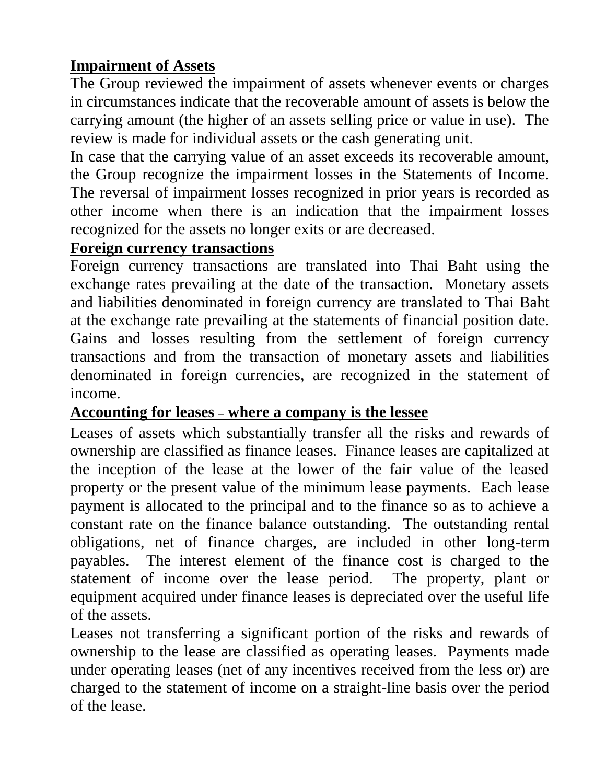## **Impairment of Assets**

The Group reviewed the impairment of assets whenever events or charges in circumstances indicate that the recoverable amount of assets is below the carrying amount (the higher of an assets selling price or value in use). The review is made for individual assets or the cash generating unit.

In case that the carrying value of an asset exceeds its recoverable amount, the Group recognize the impairment losses in the Statements of Income. The reversal of impairment losses recognized in prior years is recorded as other income when there is an indication that the impairment losses recognized for the assets no longer exits or are decreased.

#### **Foreign currency transactions**

Foreign currency transactions are translated into Thai Baht using the exchange rates prevailing at the date of the transaction. Monetary assets and liabilities denominated in foreign currency are translated to Thai Baht at the exchange rate prevailing at the statements of financial position date. Gains and losses resulting from the settlement of foreign currency transactions and from the transaction of monetary assets and liabilities denominated in foreign currencies, are recognized in the statement of income.

#### **Accounting for leases – where a company is the lessee**

Leases of assets which substantially transfer all the risks and rewards of ownership are classified as finance leases. Finance leases are capitalized at the inception of the lease at the lower of the fair value of the leased property or the present value of the minimum lease payments. Each lease payment is allocated to the principal and to the finance so as to achieve a constant rate on the finance balance outstanding. The outstanding rental obligations, net of finance charges, are included in other long-term payables. The interest element of the finance cost is charged to the statement of income over the lease period. The property, plant or equipment acquired under finance leases is depreciated over the useful life of the assets.

Leases not transferring a significant portion of the risks and rewards of ownership to the lease are classified as operating leases. Payments made under operating leases (net of any incentives received from the less or) are charged to the statement of income on a straight-line basis over the period of the lease.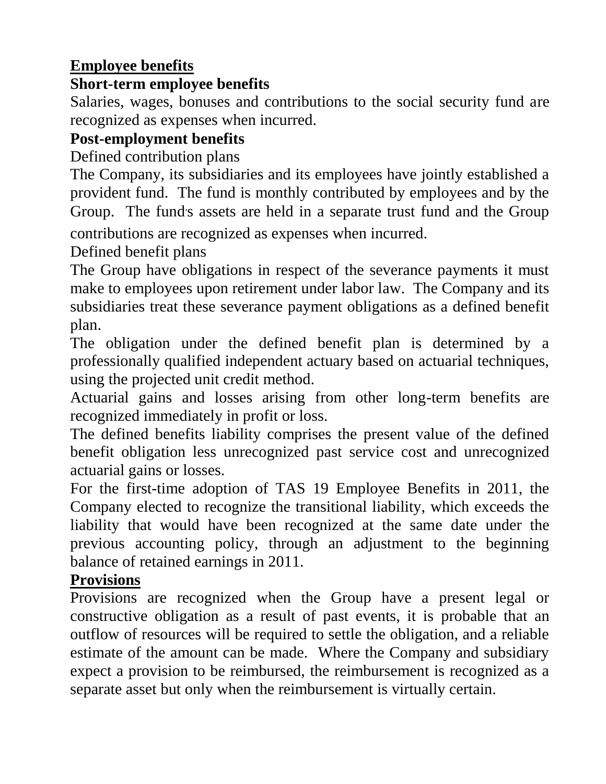## **Employee benefits**

## **Short-term employee benefits**

Salaries, wages, bonuses and contributions to the social security fund are recognized as expenses when incurred.

## **Post-employment benefits**

Defined contribution plans

The Company, its subsidiaries and its employees have jointly established a provident fund. The fund is monthly contributed by employees and by the Group. The fund's assets are held in a separate trust fund and the Group

contributions are recognized as expenses when incurred.

Defined benefit plans

The Group have obligations in respect of the severance payments it must make to employees upon retirement under labor law. The Company and its subsidiaries treat these severance payment obligations as a defined benefit plan.

The obligation under the defined benefit plan is determined by a professionally qualified independent actuary based on actuarial techniques, using the projected unit credit method.

Actuarial gains and losses arising from other long-term benefits are recognized immediately in profit or loss.

The defined benefits liability comprises the present value of the defined benefit obligation less unrecognized past service cost and unrecognized actuarial gains or losses.

For the first-time adoption of TAS 19 Employee Benefits in 2011, the Company elected to recognize the transitional liability, which exceeds the liability that would have been recognized at the same date under the previous accounting policy, through an adjustment to the beginning balance of retained earnings in 2011.

## **Provisions**

Provisions are recognized when the Group have a present legal or constructive obligation as a result of past events, it is probable that an outflow of resources will be required to settle the obligation, and a reliable estimate of the amount can be made. Where the Company and subsidiary expect a provision to be reimbursed, the reimbursement is recognized as a separate asset but only when the reimbursement is virtually certain.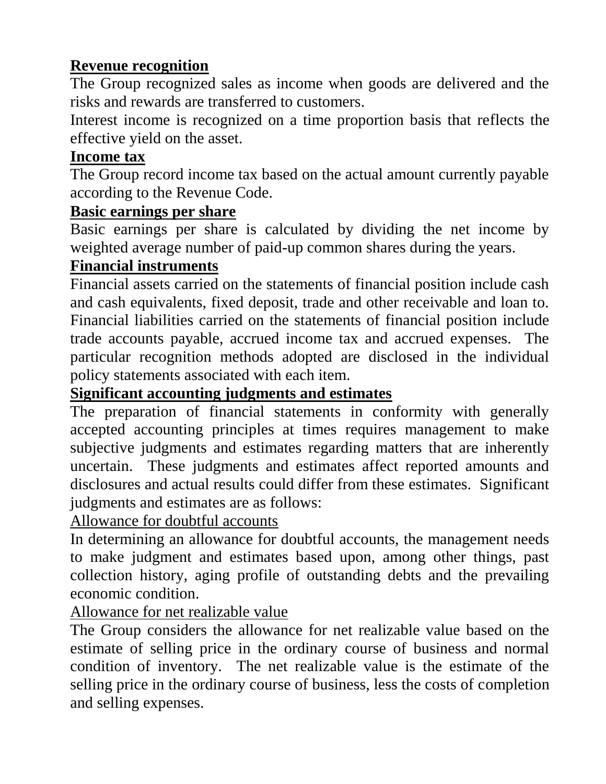## **Revenue recognition**

The Group recognized sales as income when goods are delivered and the risks and rewards are transferred to customers.

Interest income is recognized on a time proportion basis that reflects the effective yield on the asset.

## **Income tax**

The Group record income tax based on the actual amount currently payable according to the Revenue Code.

#### **Basic earnings per share**

Basic earnings per share is calculated by dividing the net income by weighted average number of paid-up common shares during the years.

## **Financial instruments**

Financial assets carried on the statements of financial position include cash and cash equivalents, fixed deposit, trade and other receivable and loan to. Financial liabilities carried on the statements of financial position include trade accounts payable, accrued income tax and accrued expenses. The particular recognition methods adopted are disclosed in the individual policy statements associated with each item.

## **Significant accounting judgments and estimates**

The preparation of financial statements in conformity with generally accepted accounting principles at times requires management to make subjective judgments and estimates regarding matters that are inherently uncertain. These judgments and estimates affect reported amounts and disclosures and actual results could differ from these estimates. Significant judgments and estimates are as follows:

Allowance for doubtful accounts

In determining an allowance for doubtful accounts, the management needs to make judgment and estimates based upon, among other things, past collection history, aging profile of outstanding debts and the prevailing economic condition.

Allowance for net realizable value

The Group considers the allowance for net realizable value based on the estimate of selling price in the ordinary course of business and normal condition of inventory. The net realizable value is the estimate of the selling price in the ordinary course of business, less the costs of completion and selling expenses.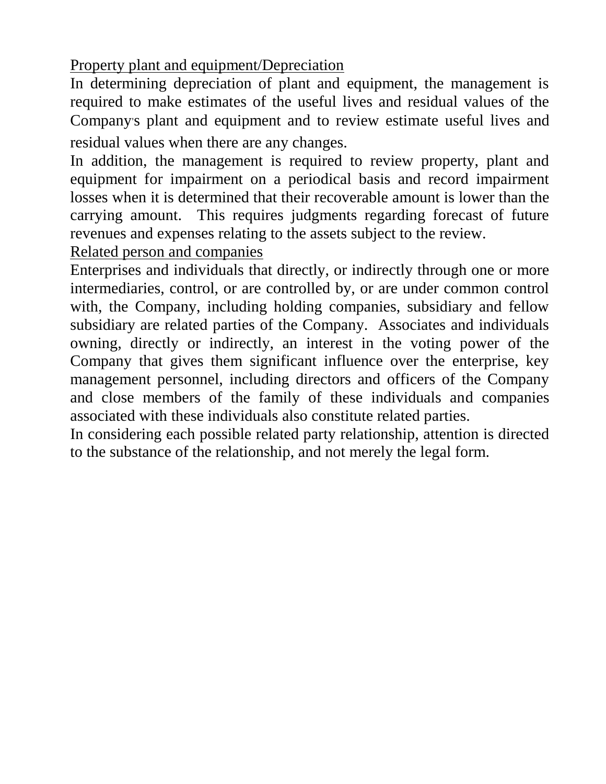Property plant and equipment/Depreciation

In determining depreciation of plant and equipment, the management is required to make estimates of the useful lives and residual values of the Company's plant and equipment and to review estimate useful lives and residual values when there are any changes.

In addition, the management is required to review property, plant and equipment for impairment on a periodical basis and record impairment losses when it is determined that their recoverable amount is lower than the carrying amount. This requires judgments regarding forecast of future revenues and expenses relating to the assets subject to the review.

Related person and companies

Enterprises and individuals that directly, or indirectly through one or more intermediaries, control, or are controlled by, or are under common control with, the Company, including holding companies, subsidiary and fellow subsidiary are related parties of the Company. Associates and individuals owning, directly or indirectly, an interest in the voting power of the Company that gives them significant influence over the enterprise, key management personnel, including directors and officers of the Company and close members of the family of these individuals and companies associated with these individuals also constitute related parties.

In considering each possible related party relationship, attention is directed to the substance of the relationship, and not merely the legal form.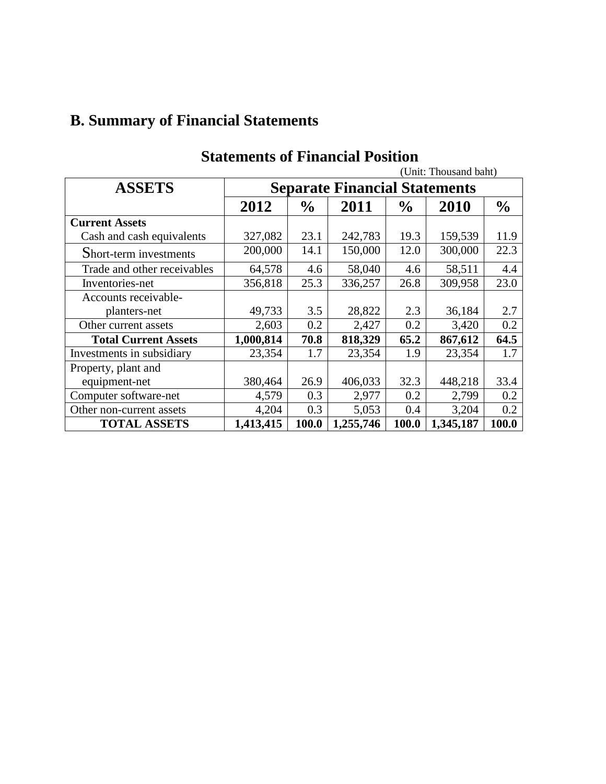# **B. Summary of Financial Statements**

|                             |                                      |               |           |               | (Unit: Thousand baht) |               |
|-----------------------------|--------------------------------------|---------------|-----------|---------------|-----------------------|---------------|
| <b>ASSETS</b>               | <b>Separate Financial Statements</b> |               |           |               |                       |               |
|                             | 2012                                 | $\frac{0}{0}$ | 2011      | $\frac{0}{0}$ | 2010                  | $\frac{0}{0}$ |
| <b>Current Assets</b>       |                                      |               |           |               |                       |               |
| Cash and cash equivalents   | 327,082                              | 23.1          | 242,783   | 19.3          | 159,539               | 11.9          |
| Short-term investments      | 200,000                              | 14.1          | 150,000   | 12.0          | 300,000               | 22.3          |
| Trade and other receivables | 64,578                               | 4.6           | 58,040    | 4.6           | 58,511                | 4.4           |
| Inventories-net             | 356,818                              | 25.3          | 336,257   | 26.8          | 309,958               | 23.0          |
| Accounts receivable-        |                                      |               |           |               |                       |               |
| planters-net                | 49,733                               | 3.5           | 28,822    | 2.3           | 36,184                | 2.7           |
| Other current assets        | 2,603                                | 0.2           | 2,427     | 0.2           | 3,420                 | 0.2           |
| <b>Total Current Assets</b> | 1,000,814                            | 70.8          | 818,329   | 65.2          | 867,612               | 64.5          |
| Investments in subsidiary   | 23,354                               | 1.7           | 23,354    | 1.9           | 23,354                | 1.7           |
| Property, plant and         |                                      |               |           |               |                       |               |
| equipment-net               | 380,464                              | 26.9          | 406,033   | 32.3          | 448,218               | 33.4          |
| Computer software-net       | 4,579                                | 0.3           | 2,977     | 0.2           | 2,799                 | 0.2           |
| Other non-current assets    | 4,204                                | 0.3           | 5,053     | 0.4           | 3,204                 | 0.2           |
| <b>TOTAL ASSETS</b>         | 1,413,415                            | 100.0         | 1,255,746 | 100.0         | 1,345,187             | 100.0         |

## **Statements of Financial Position**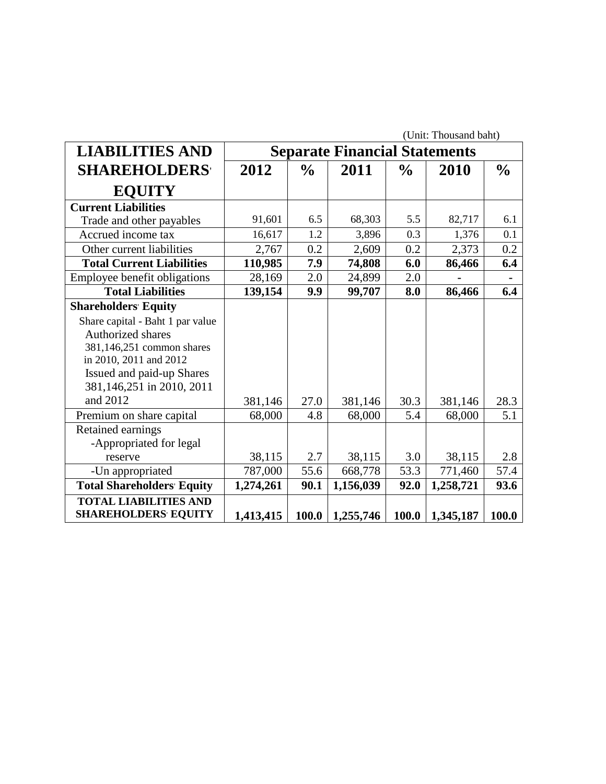|                                   | (Unit: Thousand baht) |               |                                      |               |           |               |
|-----------------------------------|-----------------------|---------------|--------------------------------------|---------------|-----------|---------------|
| <b>LIABILITIES AND</b>            |                       |               | <b>Separate Financial Statements</b> |               |           |               |
| <b>SHAREHOLDERS</b>               | 2012                  | $\frac{1}{2}$ | 2011                                 | $\frac{6}{9}$ | 2010      | $\frac{0}{0}$ |
| <b>EQUITY</b>                     |                       |               |                                      |               |           |               |
| <b>Current Liabilities</b>        |                       |               |                                      |               |           |               |
| Trade and other payables          | 91,601                | 6.5           | 68,303                               | 5.5           | 82,717    | 6.1           |
| Accrued income tax                | 16,617                | 1.2           | 3,896                                | 0.3           | 1,376     | 0.1           |
| Other current liabilities         | 2,767                 | 0.2           | 2,609                                | 0.2           | 2,373     | 0.2           |
| <b>Total Current Liabilities</b>  | 110,985               | 7.9           | 74,808                               | 6.0           | 86,466    | 6.4           |
| Employee benefit obligations      | 28,169                | 2.0           | 24,899                               | 2.0           |           |               |
| <b>Total Liabilities</b>          | 139,154               | 9.9           | 99,707                               | 8.0           | 86,466    | 6.4           |
| <b>Shareholders' Equity</b>       |                       |               |                                      |               |           |               |
| Share capital - Baht 1 par value  |                       |               |                                      |               |           |               |
| Authorized shares                 |                       |               |                                      |               |           |               |
| 381,146,251 common shares         |                       |               |                                      |               |           |               |
| in 2010, 2011 and 2012            |                       |               |                                      |               |           |               |
| Issued and paid-up Shares         |                       |               |                                      |               |           |               |
| 381,146,251 in 2010, 2011         |                       |               |                                      |               |           |               |
| and 2012                          | 381,146               | 27.0          | 381,146                              | 30.3          | 381,146   | 28.3          |
| Premium on share capital          | 68,000                | 4.8           | 68,000                               | 5.4           | 68,000    | 5.1           |
| Retained earnings                 |                       |               |                                      |               |           |               |
| -Appropriated for legal           |                       |               |                                      |               |           |               |
| reserve                           | 38,115                | 2.7           | 38,115                               | 3.0           | 38,115    | 2.8           |
| -Un appropriated                  | 787,000               | 55.6          | 668,778                              | 53.3          | 771,460   | 57.4          |
| <b>Total Shareholders' Equity</b> | 1,274,261             | 90.1          | 1,156,039                            | 92.0          | 1,258,721 | 93.6          |
| <b>TOTAL LIABILITIES AND</b>      |                       |               |                                      |               |           |               |
| <b>SHAREHOLDERS EQUITY</b>        | 1,413,415             | 100.0         | 1,255,746                            | 100.0         | 1,345,187 | 100.0         |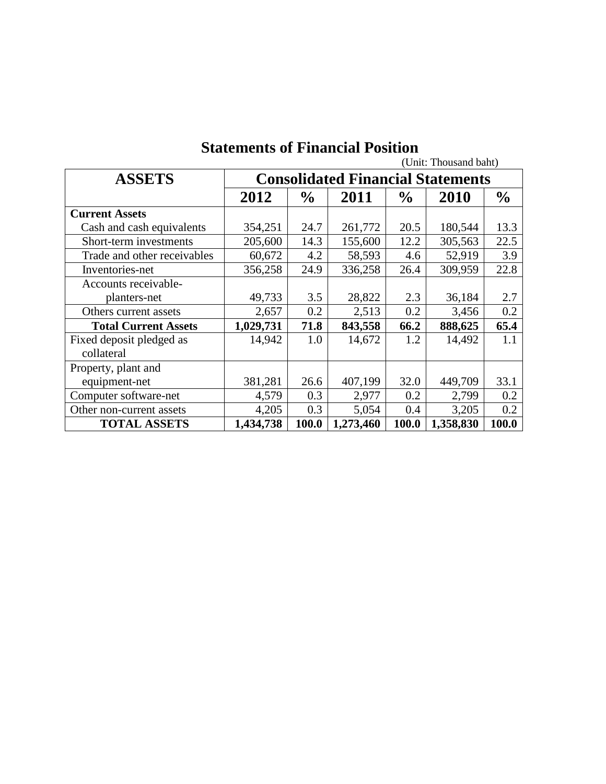|                             |                                          |               |           |               | (Unit: Thousand baht) |               |
|-----------------------------|------------------------------------------|---------------|-----------|---------------|-----------------------|---------------|
| <b>ASSETS</b>               | <b>Consolidated Financial Statements</b> |               |           |               |                       |               |
|                             | 2012                                     | $\frac{0}{0}$ | 2011      | $\frac{0}{0}$ | 2010                  | $\frac{6}{9}$ |
| <b>Current Assets</b>       |                                          |               |           |               |                       |               |
| Cash and cash equivalents   | 354,251                                  | 24.7          | 261,772   | 20.5          | 180,544               | 13.3          |
| Short-term investments      | 205,600                                  | 14.3          | 155,600   | 12.2          | 305,563               | 22.5          |
| Trade and other receivables | 60,672                                   | 4.2           | 58,593    | 4.6           | 52,919                | 3.9           |
| Inventories-net             | 356,258                                  | 24.9          | 336,258   | 26.4          | 309,959               | 22.8          |
| Accounts receivable-        |                                          |               |           |               |                       |               |
| planters-net                | 49,733                                   | 3.5           | 28,822    | 2.3           | 36,184                | 2.7           |
| Others current assets       | 2,657                                    | 0.2           | 2,513     | 0.2           | 3,456                 | 0.2           |
| <b>Total Current Assets</b> | 1,029,731                                | 71.8          | 843,558   | 66.2          | 888,625               | 65.4          |
| Fixed deposit pledged as    | 14,942                                   | 1.0           | 14,672    | 1.2           | 14,492                | 1.1           |
| collateral                  |                                          |               |           |               |                       |               |
| Property, plant and         |                                          |               |           |               |                       |               |
| equipment-net               | 381,281                                  | 26.6          | 407,199   | 32.0          | 449,709               | 33.1          |
| Computer software-net       | 4,579                                    | 0.3           | 2,977     | 0.2           | 2,799                 | 0.2           |
| Other non-current assets    | 4,205                                    | 0.3           | 5,054     | 0.4           | 3,205                 | 0.2           |
| <b>TOTAL ASSETS</b>         | 1,434,738                                | 100.0         | 1,273,460 | 100.0         | 1,358,830             | 100.0         |

## **Statements of Financial Position**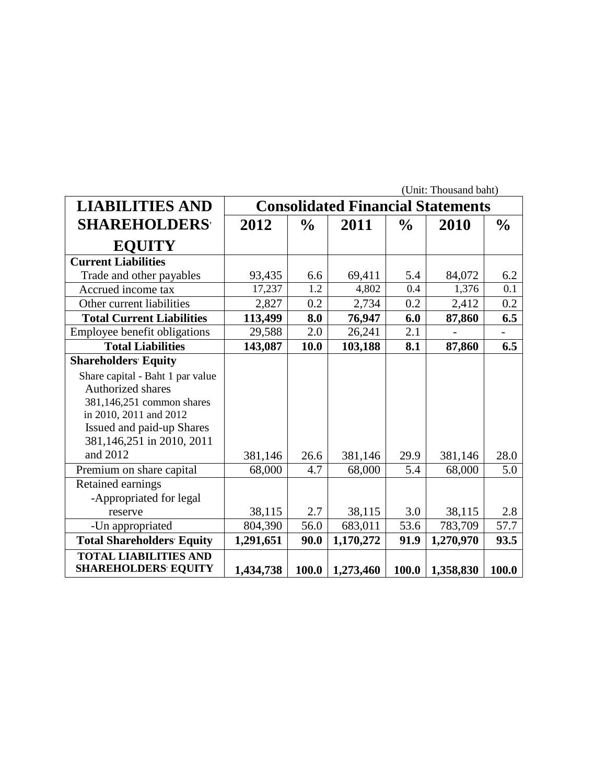|                                                            | (Unit: Thousand baht) |               |                                          |               |           |               |
|------------------------------------------------------------|-----------------------|---------------|------------------------------------------|---------------|-----------|---------------|
| <b>LIABILITIES AND</b>                                     |                       |               | <b>Consolidated Financial Statements</b> |               |           |               |
| <b>SHAREHOLDERS</b>                                        | 2012                  | $\frac{0}{0}$ | 2011                                     | $\frac{0}{0}$ | 2010      | $\frac{6}{6}$ |
| <b>EQUITY</b>                                              |                       |               |                                          |               |           |               |
| <b>Current Liabilities</b>                                 |                       |               |                                          |               |           |               |
| Trade and other payables                                   | 93,435                | 6.6           | 69,411                                   | 5.4           | 84,072    | 6.2           |
| Accrued income tax                                         | 17,237                | 1.2           | 4,802                                    | 0.4           | 1,376     | 0.1           |
| Other current liabilities                                  | 2,827                 | 0.2           | 2,734                                    | 0.2           | 2,412     | 0.2           |
| <b>Total Current Liabilities</b>                           | 113,499               | 8.0           | 76,947                                   | 6.0           | 87,860    | 6.5           |
| Employee benefit obligations                               | 29,588                | 2.0           | 26,241                                   | 2.1           |           |               |
| <b>Total Liabilities</b>                                   | 143,087               | 10.0          | 103,188                                  | 8.1           | 87,860    | 6.5           |
| <b>Shareholders' Equity</b>                                |                       |               |                                          |               |           |               |
| Share capital - Baht 1 par value                           |                       |               |                                          |               |           |               |
| <b>Authorized shares</b>                                   |                       |               |                                          |               |           |               |
| 381,146,251 common shares                                  |                       |               |                                          |               |           |               |
| in 2010, 2011 and 2012                                     |                       |               |                                          |               |           |               |
| Issued and paid-up Shares                                  |                       |               |                                          |               |           |               |
| 381,146,251 in 2010, 2011                                  |                       |               |                                          |               |           |               |
| and 2012                                                   | 381,146               | 26.6          | 381,146                                  | 29.9          | 381,146   | 28.0          |
| Premium on share capital                                   | 68,000                | 4.7           | 68,000                                   | 5.4           | 68,000    | 5.0           |
| Retained earnings                                          |                       |               |                                          |               |           |               |
| -Appropriated for legal                                    |                       |               |                                          |               |           |               |
| reserve                                                    | 38,115                | 2.7           | 38,115                                   | 3.0           | 38,115    | 2.8           |
| -Un appropriated                                           | 804,390               | 56.0          | 683,011                                  | 53.6          | 783,709   | 57.7          |
| <b>Total Shareholders' Equity</b>                          | 1,291,651             | 90.0          | 1,170,272                                | 91.9          | 1,270,970 | 93.5          |
| <b>TOTAL LIABILITIES AND</b><br><b>SHAREHOLDERS EQUITY</b> | 1,434,738             | 100.0         | 1,273,460                                | 100.0         | 1,358,830 | 100.0         |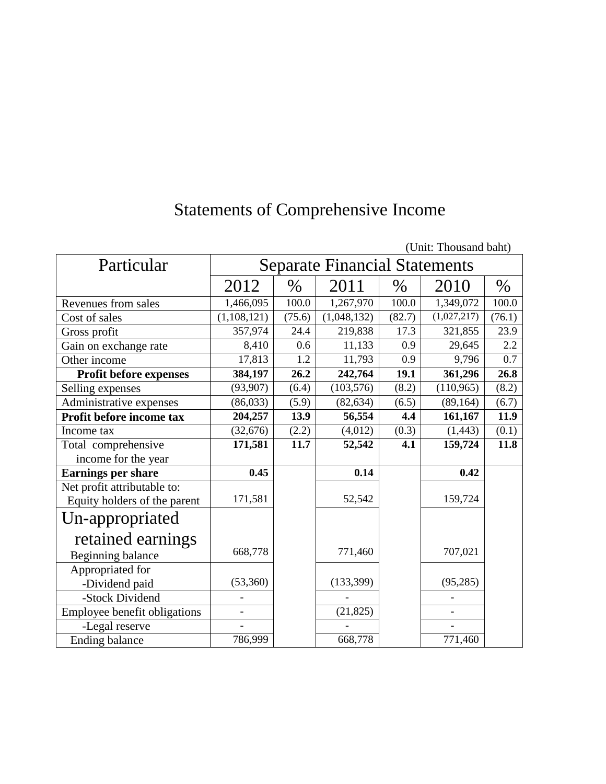# Statements of Comprehensive Income

|                              |               |                                      |             |        | (Unit: Thousand Dant) |        |  |
|------------------------------|---------------|--------------------------------------|-------------|--------|-----------------------|--------|--|
| Particular                   |               | <b>Separate Financial Statements</b> |             |        |                       |        |  |
|                              | 2012          | $\%$                                 | 2011        | $\%$   | 2010                  | $\%$   |  |
| Revenues from sales          | 1,466,095     | 100.0                                | 1,267,970   | 100.0  | 1,349,072             | 100.0  |  |
| Cost of sales                | (1, 108, 121) | (75.6)                               | (1,048,132) | (82.7) | (1,027,217)           | (76.1) |  |
| Gross profit                 | 357,974       | 24.4                                 | 219,838     | 17.3   | 321,855               | 23.9   |  |
| Gain on exchange rate        | 8,410         | 0.6                                  | 11,133      | 0.9    | 29,645                | 2.2    |  |
| Other income                 | 17,813        | 1.2                                  | 11,793      | 0.9    | 9,796                 | 0.7    |  |
| Profit before expenses       | 384,197       | 26.2                                 | 242,764     | 19.1   | 361,296               | 26.8   |  |
| Selling expenses             | (93, 907)     | (6.4)                                | (103, 576)  | (8.2)  | (110, 965)            | (8.2)  |  |
| Administrative expenses      | (86,033)      | (5.9)                                | (82, 634)   | (6.5)  | (89, 164)             | (6.7)  |  |
| Profit before income tax     | 204,257       | 13.9                                 | 56,554      | 4.4    | 161,167               | 11.9   |  |
| Income tax                   | (32, 676)     | (2.2)                                | (4,012)     | (0.3)  | (1, 443)              | (0.1)  |  |
| Total comprehensive          | 171,581       | 11.7                                 | 52,542      | 4.1    | 159,724               | 11.8   |  |
| income for the year          |               |                                      |             |        |                       |        |  |
| <b>Earnings per share</b>    | 0.45          |                                      | 0.14        |        | 0.42                  |        |  |
| Net profit attributable to:  |               |                                      |             |        |                       |        |  |
| Equity holders of the parent | 171,581       |                                      | 52,542      |        | 159,724               |        |  |
| Un-appropriated              |               |                                      |             |        |                       |        |  |
| retained earnings            |               |                                      |             |        |                       |        |  |
| Beginning balance            | 668,778       |                                      | 771,460     |        | 707,021               |        |  |
| Appropriated for             |               |                                      |             |        |                       |        |  |
| -Dividend paid               | (53,360)      |                                      | (133, 399)  |        | (95, 285)             |        |  |
| -Stock Dividend              |               |                                      |             |        |                       |        |  |
| Employee benefit obligations |               |                                      | (21, 825)   |        | $\overline{a}$        |        |  |
| -Legal reserve               |               |                                      |             |        |                       |        |  |
| <b>Ending balance</b>        | 786,999       |                                      | 668,778     |        | 771,460               |        |  |

(Unit: Thousand baht)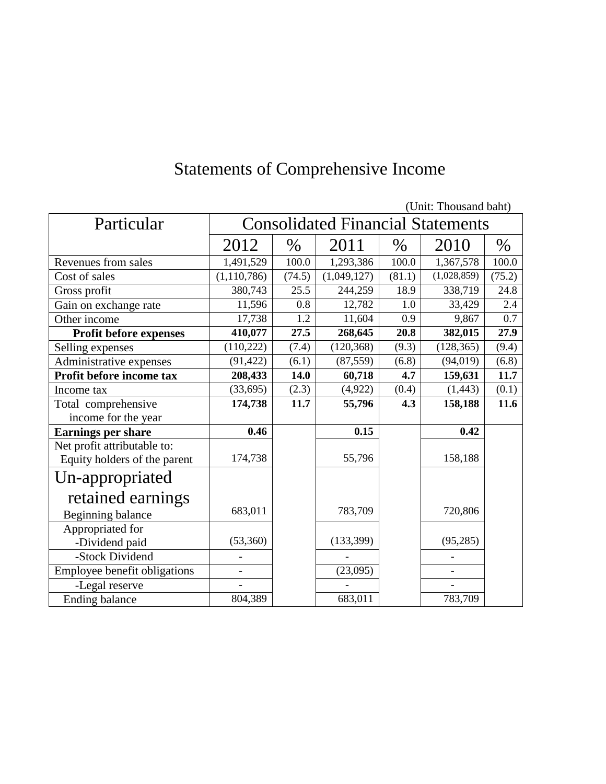|                              |                          |                                          |             |        | (UMIL THOUSAIR DAIR) |        |
|------------------------------|--------------------------|------------------------------------------|-------------|--------|----------------------|--------|
| Particular                   |                          | <b>Consolidated Financial Statements</b> |             |        |                      |        |
|                              | 2012                     | $\%$                                     | 2011        | $\%$   | 2010                 | $\%$   |
| Revenues from sales          | 1,491,529                | 100.0                                    | 1,293,386   | 100.0  | 1,367,578            | 100.0  |
| Cost of sales                | (1,110,786)              | (74.5)                                   | (1,049,127) | (81.1) | (1,028,859)          | (75.2) |
| Gross profit                 | 380,743                  | 25.5                                     | 244,259     | 18.9   | 338,719              | 24.8   |
| Gain on exchange rate        | 11,596                   | 0.8                                      | 12,782      | 1.0    | 33,429               | 2.4    |
| Other income                 | 17,738                   | 1.2                                      | 11,604      | 0.9    | 9,867                | 0.7    |
| Profit before expenses       | 410,077                  | 27.5                                     | 268,645     | 20.8   | 382,015              | 27.9   |
| Selling expenses             | (110, 222)               | (7.4)                                    | (120, 368)  | (9.3)  | (128, 365)           | (9.4)  |
| Administrative expenses      | (91, 422)                | (6.1)                                    | (87, 559)   | (6.8)  | (94, 019)            | (6.8)  |
| Profit before income tax     | 208,433                  | 14.0                                     | 60,718      | 4.7    | 159,631              | 11.7   |
| Income tax                   | (33, 695)                | (2.3)                                    | (4,922)     | (0.4)  | (1, 443)             | (0.1)  |
| Total comprehensive          | 174,738                  | 11.7                                     | 55,796      | 4.3    | 158,188              | 11.6   |
| income for the year          |                          |                                          |             |        |                      |        |
| <b>Earnings per share</b>    | 0.46                     |                                          | 0.15        |        | 0.42                 |        |
| Net profit attributable to:  |                          |                                          |             |        |                      |        |
| Equity holders of the parent | 174,738                  |                                          | 55,796      |        | 158,188              |        |
| Un-appropriated              |                          |                                          |             |        |                      |        |
| retained earnings            |                          |                                          |             |        |                      |        |
| Beginning balance            | 683,011                  |                                          | 783,709     |        | 720,806              |        |
| Appropriated for             |                          |                                          |             |        |                      |        |
| -Dividend paid               | (53,360)                 |                                          | (133, 399)  |        | (95, 285)            |        |
| -Stock Dividend              |                          |                                          |             |        |                      |        |
| Employee benefit obligations | $\overline{\phantom{0}}$ |                                          | (23,095)    |        | $\overline{a}$       |        |
| -Legal reserve               |                          |                                          |             |        |                      |        |
| <b>Ending balance</b>        | 804,389                  |                                          | 683,011     |        | 783,709              |        |

# Statements of Comprehensive Income

(Unit: Thousand baht)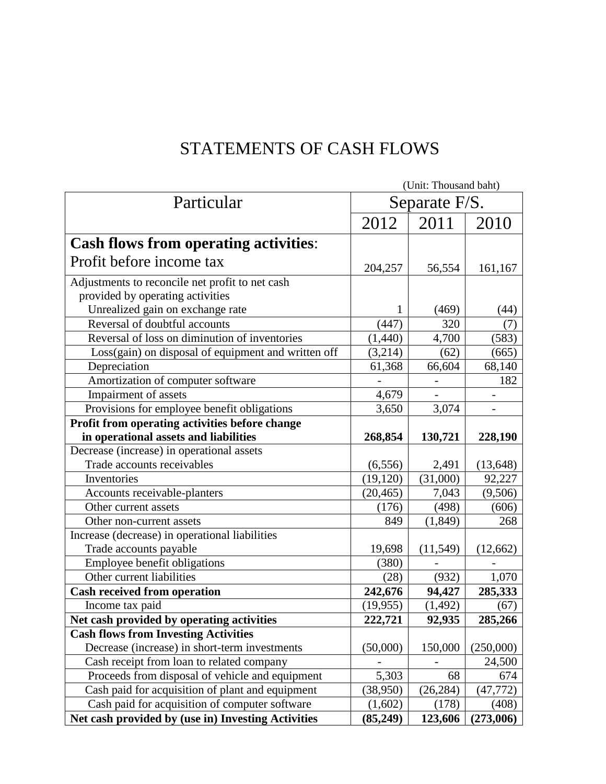## STATEMENTS OF CASH FLOWS

|                                                     | (Unit: Thousand baht) |           |           |  |  |
|-----------------------------------------------------|-----------------------|-----------|-----------|--|--|
| Particular                                          | Separate F/S.         |           |           |  |  |
|                                                     | 2012                  | 2011      | 2010      |  |  |
| <b>Cash flows from operating activities:</b>        |                       |           |           |  |  |
| Profit before income tax                            | 204,257               | 56,554    | 161,167   |  |  |
| Adjustments to reconcile net profit to net cash     |                       |           |           |  |  |
| provided by operating activities                    |                       |           |           |  |  |
| Unrealized gain on exchange rate                    | 1                     | (469)     | (44)      |  |  |
| Reversal of doubtful accounts                       | (447)                 | 320       | (7)       |  |  |
| Reversal of loss on diminution of inventories       | (1,440)               | 4,700     | (583)     |  |  |
| Loss(gain) on disposal of equipment and written off | (3,214)               | (62)      | (665)     |  |  |
| Depreciation                                        | 61,368                | 66,604    | 68,140    |  |  |
| Amortization of computer software                   |                       |           | 182       |  |  |
| Impairment of assets                                | 4,679                 |           |           |  |  |
| Provisions for employee benefit obligations         | 3,650                 | 3,074     |           |  |  |
| Profit from operating activities before change      |                       |           |           |  |  |
| in operational assets and liabilities               | 268,854               | 130,721   | 228,190   |  |  |
| Decrease (increase) in operational assets           |                       |           |           |  |  |
| Trade accounts receivables                          | (6, 556)              | 2,491     | (13, 648) |  |  |
| Inventories                                         | (19, 120)             | (31,000)  | 92,227    |  |  |
| Accounts receivable-planters                        | (20, 465)             | 7,043     | (9,506)   |  |  |
| Other current assets                                | (176)                 | (498)     | (606)     |  |  |
| Other non-current assets                            | 849                   | (1,849)   | 268       |  |  |
| Increase (decrease) in operational liabilities      |                       |           |           |  |  |
| Trade accounts payable                              | 19,698                | (11, 549) | (12,662)  |  |  |
| Employee benefit obligations                        | (380)                 |           |           |  |  |
| Other current liabilities                           | (28)                  | (932)     | 1,070     |  |  |
| <b>Cash received from operation</b>                 | 242,676               | 94,427    | 285,333   |  |  |
| Income tax paid                                     | (19, 955)             | (1, 492)  | (67)      |  |  |
| Net cash provided by operating activities           | 222,721               | 92,935    | 285,266   |  |  |
| <b>Cash flows from Investing Activities</b>         |                       |           |           |  |  |
| Decrease (increase) in short-term investments       | (50,000)              | 150,000   | (250,000) |  |  |
| Cash receipt from loan to related company           |                       |           | 24,500    |  |  |
| Proceeds from disposal of vehicle and equipment     | 5,303                 | 68        | 674       |  |  |
| Cash paid for acquisition of plant and equipment    | (38,950)              | (26, 284) | (47, 772) |  |  |
| Cash paid for acquisition of computer software      | (1,602)               | (178)     | (408)     |  |  |
| Net cash provided by (use in) Investing Activities  | (85,249)              | 123,606   | (273,006) |  |  |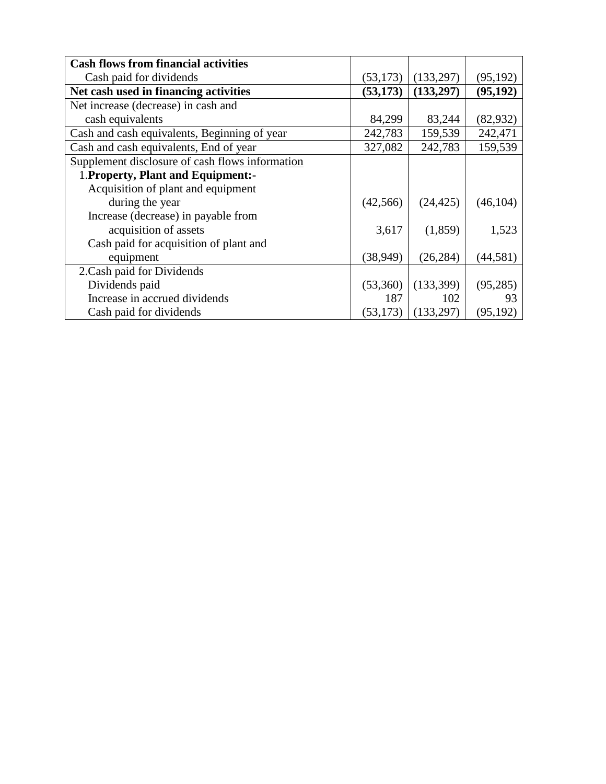| <b>Cash flows from financial activities</b>     |           |            |           |
|-------------------------------------------------|-----------|------------|-----------|
| Cash paid for dividends                         | (53, 173) | (133, 297) | (95, 192) |
| Net cash used in financing activities           | (53, 173) | (133,297)  | (95, 192) |
| Net increase (decrease) in cash and             |           |            |           |
| cash equivalents                                | 84,299    | 83,244     | (82, 932) |
| Cash and cash equivalents, Beginning of year    | 242,783   | 159,539    | 242,471   |
| Cash and cash equivalents, End of year          | 327,082   | 242,783    | 159,539   |
| Supplement disclosure of cash flows information |           |            |           |
| 1. Property, Plant and Equipment:-              |           |            |           |
| Acquisition of plant and equipment              |           |            |           |
| during the year                                 | (42, 566) | (24, 425)  | (46, 104) |
| Increase (decrease) in payable from             |           |            |           |
| acquisition of assets                           | 3,617     | (1,859)    | 1,523     |
| Cash paid for acquisition of plant and          |           |            |           |
| equipment                                       | (38, 949) | (26, 284)  | (44, 581) |
| 2. Cash paid for Dividends                      |           |            |           |
| Dividends paid                                  | (53,360)  | (133,399)  | (95, 285) |
| Increase in accrued dividends                   | 187       | 102        | 93        |
| Cash paid for dividends                         | (53, 173) | (133,297)  | (95, 192) |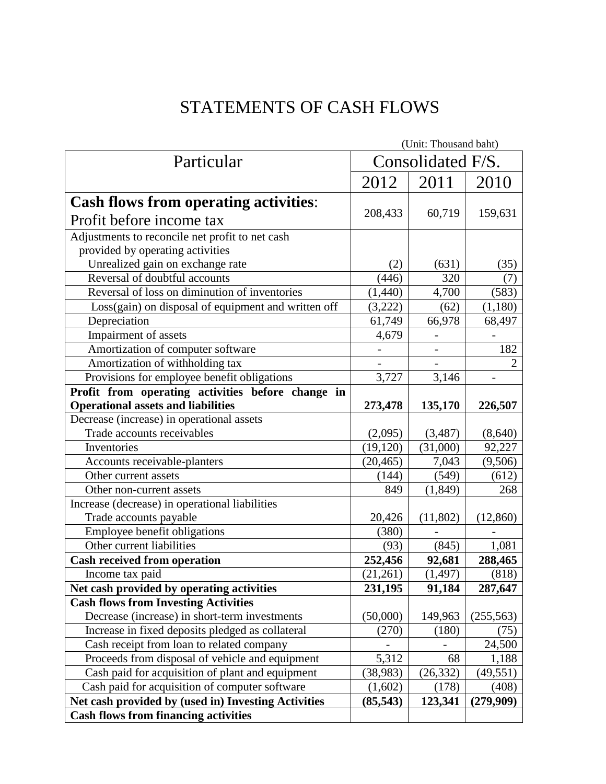## STATEMENTS OF CASH FLOWS

|                                                     | (Unit: Thousand baht) |                          |                |
|-----------------------------------------------------|-----------------------|--------------------------|----------------|
| Particular                                          | Consolidated F/S.     |                          |                |
|                                                     | 2012                  | 2011                     | 2010           |
| <b>Cash flows from operating activities:</b>        |                       |                          |                |
| Profit before income tax                            | 208,433               | 60,719                   | 159,631        |
| Adjustments to reconcile net profit to net cash     |                       |                          |                |
| provided by operating activities                    |                       |                          |                |
| Unrealized gain on exchange rate                    | (2)                   | (631)                    | (35)           |
| Reversal of doubtful accounts                       | (446)                 | 320                      | (7)            |
| Reversal of loss on diminution of inventories       | (1,440)               | 4,700                    | (583)          |
| Loss(gain) on disposal of equipment and written off | (3,222)               | (62)                     | (1,180)        |
| Depreciation                                        | 61,749                | 66,978                   | 68,497         |
| Impairment of assets                                | 4,679                 |                          |                |
| Amortization of computer software                   |                       | $\overline{\phantom{m}}$ | 182            |
| Amortization of withholding tax                     |                       |                          | $\overline{2}$ |
| Provisions for employee benefit obligations         | 3,727                 | 3,146                    |                |
| Profit from operating activities before change in   |                       |                          |                |
| <b>Operational assets and liabilities</b>           | 273,478               | 135,170                  | 226,507        |
| Decrease (increase) in operational assets           |                       |                          |                |
| Trade accounts receivables                          | (2,095)               | (3,487)                  | (8,640)        |
| Inventories                                         | (19, 120)             | (31,000)                 | 92,227         |
| Accounts receivable-planters                        | (20, 465)             | 7,043                    | (9,506)        |
| Other current assets                                | (144)                 | (549)                    | (612)          |
| Other non-current assets                            | 849                   | (1,849)                  | 268            |
| Increase (decrease) in operational liabilities      |                       |                          |                |
| Trade accounts payable                              | 20,426                | (11,802)                 | (12,860)       |
| Employee benefit obligations                        | (380)                 |                          |                |
| Other current liabilities                           | (93)                  | (845)                    | 1,081          |
| <b>Cash received from operation</b>                 | 252,456               | 92,681                   | 288,465        |
| Income tax paid                                     | (21,261)              | (1, 497)                 | (818)          |
| Net cash provided by operating activities           | 231,195               | 91,184                   | 287,647        |
| <b>Cash flows from Investing Activities</b>         |                       |                          |                |
| Decrease (increase) in short-term investments       | (50,000)              | 149,963                  | (255, 563)     |
| Increase in fixed deposits pledged as collateral    | (270)                 | (180)                    | (75)           |
| Cash receipt from loan to related company           |                       |                          | 24,500         |
| Proceeds from disposal of vehicle and equipment     | 5,312                 | 68                       | 1,188          |
| Cash paid for acquisition of plant and equipment    | (38, 983)             | (26, 332)                | (49, 551)      |
| Cash paid for acquisition of computer software      | (1,602)               | (178)                    | (408)          |
| Net cash provided by (used in) Investing Activities | (85, 543)             | 123,341                  | (279,909)      |
| <b>Cash flows from financing activities</b>         |                       |                          |                |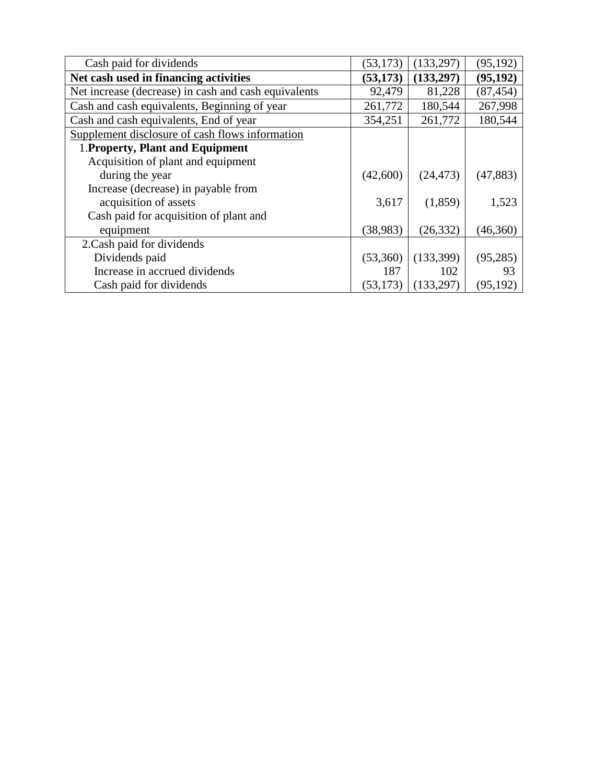| Cash paid for dividends                              | (53, 173) | (133, 297) | (95, 192) |
|------------------------------------------------------|-----------|------------|-----------|
| Net cash used in financing activities                | (53, 173) | (133,297)  | (95, 192) |
| Net increase (decrease) in cash and cash equivalents | 92,479    | 81,228     | (87, 454) |
| Cash and cash equivalents, Beginning of year         | 261,772   | 180,544    | 267,998   |
| Cash and cash equivalents, End of year               | 354,251   | 261,772    | 180,544   |
| Supplement disclosure of cash flows information      |           |            |           |
| 1. Property, Plant and Equipment                     |           |            |           |
| Acquisition of plant and equipment                   |           |            |           |
| during the year                                      | (42,600)  | (24, 473)  | (47, 883) |
| Increase (decrease) in payable from                  |           |            |           |
| acquisition of assets                                | 3,617     | (1,859)    | 1,523     |
| Cash paid for acquisition of plant and               |           |            |           |
| equipment                                            | (38, 983) | (26, 332)  | (46,360)  |
| 2. Cash paid for dividends                           |           |            |           |
| Dividends paid                                       | (53,360)  | (133, 399) | (95, 285) |
| Increase in accrued dividends                        | 187       | 102        | 93        |
| Cash paid for dividends                              | (53, 173) | (133,297)  | (95, 192) |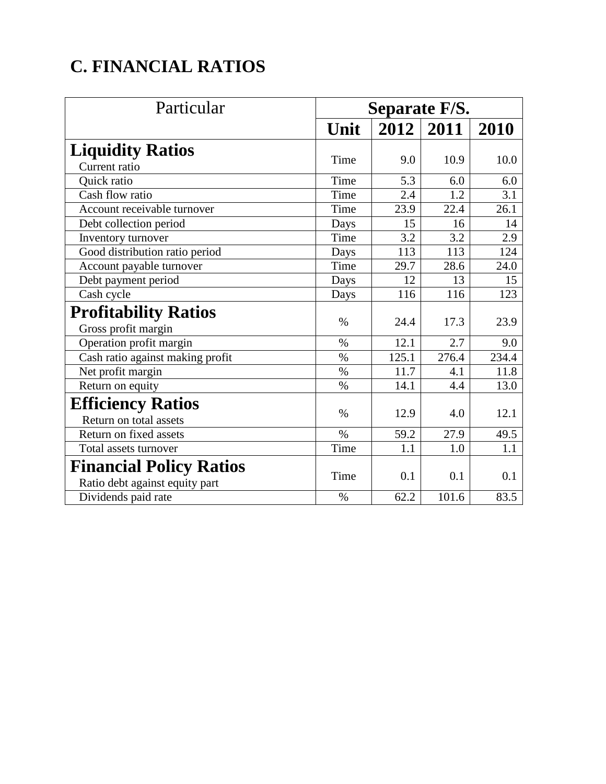# **C. FINANCIAL RATIOS**

| Particular                       | Separate F/S. |       |                  |       |
|----------------------------------|---------------|-------|------------------|-------|
|                                  | Unit          |       | $2012 \mid 2011$ | 2010  |
| <b>Liquidity Ratios</b>          |               |       |                  |       |
| Current ratio                    | Time          | 9.0   | 10.9             | 10.0  |
| Quick ratio                      | Time          | 5.3   | 6.0              | 6.0   |
| Cash flow ratio                  | Time          | 2.4   | 1.2              | 3.1   |
| Account receivable turnover      | Time          | 23.9  | 22.4             | 26.1  |
| Debt collection period           | Days          | 15    | 16               | 14    |
| Inventory turnover               | Time          | 3.2   | 3.2              | 2.9   |
| Good distribution ratio period   | Days          | 113   | 113              | 124   |
| Account payable turnover         | Time          | 29.7  | 28.6             | 24.0  |
| Debt payment period              | Days          | 12    | 13               | 15    |
| Cash cycle                       | Days          | 116   | 116              | 123   |
| <b>Profitability Ratios</b>      |               |       |                  |       |
| Gross profit margin              | $\%$          | 24.4  | 17.3             | 23.9  |
| Operation profit margin          | $\%$          | 12.1  | 2.7              | 9.0   |
| Cash ratio against making profit | $\%$          | 125.1 | 276.4            | 234.4 |
| Net profit margin                | $\%$          | 11.7  | 4.1              | 11.8  |
| Return on equity                 | $\%$          | 14.1  | 4.4              | 13.0  |
| <b>Efficiency Ratios</b>         |               |       |                  |       |
| Return on total assets           | $\%$          | 12.9  | 4.0              | 12.1  |
| Return on fixed assets           | $\%$          | 59.2  | 27.9             | 49.5  |
| Total assets turnover            | Time          | 1.1   | 1.0              | 1.1   |
| <b>Financial Policy Ratios</b>   |               |       |                  |       |
| Ratio debt against equity part   | Time          | 0.1   | 0.1              | 0.1   |
| Dividends paid rate              | $\%$          | 62.2  | 101.6            | 83.5  |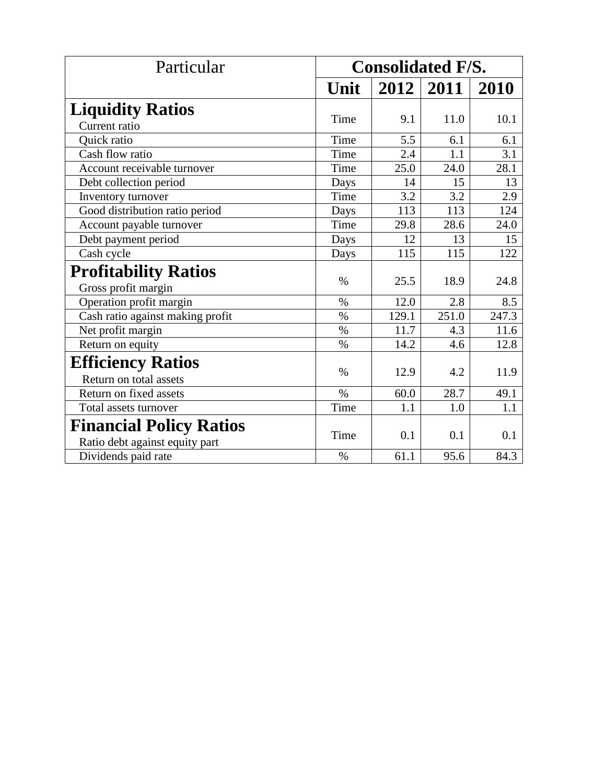| Particular                       | <b>Consolidated F/S.</b> |       |               |       |
|----------------------------------|--------------------------|-------|---------------|-------|
|                                  | Unit                     |       | $2012$   2011 | 2010  |
| <b>Liquidity Ratios</b>          |                          |       |               |       |
| Current ratio                    | Time                     | 9.1   | 11.0          | 10.1  |
| Quick ratio                      | Time                     | 5.5   | 6.1           | 6.1   |
| Cash flow ratio                  | Time                     | 2.4   | 1.1           | 3.1   |
| Account receivable turnover      | Time                     | 25.0  | 24.0          | 28.1  |
| Debt collection period           | Days                     | 14    | 15            | 13    |
| Inventory turnover               | Time                     | 3.2   | 3.2           | 2.9   |
| Good distribution ratio period   | Days                     | 113   | 113           | 124   |
| Account payable turnover         | Time                     | 29.8  | 28.6          | 24.0  |
| Debt payment period              | Days                     | 12    | 13            | 15    |
| Cash cycle                       | Days                     | 115   | 115           | 122   |
| <b>Profitability Ratios</b>      |                          |       |               |       |
| Gross profit margin              | $\%$                     | 25.5  | 18.9          | 24.8  |
| Operation profit margin          | $\%$                     | 12.0  | 2.8           | 8.5   |
| Cash ratio against making profit | $\frac{0}{0}$            | 129.1 | 251.0         | 247.3 |
| Net profit margin                | $\%$                     | 11.7  | 4.3           | 11.6  |
| Return on equity                 | $\%$                     | 14.2  | 4.6           | 12.8  |
| <b>Efficiency Ratios</b>         |                          |       |               |       |
| Return on total assets           | $\%$                     | 12.9  | 4.2           | 11.9  |
| Return on fixed assets           | $\%$                     | 60.0  | 28.7          | 49.1  |
| Total assets turnover            | Time                     | 1.1   | 1.0           | 1.1   |
| <b>Financial Policy Ratios</b>   |                          |       |               |       |
| Ratio debt against equity part   | Time                     | 0.1   | 0.1           | 0.1   |
| Dividends paid rate              | $\%$                     | 61.1  | 95.6          | 84.3  |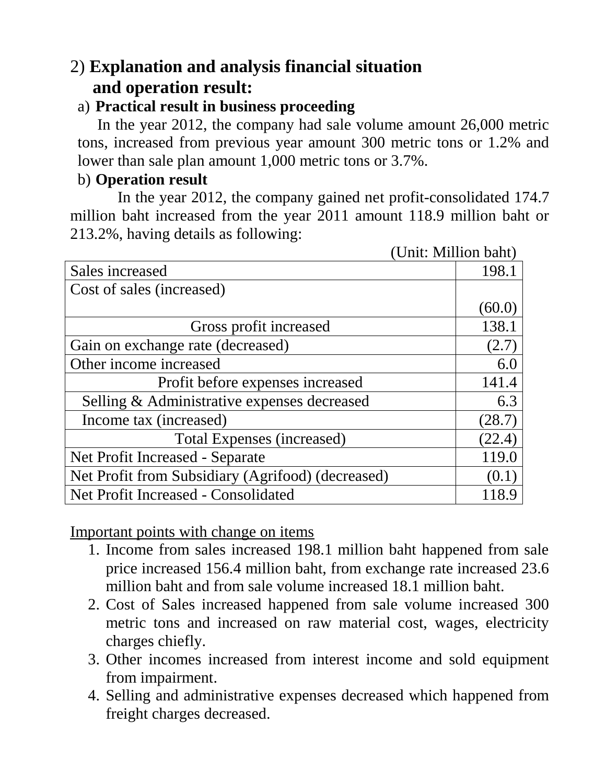## 2) **Explanation and analysis financial situation and operation result:**

#### a) **Practical result in business proceeding**

 In the year 2012, the company had sale volume amount 26,000 metric tons, increased from previous year amount 300 metric tons or 1.2% and lower than sale plan amount 1,000 metric tons or 3.7%.

## b) **Operation result**

 In the year 2012, the company gained net profit-consolidated 174.7 million baht increased from the year 2011 amount 118.9 million baht or 213.2%, having details as following:

| (Unit: Million baht)                              |        |
|---------------------------------------------------|--------|
| Sales increased                                   | 198.1  |
| Cost of sales (increased)                         |        |
|                                                   | (60.0) |
| Gross profit increased                            | 138.1  |
| Gain on exchange rate (decreased)                 | (2.7)  |
| Other income increased                            | 6.0    |
| Profit before expenses increased                  | 141.4  |
| Selling & Administrative expenses decreased       | 6.3    |
| Income tax (increased)                            | (28.7) |
| <b>Total Expenses (increased)</b>                 | (22.4) |
| Net Profit Increased - Separate                   | 119.0  |
| Net Profit from Subsidiary (Agrifood) (decreased) | (0.1)  |
| <b>Net Profit Increased - Consolidated</b>        |        |

Important points with change on items

- 1. Income from sales increased 198.1 million baht happened from sale price increased 156.4 million baht, from exchange rate increased 23.6 million baht and from sale volume increased 18.1 million baht.
- 2. Cost of Sales increased happened from sale volume increased 300 metric tons and increased on raw material cost, wages, electricity charges chiefly.
- 3. Other incomes increased from interest income and sold equipment from impairment.
- 4. Selling and administrative expenses decreased which happened from freight charges decreased.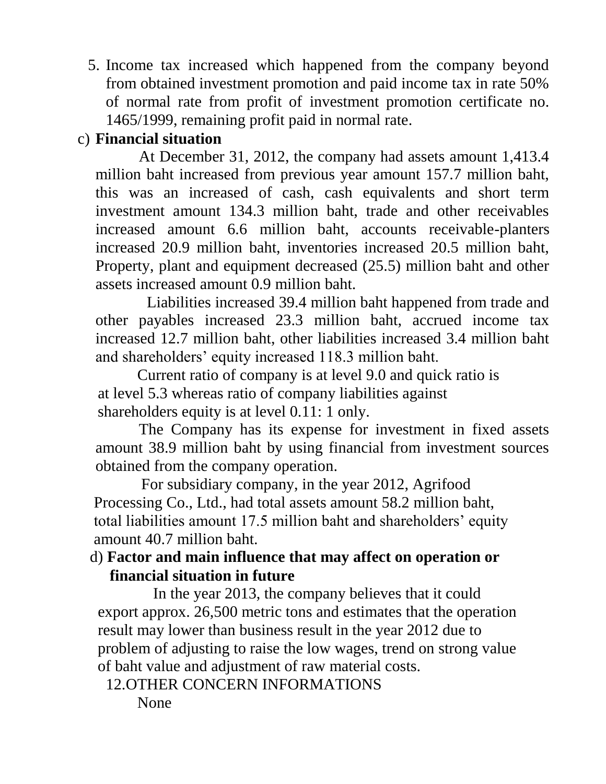5. Income tax increased which happened from the company beyond from obtained investment promotion and paid income tax in rate 50% of normal rate from profit of investment promotion certificate no. 1465/1999, remaining profit paid in normal rate.

## c) **Financial situation**

 At December 31, 2012, the company had assets amount 1,413.4 million baht increased from previous year amount 157.7 million baht, this was an increased of cash, cash equivalents and short term investment amount 134.3 million baht, trade and other receivables increased amount 6.6 million baht, accounts receivable-planters increased 20.9 million baht, inventories increased 20.5 million baht, Property, plant and equipment decreased (25.5) million baht and other assets increased amount 0.9 million baht.

 Liabilities increased 39.4 million baht happened from trade and other payables increased 23.3 million baht, accrued income tax increased 12.7 million baht, other liabilities increased 3.4 million baht and shareholders' equity increased 118.3 million baht.

 Current ratio of company is at level 9.0 and quick ratio is at level 5.3 whereas ratio of company liabilities against shareholders equity is at level 0.11: 1 only.

 The Company has its expense for investment in fixed assets amount 38.9 million baht by using financial from investment sources obtained from the company operation.

 For subsidiary company, in the year 2012, Agrifood Processing Co., Ltd., had total assets amount 58.2 million baht, total liabilities amount 17.5 million baht and shareholders' equity amount 40.7 million baht.

#### d) **Factor and main influence that may affect on operation or financial situation in future**

 In the year 2013, the company believes that it could export approx. 26,500 metric tons and estimates that the operation result may lower than business result in the year 2012 due to problem of adjusting to raise the low wages, trend on strong value of baht value and adjustment of raw material costs.

12.OTHER CONCERN INFORMATIONS

None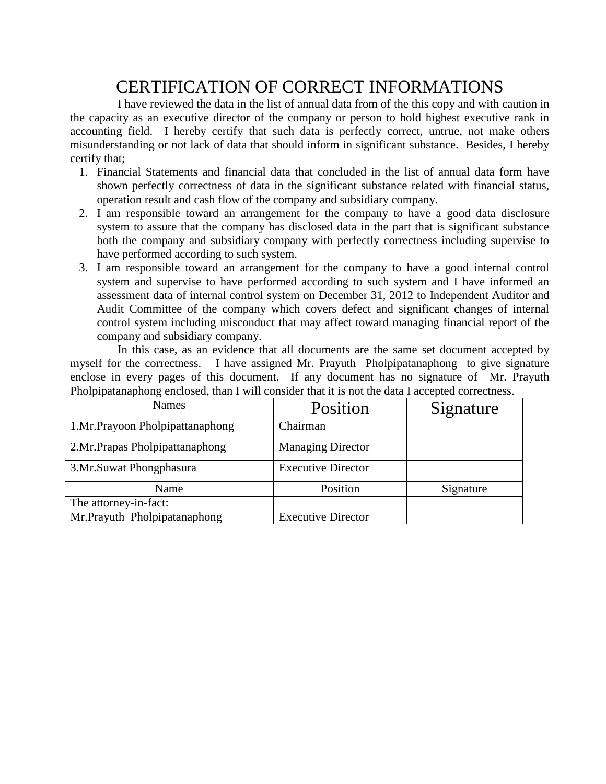## CERTIFICATION OF CORRECT INFORMATIONS

 I have reviewed the data in the list of annual data from of the this copy and with caution in the capacity as an executive director of the company or person to hold highest executive rank in accounting field. I hereby certify that such data is perfectly correct, untrue, not make others misunderstanding or not lack of data that should inform in significant substance. Besides, I hereby certify that;

- 1. Financial Statements and financial data that concluded in the list of annual data form have shown perfectly correctness of data in the significant substance related with financial status, operation result and cash flow of the company and subsidiary company.
- 2. I am responsible toward an arrangement for the company to have a good data disclosure system to assure that the company has disclosed data in the part that is significant substance both the company and subsidiary company with perfectly correctness including supervise to have performed according to such system.
- 3. I am responsible toward an arrangement for the company to have a good internal control system and supervise to have performed according to such system and I have informed an assessment data of internal control system on December 31, 2012 to Independent Auditor and Audit Committee of the company which covers defect and significant changes of internal control system including misconduct that may affect toward managing financial report of the company and subsidiary company.

 In this case, as an evidence that all documents are the same set document accepted by myself for the correctness. I have assigned Mr. Prayuth Pholpipatanaphong to give signature enclose in every pages of this document. If any document has no signature of Mr. Prayuth Pholpipatanaphong enclosed, than I will consider that it is not the data I accepted correctness.

| <b>Names</b>                     | Position                  | Signature |
|----------------------------------|---------------------------|-----------|
| 1.Mr.Prayoon Pholpipattanaphong  | Chairman                  |           |
| 2. Mr. Prapas Pholpipattanaphong | <b>Managing Director</b>  |           |
| 3. Mr. Suwat Phongphasura        | <b>Executive Director</b> |           |
| Name                             | Position                  | Signature |
| The attorney-in-fact:            |                           |           |
| Mr.Prayuth Pholpipatanaphong     | <b>Executive Director</b> |           |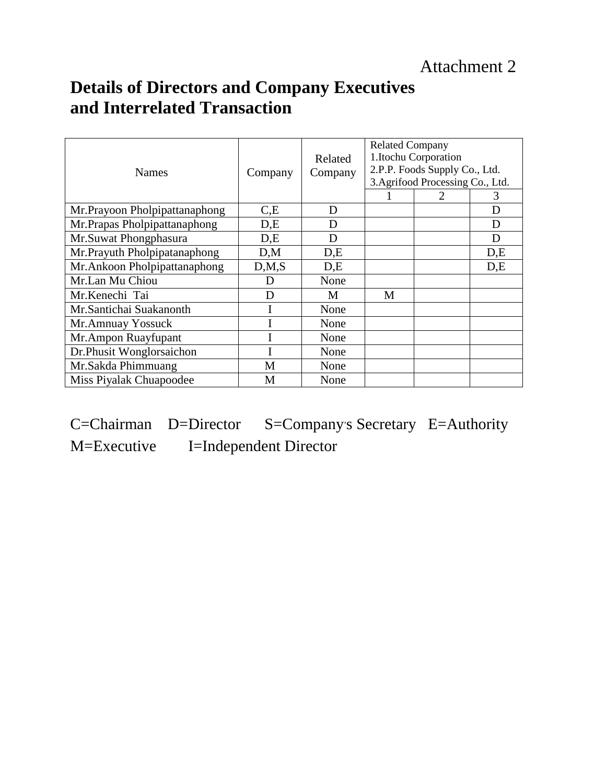## **Details of Directors and Company Executives and Interrelated Transaction**

| <b>Names</b>                  | Company | Related<br>Company | <b>Related Company</b> | 1.Itochu Corporation<br>2.P.P. Foods Supply Co., Ltd.<br>3. Agrifood Processing Co., Ltd. | 3   |
|-------------------------------|---------|--------------------|------------------------|-------------------------------------------------------------------------------------------|-----|
| Mr.Prayoon Pholpipattanaphong | C,E     | D                  |                        |                                                                                           | D   |
| Mr.Prapas Pholpipattanaphong  | D,E     | D                  |                        |                                                                                           | D   |
| Mr.Suwat Phongphasura         | D,E     | D                  |                        |                                                                                           | D   |
| Mr.Prayuth Pholpipatanaphong  | D,M     | D,E                |                        |                                                                                           | D,E |
| Mr.Ankoon Pholpipattanaphong  | D, M, S | D,E                |                        |                                                                                           | D,E |
| Mr.Lan Mu Chiou               | D       | None               |                        |                                                                                           |     |
| Mr.Kenechi Tai                | D       | M                  | M                      |                                                                                           |     |
| Mr.Santichai Suakanonth       |         | None               |                        |                                                                                           |     |
| Mr.Amnuay Yossuck             |         | None               |                        |                                                                                           |     |
| Mr.Ampon Ruayfupant           |         | None               |                        |                                                                                           |     |
| Dr.Phusit Wonglorsaichon      |         | None               |                        |                                                                                           |     |
| Mr.Sakda Phimmuang            | M       | None               |                        |                                                                                           |     |
| Miss Piyalak Chuapoodee       | M       | None               |                        |                                                                                           |     |

C=Chairman D=Director S=Company's Secretary E=Authority M=Executive I=Independent Director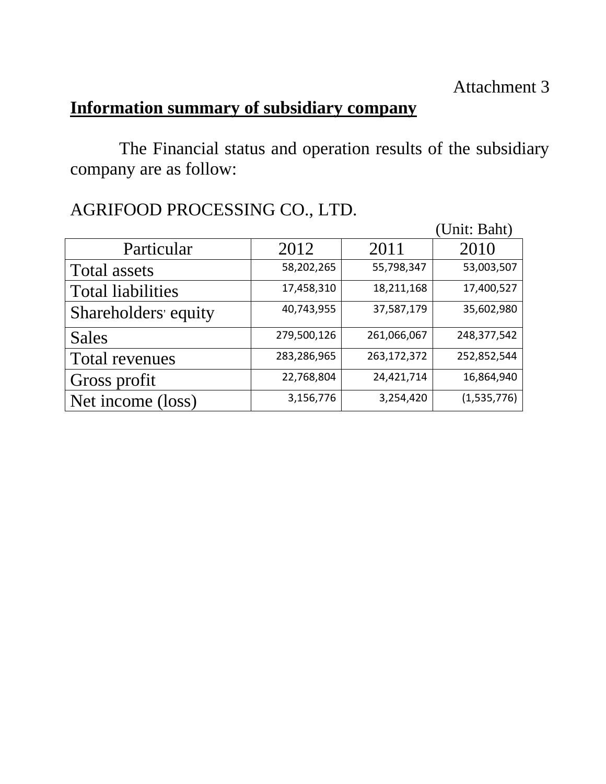## **Information summary of subsidiary company**

 The Financial status and operation results of the subsidiary company are as follow:

|                          |             |             | (Unit: Baht) |
|--------------------------|-------------|-------------|--------------|
| Particular               | 2012        | 2011        | 2010         |
| Total assets             | 58,202,265  | 55,798,347  | 53,003,507   |
| <b>Total liabilities</b> | 17,458,310  | 18,211,168  | 17,400,527   |
| Shareholders' equity     | 40,743,955  | 37,587,179  | 35,602,980   |
| Sales                    | 279,500,126 | 261,066,067 | 248,377,542  |
| <b>Total revenues</b>    | 283,286,965 | 263,172,372 | 252,852,544  |
| Gross profit             | 22,768,804  | 24,421,714  | 16,864,940   |
| Net income (loss)        | 3,156,776   | 3,254,420   | (1,535,776)  |

## AGRIFOOD PROCESSING CO., LTD.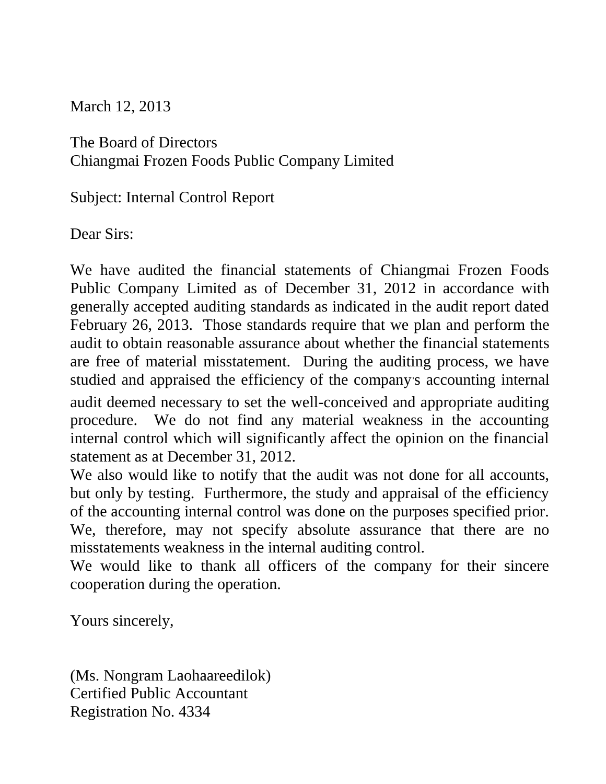March 12, 2013

The Board of Directors Chiangmai Frozen Foods Public Company Limited

Subject: Internal Control Report

Dear Sirs:

We have audited the financial statements of Chiangmai Frozen Foods Public Company Limited as of December 31, 2012 in accordance with generally accepted auditing standards as indicated in the audit report dated February 26, 2013. Those standards require that we plan and perform the audit to obtain reasonable assurance about whether the financial statements are free of material misstatement. During the auditing process, we have studied and appraised the efficiency of the company's accounting internal audit deemed necessary to set the well-conceived and appropriate auditing procedure. We do not find any material weakness in the accounting internal control which will significantly affect the opinion on the financial statement as at December 31, 2012.

We also would like to notify that the audit was not done for all accounts, but only by testing. Furthermore, the study and appraisal of the efficiency of the accounting internal control was done on the purposes specified prior. We, therefore, may not specify absolute assurance that there are no misstatements weakness in the internal auditing control.

We would like to thank all officers of the company for their sincere cooperation during the operation.

Yours sincerely,

(Ms. Nongram Laohaareedilok) Certified Public Accountant Registration No. 4334